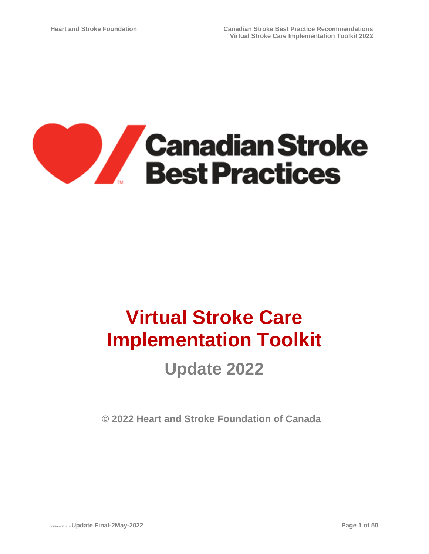

# **Virtual Stroke Care Implementation Toolkit**

# **Update 2022**

**© 2022 Heart and Stroke Foundation of Canada**

**V 5June2020f –Update Final-2May-2022 Page 1 of 50**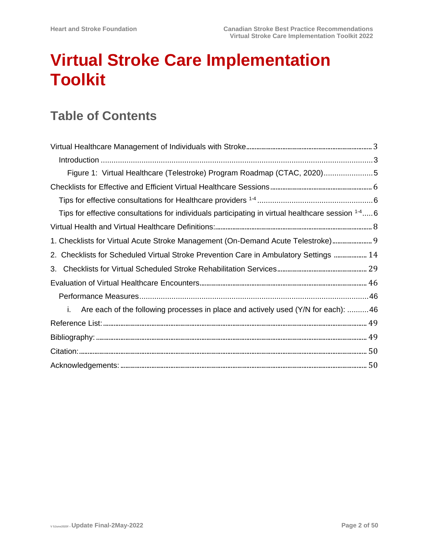# **Virtual Stroke Care Implementation Toolkit**

# **Table of Contents**

| Figure 1: Virtual Healthcare (Telestroke) Program Roadmap (CTAC, 2020)5                           |
|---------------------------------------------------------------------------------------------------|
|                                                                                                   |
|                                                                                                   |
| Tips for effective consultations for individuals participating in virtual healthcare session 1-46 |
|                                                                                                   |
| 1. Checklists for Virtual Acute Stroke Management (On-Demand Acute Telestroke) 9                  |
| 2. Checklists for Scheduled Virtual Stroke Prevention Care in Ambulatory Settings  14             |
| 3.                                                                                                |
|                                                                                                   |
|                                                                                                   |
| Are each of the following processes in place and actively used (Y/N for each): 46<br>i.           |
|                                                                                                   |
|                                                                                                   |
|                                                                                                   |
|                                                                                                   |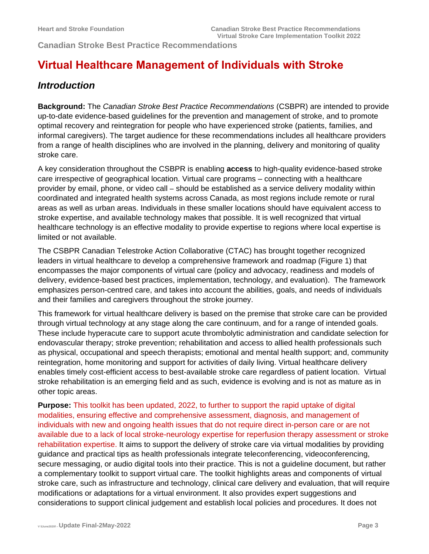**Canadian Stroke Best Practice Recommendations** 

## <span id="page-2-0"></span>**Virtual Healthcare Management of Individuals with Stroke**

### <span id="page-2-1"></span>*Introduction*

**Background:** The *Canadian Stroke Best Practice Recommendations* (CSBPR) are intended to provide up-to-date evidence-based guidelines for the prevention and management of stroke, and to promote optimal recovery and reintegration for people who have experienced stroke (patients, families, and informal caregivers). The target audience for these recommendations includes all healthcare providers from a range of health disciplines who are involved in the planning, delivery and monitoring of quality stroke care.

A key consideration throughout the CSBPR is enabling **access** to high-quality evidence-based stroke care irrespective of geographical location. Virtual care programs – connecting with a healthcare provider by email, phone, or video call – should be established as a service delivery modality within coordinated and integrated health systems across Canada, as most regions include remote or rural areas as well as urban areas. Individuals in these smaller locations should have equivalent access to stroke expertise, and available technology makes that possible. It is well recognized that virtual healthcare technology is an effective modality to provide expertise to regions where local expertise is limited or not available.

The CSBPR Canadian Telestroke Action Collaborative (CTAC) has brought together recognized leaders in virtual healthcare to develop a comprehensive framework and roadmap (Figure 1) that encompasses the major components of virtual care (policy and advocacy, readiness and models of delivery, evidence-based best practices, implementation, technology, and evaluation). The framework emphasizes person-centred care, and takes into account the abilities, goals, and needs of individuals and their families and caregivers throughout the stroke journey.

This framework for virtual healthcare delivery is based on the premise that stroke care can be provided through virtual technology at any stage along the care continuum, and for a range of intended goals. These include hyperacute care to support acute thrombolytic administration and candidate selection for endovascular therapy; stroke prevention; rehabilitation and access to allied health professionals such as physical, occupational and speech therapists; emotional and mental health support; and, community reintegration, home monitoring and support for activities of daily living. Virtual healthcare delivery enables timely cost-efficient access to best-available stroke care regardless of patient location. Virtual stroke rehabilitation is an emerging field and as such, evidence is evolving and is not as mature as in other topic areas.

**Purpose:** This toolkit has been updated, 2022, to further to support the rapid uptake of digital modalities, ensuring effective and comprehensive assessment, diagnosis, and management of individuals with new and ongoing health issues that do not require direct in-person care or are not available due to a lack of local stroke-neurology expertise for reperfusion therapy assessment or stroke rehabilitation expertise. It aims to support the delivery of stroke care via virtual modalities by providing guidance and practical tips as health professionals integrate teleconferencing, videoconferencing, secure messaging, or audio digital tools into their practice. This is not a guideline document, but rather a complementary toolkit to support virtual care. The toolkit highlights areas and components of virtual stroke care, such as infrastructure and technology, clinical care delivery and evaluation, that will require modifications or adaptations for a virtual environment. It also provides expert suggestions and considerations to support clinical judgement and establish local policies and procedures. It does not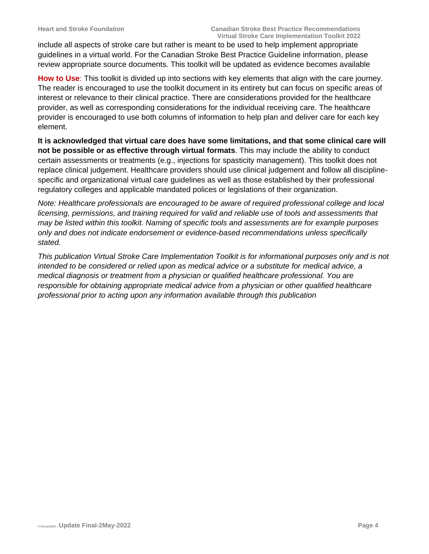include all aspects of stroke care but rather is meant to be used to help implement appropriate guidelines in a virtual world. For the Canadian Stroke Best Practice Guideline information, please review appropriate source documents. This toolkit will be updated as evidence becomes available

**How to Use**: This toolkit is divided up into sections with key elements that align with the care journey. The reader is encouraged to use the toolkit document in its entirety but can focus on specific areas of interest or relevance to their clinical practice. There are considerations provided for the healthcare provider, as well as corresponding considerations for the individual receiving care. The healthcare provider is encouraged to use both columns of information to help plan and deliver care for each key element.

**It is acknowledged that virtual care does have some limitations, and that some clinical care will not be possible or as effective through virtual formats**. This may include the ability to conduct certain assessments or treatments (e.g., injections for spasticity management). This toolkit does not replace clinical judgement. Healthcare providers should use clinical judgement and follow all disciplinespecific and organizational virtual care guidelines as well as those established by their professional regulatory colleges and applicable mandated polices or legislations of their organization.

*Note: Healthcare professionals are encouraged to be aware of required professional college and local licensing, permissions, and training required for valid and reliable use of tools and assessments that may be listed within this toolkit. Naming of specific tools and assessments are for example purposes only and does not indicate endorsement or evidence-based recommendations unless specifically stated.* 

*This publication Virtual Stroke Care Implementation Toolkit is for informational purposes only and is not intended to be considered or relied upon as medical advice or a substitute for medical advice, a medical diagnosis or treatment from a physician or qualified healthcare professional. You are responsible for obtaining appropriate medical advice from a physician or other qualified healthcare professional prior to acting upon any information available through this publication*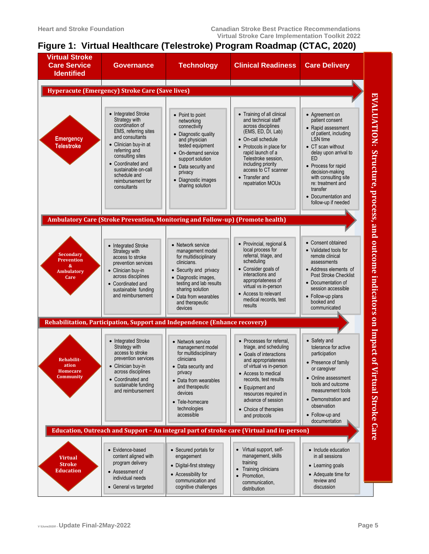### <span id="page-4-0"></span>**Figure 1: Virtual Healthcare (Telestroke) Program Roadmap (CTAC, 2020)**

| <b>Virtual Stroke</b><br><b>Care Service</b><br><b>Identified</b>       | <b>Governance</b>                                                                                                                                                                                                                                              | <b>Technology</b>                                                                                                                                                                                                                     | <b>Clinical Readiness</b>                                                                                                                                                                                                                                                                    | <b>Care Delivery</b>                                                                                                                                                                                                                                                                                                 |                                                                     |  |  |  |
|-------------------------------------------------------------------------|----------------------------------------------------------------------------------------------------------------------------------------------------------------------------------------------------------------------------------------------------------------|---------------------------------------------------------------------------------------------------------------------------------------------------------------------------------------------------------------------------------------|----------------------------------------------------------------------------------------------------------------------------------------------------------------------------------------------------------------------------------------------------------------------------------------------|----------------------------------------------------------------------------------------------------------------------------------------------------------------------------------------------------------------------------------------------------------------------------------------------------------------------|---------------------------------------------------------------------|--|--|--|
| <b>Hyperacute (Emergency) Stroke Care (Save lives)</b>                  |                                                                                                                                                                                                                                                                |                                                                                                                                                                                                                                       |                                                                                                                                                                                                                                                                                              |                                                                                                                                                                                                                                                                                                                      |                                                                     |  |  |  |
| <b>Emergency</b><br><b>Telestroke</b>                                   | • Integrated Stroke<br>Strategy with<br>coordination of<br>EMS, referring sites<br>and consultants<br>• Clinician buy-in at<br>referring and<br>consulting sites<br>Coordinated and<br>sustainable on-call<br>schedule and<br>reimbursement for<br>consultants | • Point to point<br>networking<br>connectivity<br>• Diagnostic quality<br>and physician<br>tested equipment<br>• On-demand service<br>support solution<br>• Data security and<br>privacy<br>• Diagnostic images<br>sharing solution   | • Training of all clinical<br>and technical staff<br>across disciplines<br>(EMS, ED, DI, Lab)<br>• On-call schedule<br>• Protocols in place for<br>rapid launch of a<br>Telestroke session,<br>including priority<br>access to CT scanner<br>Transfer and<br>repatriation MOUs               | • Agreement on<br>patient consent<br>• Rapid assessment<br>of patient, including<br><b>LSN</b> time<br>• CT scan without<br>delay upon arrival to<br>F <sub>D</sub><br>• Process for rapid<br>decision-making<br>with consulting site<br>re: treatment and<br>transfer<br>• Documentation and<br>follow-up if needed | EVALUATION: Structure, process, and outcome indicators on Impact of |  |  |  |
|                                                                         |                                                                                                                                                                                                                                                                | Ambulatory Care (Stroke Prevention, Monitoring and Follow-up) (Promote health)                                                                                                                                                        |                                                                                                                                                                                                                                                                                              |                                                                                                                                                                                                                                                                                                                      |                                                                     |  |  |  |
| <b>Secondary</b><br><b>Prevention</b><br>&<br><b>Ambulatory</b><br>Care | • Integrated Stroke<br>Strategy with<br>access to stroke<br>prevention services<br>• Clinician buy-in<br>across disciplines<br>• Coordinated and<br>sustainable funding<br>and reimbursement                                                                   | • Network service<br>management model<br>for multidisciplinary<br>clinicians.<br>• Security and privacy<br>• Diagnostic images,<br>testing and lab results<br>sharing solution<br>• Data from wearables<br>and therapeutic<br>devices | • Provincial, regional &<br>local process for<br>referral, triage, and<br>scheduling<br>Consider goals of<br>interactions and<br>appropriateness of<br>virtual vs in-person<br>• Access to relevant<br>medical records, test<br>results                                                      | • Consent obtained<br>• Validated tools for<br>remote clinical<br>assessments<br>• Address elements of<br><b>Post Stroke Checklist</b><br>• Documentation of<br>session accessible<br>• Follow-up plans<br>booked and<br>communicated                                                                                |                                                                     |  |  |  |
|                                                                         |                                                                                                                                                                                                                                                                | Rehabilitation, Participation, Support and Independence (Enhance recovery)                                                                                                                                                            |                                                                                                                                                                                                                                                                                              |                                                                                                                                                                                                                                                                                                                      |                                                                     |  |  |  |
| <b>Rehabilit-</b><br>ation<br>Homecare<br>Community                     | • Integrated Stroke<br>Strategy with<br>access to stroke<br>prevention services<br>• Clinician buy-in<br>across disciplines<br>• Coordinated and<br>sustainable funding<br>and reimbursement                                                                   | • Network service<br>management model<br>for multidisciplinary<br>clinicians<br>• Data security and<br>privacy<br>• Data from wearables<br>and therapeutic<br>devices<br>• Tele-homecare<br>technologies<br>accessible                | • Processes for referral,<br>triage, and scheduling<br>• Goals of interactions<br>and appropriateness<br>of virtual vs in-person<br>• Access to medical<br>records, test results<br>• Equipment and<br>resources required in<br>advance of session<br>• Choice of therapies<br>and protocols | • Safety and<br>tolerance for active<br>participation<br>• Presence of family<br>or caregiver<br>• Online assessment<br>tools and outcome<br>measurement tools<br>• Demonstration and<br>observation<br>• Follow-up and                                                                                              | Virtual Stroke Care                                                 |  |  |  |
|                                                                         |                                                                                                                                                                                                                                                                |                                                                                                                                                                                                                                       | Education, Outreach and Support - An integral part of stroke care (Virtual and in-person)                                                                                                                                                                                                    | documentation                                                                                                                                                                                                                                                                                                        |                                                                     |  |  |  |
| <b>Virtual</b><br><b>Stroke</b><br><b>Education</b>                     | • Evidence-based<br>content aligned with<br>program delivery<br>• Assessment of<br>individual needs<br>• General vs targeted                                                                                                                                   | • Secured portals for<br>engagement<br>• Digital-first strategy<br>• Accessibility for<br>communication and<br>cognitive challenges                                                                                                   | • Virtual support, self-<br>management, skills<br>training<br>• Training clinicians<br>Promotion,<br>$\bullet$<br>communication,<br>distribution                                                                                                                                             | • Include education<br>in all sessions<br>• Learning goals<br>• Adequate time for<br>review and<br>discussion                                                                                                                                                                                                        |                                                                     |  |  |  |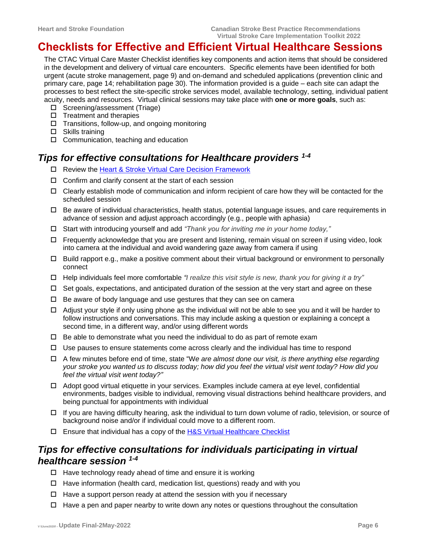### <span id="page-5-0"></span>**Checklists for Effective and Efficient Virtual Healthcare Sessions**

The CTAC Virtual Care Master Checklist identifies key components and action items that should be considered in the development and delivery of virtual care encounters. Specific elements have been identified for both urgent (acute stroke management, page 9) and on-demand and scheduled applications (prevention clinic and primary care, page 14; rehabilitation page 30). The information provided is a guide – each site can adapt the processes to best reflect the site-specific stroke services model, available technology, setting, individual patient acuity, needs and resources. Virtual clinical sessions may take place with **one or more goals**, such as:

- □ Screening/assessment (Triage)
- $\square$  Treatment and therapies
- $\Box$  Transitions, follow-up, and ongoing monitoring
- □ Skills training
- $\Box$  Communication, teaching and education

### <span id="page-5-1"></span>*Tips for effective consultations for Healthcare providers 1-4*

- □ Review the [Heart & Stroke Virtual Care Decision Framework](https://heartstrokeprod.azureedge.net/-/media/1-stroke-best-practices/csbp-f20-virtualcaredecisionframework-en)
- $\Box$  Confirm and clarify consent at the start of each session
- $\Box$  Clearly establish mode of communication and inform recipient of care how they will be contacted for the scheduled session
- $\Box$  Be aware of individual characteristics, health status, potential language issues, and care requirements in advance of session and adjust approach accordingly (e.g., people with aphasia)
- Start with introducing yourself and add *"Thank you for inviting me in your home today,"*
- $\Box$  Frequently acknowledge that you are present and listening, remain visual on screen if using video, look into camera at the individual and avoid wandering gaze away from camera if using
- $\Box$  Build rapport e.g., make a positive comment about their virtual background or environment to personally connect
- Help individuals feel more comfortable *"I realize this visit style is new, thank you for giving it a try"*
- $\Box$  Set goals, expectations, and anticipated duration of the session at the very start and agree on these
- $\Box$  Be aware of body language and use gestures that they can see on camera
- $\Box$  Adjust your style if only using phone as the individual will not be able to see you and it will be harder to follow instructions and conversations. This may include asking a question or explaining a concept a second time, in a different way, and/or using different words
- $\Box$  Be able to demonstrate what you need the individual to do as part of remote exam
- $\Box$  Use pauses to ensure statements come across clearly and the individual has time to respond
- A few minutes before end of time, state "W*e are almost done our visit, is there anything else regarding your stroke you wanted us to discuss today; how did you feel the virtual visit went today? How did you feel the virtual visit went today?"*
- Adopt good virtual etiquette in your services. Examples include camera at eye level, confidential environments, badges visible to individual, removing visual distractions behind healthcare providers, and being punctual for appointments with individual
- $\Box$  If you are having difficulty hearing, ask the individual to turn down volume of radio, television, or source of background noise and/or if individual could move to a different room.
- Ensure that individual has a copy of the [H&S Virtual Healthcare Checklist](https://www.heartandstroke.ca/-/media/1-stroke-best-practices/resources/patient-resources/csbp-infographic-virtual-healthcare-checklist)

### <span id="page-5-2"></span>*Tips for effective consultations for individuals participating in virtual healthcare session 1-4*

- $\Box$  Have technology ready ahead of time and ensure it is working
- Have information (health card, medication list, questions) ready and with you
- $\Box$  Have a support person ready at attend the session with you if necessary
- $\Box$  Have a pen and paper nearby to write down any notes or questions throughout the consultation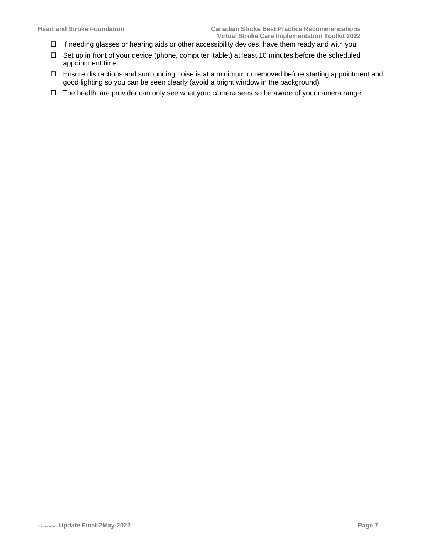- $\Box$  If needing glasses or hearing aids or other accessibility devices, have them ready and with you
- $\Box$  Set up in front of your device (phone, computer, tablet) at least 10 minutes before the scheduled appointment time
- Ensure distractions and surrounding noise is at a minimum or removed before starting appointment and good lighting so you can be seen clearly (avoid a bright window in the background)
- $\Box$  The healthcare provider can only see what your camera sees so be aware of your camera range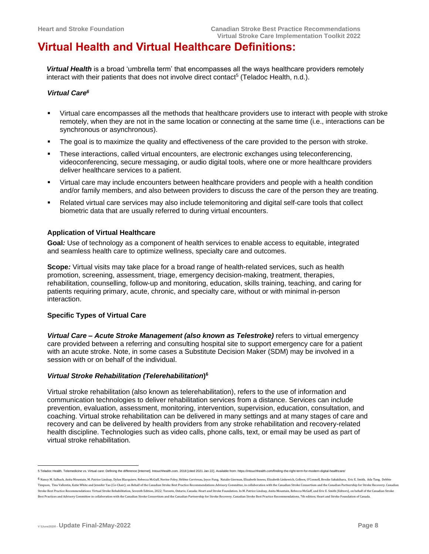### <span id="page-7-0"></span>**Virtual Health and Virtual Healthcare Definitions:**

**Virtual Health** is a broad 'umbrella term' that encompasses all the ways healthcare providers remotely interact with their patients that does not involve direct contact<sup>5</sup> (Teladoc Health, n.d.).

#### *Virtual Care<sup>6</sup>*

- Virtual care encompasses all the methods that healthcare providers use to interact with people with stroke remotely, when they are not in the same location or connecting at the same time (i.e., interactions can be synchronous or asynchronous).
- **•** The goal is to maximize the quality and effectiveness of the care provided to the person with stroke.
- These interactions, called virtual encounters, are electronic exchanges using teleconferencing, videoconferencing, secure messaging, or audio digital tools, where one or more healthcare providers deliver healthcare services to a patient.
- Virtual care may include encounters between healthcare providers and people with a health condition and/or family members, and also between providers to discuss the care of the person they are treating.
- Related virtual care services may also include telemonitoring and digital self-care tools that collect biometric data that are usually referred to during virtual encounters.

#### **Application of Virtual Healthcare**

**Goal***:* Use of technology as a component of health services to enable access to equitable, integrated and seamless health care to optimize wellness, specialty care and outcomes.

**Scope***:* Virtual visits may take place for a broad range of health-related services, such as health promotion, screening, assessment, triage, emergency decision-making, treatment, therapies, rehabilitation, counselling, follow-up and monitoring, education, skills training, teaching, and caring for patients requiring primary, acute, chronic, and specialty care, without or with minimal in-person interaction.

#### **Specific Types of Virtual Care**

*Virtual Care – Acute Stroke Management (also known as Telestroke)* refers to virtual emergency care provided between a referring and consulting hospital site to support emergency care for a patient with an acute stroke. Note, in some cases a Substitute Decision Maker (SDM) may be involved in a session with or on behalf of the individual.

#### *Virtual Stroke Rehabilitation (Telerehabilitation***) 6**

Virtual stroke rehabilitation (also known as telerehabilitation), refers to the use of information and communication technologies to deliver rehabilitation services from a distance. Services can include prevention, evaluation, assessment, monitoring, intervention, supervision, education, consultation, and coaching. Virtual stroke rehabilitation can be delivered in many settings and at many stages of care and recovery and can be delivered by health providers from any stroke rehabilitation and recovery-related health discipline. Technologies such as video calls, phone calls, text, or email may be used as part of virtual stroke rehabilitation.

<sup>5</sup> Teladoc Health. Telemedicine vs. Virtual care: Defining the difference [Internet]. Intouchhealth.com. 2018 [cited 2021 Jan 22]. Available from: https://intouchhealth.com/finding-the-right-term-for-modern-digital-hea

<sup>6</sup> Nancy M. Salbach, Anita Mountain, M. Patrice Lindsay, Dylan Blacquiere, Rebecca McGuff, Norine Foley, Hélène Corriveau, Joyce Fung, Natalie Gierman, Elizabeth Inness, Elizabeth Linkewich, Colleen, O'Connell, Brodie Sakak Timpson, Tina Vallentin, Katie White and Jennifer Yao (Co-Chair); on Behalf of the Canadian Stroke Best Practice Recommendations Advisory Committee, in collaboration with the Canadian Stroke Consortium and the Canadian Par Stroke Best Practice Recommendations: Virtual Stroke Rehabilitation, Seventh Edition, 2022; Toronto, Ontario, Canada: Heart and Stroke Foundation. In M. Patrice Lindsay, Anita Mountain, Rebecca McGuff, and Eric E. Smith (E Best Practices and Advisory Committee in collaboration with the Canadian Stroke Consortium and the Canadian Partnership for Stroke Recovery. Canadian Stroke Best Practice Recommendations, 7th edition; Heart and Stroke Foun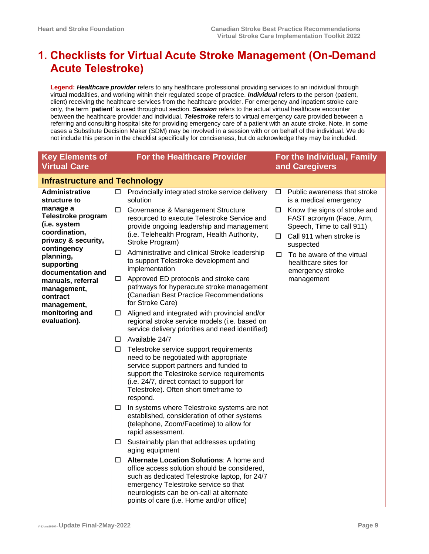# <span id="page-8-0"></span>**1. Checklists for Virtual Acute Stroke Management (On-Demand Acute Telestroke)**

**Legend:** *Healthcare provider* refers to any healthcare professional providing services to an individual through virtual modalities, and working within their regulated scope of practice. *Individual* refers to the person (patient, client) receiving the healthcare services from the healthcare provider. For emergency and inpatient stroke care only, the term '**patient**' is used throughout section. *Session* refers to the actual virtual healthcare encounter between the healthcare provider and individual. *Telestroke* refers to virtual emergency care provided between a referring and consulting hospital site for providing emergency care of a patient with an acute stroke. Note, in some cases a Substitute Decision Maker (SDM) may be involved in a session with or on behalf of the individual. We do not include this person in the checklist specifically for conciseness, but do acknowledge they may be included.

| <b>Key Elements of</b><br><b>Virtual Care</b>                                          |                                      | For the Healthcare Provider                                                                                                                                                                                                                                                      |        | For the Individual, Family<br>and Caregivers                                                                                  |  |  |
|----------------------------------------------------------------------------------------|--------------------------------------|----------------------------------------------------------------------------------------------------------------------------------------------------------------------------------------------------------------------------------------------------------------------------------|--------|-------------------------------------------------------------------------------------------------------------------------------|--|--|
|                                                                                        | <b>Infrastructure and Technology</b> |                                                                                                                                                                                                                                                                                  |        |                                                                                                                               |  |  |
| <b>Administrative</b><br>structure to                                                  | □                                    | Provincially integrated stroke service delivery<br>solution                                                                                                                                                                                                                      | $\Box$ | Public awareness that stroke<br>is a medical emergency                                                                        |  |  |
| manage a<br>Telestroke program<br>(i.e. system<br>coordination,<br>privacy & security, | □                                    | Governance & Management Structure<br>resourced to execute Telestroke Service and<br>provide ongoing leadership and management<br>(i.e. Telehealth Program, Health Authority,<br>Stroke Program)                                                                                  | □<br>□ | Know the signs of stroke and<br>FAST acronym (Face, Arm,<br>Speech, Time to call 911)<br>Call 911 when stroke is<br>suspected |  |  |
| contingency<br>planning,<br>supporting<br>documentation and                            | □                                    | Administrative and clinical Stroke leadership<br>to support Telestroke development and<br>implementation                                                                                                                                                                         | □      | To be aware of the virtual<br>healthcare sites for<br>emergency stroke                                                        |  |  |
| manuals, referral<br>management,<br>contract<br>management,                            | □                                    | Approved ED protocols and stroke care<br>pathways for hyperacute stroke management<br>(Canadian Best Practice Recommendations<br>for Stroke Care)                                                                                                                                |        | management                                                                                                                    |  |  |
| monitoring and<br>evaluation).                                                         | 0                                    | Aligned and integrated with provincial and/or<br>regional stroke service models (i.e. based on<br>service delivery priorities and need identified)                                                                                                                               |        |                                                                                                                               |  |  |
|                                                                                        | □                                    | Available 24/7                                                                                                                                                                                                                                                                   |        |                                                                                                                               |  |  |
|                                                                                        | □                                    | Telestroke service support requirements<br>need to be negotiated with appropriate<br>service support partners and funded to<br>support the Telestroke service requirements<br>(i.e. 24/7, direct contact to support for<br>Telestroke). Often short timeframe to<br>respond.     |        |                                                                                                                               |  |  |
|                                                                                        | ш                                    | In systems where Telestroke systems are not<br>established, consideration of other systems<br>(telephone, Zoom/Facetime) to allow for<br>rapid assessment.                                                                                                                       |        |                                                                                                                               |  |  |
|                                                                                        | $\Box$                               | Sustainably plan that addresses updating<br>aging equipment                                                                                                                                                                                                                      |        |                                                                                                                               |  |  |
|                                                                                        | □                                    | <b>Alternate Location Solutions:</b> A home and<br>office access solution should be considered,<br>such as dedicated Telestroke laptop, for 24/7<br>emergency Telestroke service so that<br>neurologists can be on-call at alternate<br>points of care (i.e. Home and/or office) |        |                                                                                                                               |  |  |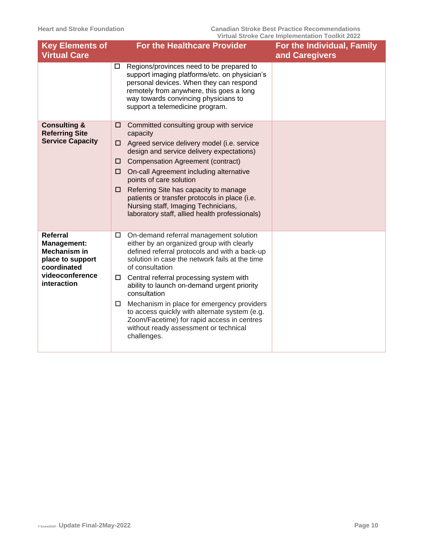| <b>Key Elements of</b>                                                                                                     | <b>For the Healthcare Provider</b>                                                                                                                                                                                                                                                                                                                                                                                                                                                                                                      | For the Individual, Family |
|----------------------------------------------------------------------------------------------------------------------------|-----------------------------------------------------------------------------------------------------------------------------------------------------------------------------------------------------------------------------------------------------------------------------------------------------------------------------------------------------------------------------------------------------------------------------------------------------------------------------------------------------------------------------------------|----------------------------|
| <b>Virtual Care</b>                                                                                                        |                                                                                                                                                                                                                                                                                                                                                                                                                                                                                                                                         | and Caregivers             |
|                                                                                                                            | Regions/provinces need to be prepared to<br>□<br>support imaging platforms/etc. on physician's<br>personal devices. When they can respond<br>remotely from anywhere, this goes a long<br>way towards convincing physicians to<br>support a telemedicine program.                                                                                                                                                                                                                                                                        |                            |
| <b>Consulting &amp;</b><br><b>Referring Site</b><br><b>Service Capacity</b>                                                | Committed consulting group with service<br>⊔<br>capacity<br>Agreed service delivery model (i.e. service<br>□<br>design and service delivery expectations)<br><b>Compensation Agreement (contract)</b><br>⊔<br>On-call Agreement including alternative<br>□<br>points of care solution<br>Referring Site has capacity to manage<br>□<br>patients or transfer protocols in place (i.e.<br>Nursing staff, Imaging Technicians,<br>laboratory staff, allied health professionals)                                                           |                            |
| <b>Referral</b><br>Management:<br><b>Mechanism in</b><br>place to support<br>coordinated<br>videoconference<br>interaction | On-demand referral management solution<br>□<br>either by an organized group with clearly<br>defined referral protocols and with a back-up<br>solution in case the network fails at the time<br>of consultation<br>Central referral processing system with<br>□<br>ability to launch on-demand urgent priority<br>consultation<br>Mechanism in place for emergency providers<br>□<br>to access quickly with alternate system (e.g.<br>Zoom/Facetime) for rapid access in centres<br>without ready assessment or technical<br>challenges. |                            |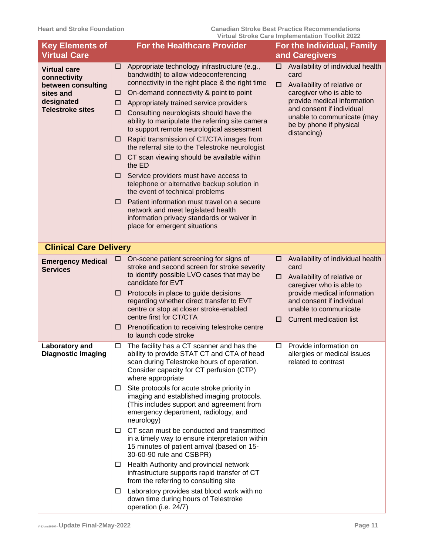| <b>Key Elements of</b><br><b>Virtual Care</b>                                                                   |                                      | <b>For the Healthcare Provider</b>                                                                                                                                                                                                                                                                                                                                                                                                                                                                                                                                                                                                                                                                                                                                                                                                    |             | For the Individual, Family<br>and Caregivers                                                                                                                                                                                             |
|-----------------------------------------------------------------------------------------------------------------|--------------------------------------|---------------------------------------------------------------------------------------------------------------------------------------------------------------------------------------------------------------------------------------------------------------------------------------------------------------------------------------------------------------------------------------------------------------------------------------------------------------------------------------------------------------------------------------------------------------------------------------------------------------------------------------------------------------------------------------------------------------------------------------------------------------------------------------------------------------------------------------|-------------|------------------------------------------------------------------------------------------------------------------------------------------------------------------------------------------------------------------------------------------|
| <b>Virtual care</b><br>connectivity<br>between consulting<br>sites and<br>designated<br><b>Telestroke sites</b> | □<br>□<br>□<br>□<br>⊔<br>□<br>⊔<br>⊔ | Appropriate technology infrastructure (e.g.,<br>bandwidth) to allow videoconferencing<br>connectivity in the right place & the right time<br>On-demand connectivity & point to point<br>Appropriately trained service providers<br>Consulting neurologists should have the<br>ability to manipulate the referring site camera<br>to support remote neurological assessment<br>Rapid transmission of CT/CTA images from<br>the referral site to the Telestroke neurologist<br>CT scan viewing should be available within<br>the ED<br>Service providers must have access to<br>telephone or alternative backup solution in<br>the event of technical problems<br>Patient information must travel on a secure<br>network and meet legislated health<br>information privacy standards or waiver in<br>place for emergent situations      | □<br>$\Box$ | Availability of individual health<br>card<br>Availability of relative or<br>caregiver who is able to<br>provide medical information<br>and consent if individual<br>unable to communicate (may<br>be by phone if physical<br>distancing) |
| <b>Clinical Care Delivery</b>                                                                                   |                                      |                                                                                                                                                                                                                                                                                                                                                                                                                                                                                                                                                                                                                                                                                                                                                                                                                                       |             |                                                                                                                                                                                                                                          |
| <b>Emergency Medical</b><br><b>Services</b>                                                                     | ш<br>□<br>□                          | On-scene patient screening for signs of<br>stroke and second screen for stroke severity<br>to identify possible LVO cases that may be<br>candidate for EVT<br>Protocols in place to guide decisions<br>regarding whether direct transfer to EVT<br>centre or stop at closer stroke-enabled<br>centre first for CT/CTA<br>Prenotification to receiving telestroke centre<br>to launch code stroke                                                                                                                                                                                                                                                                                                                                                                                                                                      | □<br>□<br>□ | Availability of individual health<br>card<br>Availability of relative or<br>caregiver who is able to<br>provide medical information<br>and consent if individual<br>unable to communicate<br><b>Current medication list</b>              |
| Laboratory and<br>Diagnostic Imaging                                                                            | □<br>$\Box$<br>□<br>ப<br>ப           | The facility has a CT scanner and has the<br>ability to provide STAT CT and CTA of head<br>scan during Telestroke hours of operation.<br>Consider capacity for CT perfusion (CTP)<br>where appropriate<br>Site protocols for acute stroke priority in<br>imaging and established imaging protocols.<br>(This includes support and agreement from<br>emergency department, radiology, and<br>neurology)<br>CT scan must be conducted and transmitted<br>in a timely way to ensure interpretation within<br>15 minutes of patient arrival (based on 15-<br>30-60-90 rule and CSBPR)<br>Health Authority and provincial network<br>infrastructure supports rapid transfer of CT<br>from the referring to consulting site<br>Laboratory provides stat blood work with no<br>down time during hours of Telestroke<br>operation (i.e. 24/7) | □           | Provide information on<br>allergies or medical issues<br>related to contrast                                                                                                                                                             |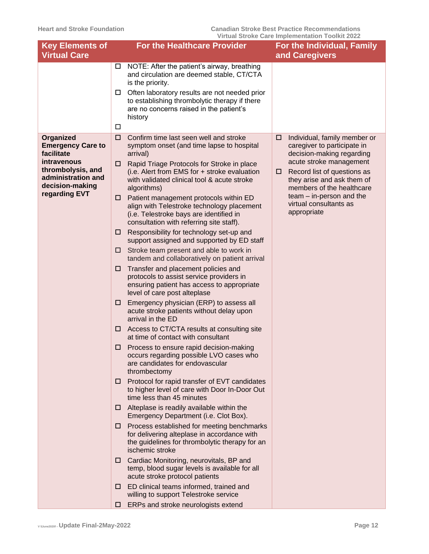| <b>Key Elements of</b><br><b>Virtual Care</b>                                                                        |         | <b>For the Healthcare Provider</b>                                                                                                                                                                                                                                                 |        | For the Individual, Family<br>and Caregivers                                                                                                       |
|----------------------------------------------------------------------------------------------------------------------|---------|------------------------------------------------------------------------------------------------------------------------------------------------------------------------------------------------------------------------------------------------------------------------------------|--------|----------------------------------------------------------------------------------------------------------------------------------------------------|
|                                                                                                                      | □       | $\Box$ NOTE: After the patient's airway, breathing<br>and circulation are deemed stable, CT/CTA<br>is the priority.<br>$\Box$ Often laboratory results are not needed prior<br>to establishing thrombolytic therapy if there<br>are no concerns raised in the patient's<br>history |        |                                                                                                                                                    |
| <b>Organized</b><br><b>Emergency Care to</b><br>facilitate<br>intravenous<br>thrombolysis, and<br>administration and | □<br>□. | Confirm time last seen well and stroke<br>symptom onset (and time lapse to hospital<br>arrival)<br>Rapid Triage Protocols for Stroke in place<br>(i.e. Alert from EMS for + stroke evaluation                                                                                      | □<br>□ | Individual, family member or<br>caregiver to participate in<br>decision-making regarding<br>acute stroke management<br>Record list of questions as |
| decision-making<br>regarding EVT                                                                                     |         | with validated clinical tool & acute stroke<br>algorithms)<br>$\Box$ Patient management protocols within ED<br>align with Telestroke technology placement<br>(i.e. Telestroke bays are identified in<br>consultation with referring site staff).                                   |        | they arise and ask them of<br>members of the healthcare<br>team - in-person and the<br>virtual consultants as<br>appropriate                       |
|                                                                                                                      | □.<br>□ | Responsibility for technology set-up and<br>support assigned and supported by ED staff<br>Stroke team present and able to work in                                                                                                                                                  |        |                                                                                                                                                    |
|                                                                                                                      | □       | tandem and collaboratively on patient arrival<br>Transfer and placement policies and<br>protocols to assist service providers in<br>ensuring patient has access to appropriate<br>level of care post alteplase                                                                     |        |                                                                                                                                                    |
|                                                                                                                      | □       | Emergency physician (ERP) to assess all<br>acute stroke patients without delay upon<br>arrival in the ED                                                                                                                                                                           |        |                                                                                                                                                    |
|                                                                                                                      | □       | Access to CT/CTA results at consulting site<br>at time of contact with consultant                                                                                                                                                                                                  |        |                                                                                                                                                    |
|                                                                                                                      | □       | Process to ensure rapid decision-making<br>occurs regarding possible LVO cases who<br>are candidates for endovascular<br>thrombectomy                                                                                                                                              |        |                                                                                                                                                    |
|                                                                                                                      |         | $\Box$ Protocol for rapid transfer of EVT candidates<br>to higher level of care with Door In-Door Out<br>time less than 45 minutes                                                                                                                                                 |        |                                                                                                                                                    |
|                                                                                                                      |         | $\Box$ Alteplase is readily available within the<br>Emergency Department (i.e. Clot Box).                                                                                                                                                                                          |        |                                                                                                                                                    |
|                                                                                                                      | ш       | Process established for meeting benchmarks<br>for delivering alteplase in accordance with<br>the guidelines for thrombolytic therapy for an<br>ischemic stroke                                                                                                                     |        |                                                                                                                                                    |
|                                                                                                                      |         | □ Cardiac Monitoring, neurovitals, BP and<br>temp, blood sugar levels is available for all<br>acute stroke protocol patients                                                                                                                                                       |        |                                                                                                                                                    |
|                                                                                                                      | □       | ED clinical teams informed, trained and<br>willing to support Telestroke service                                                                                                                                                                                                   |        |                                                                                                                                                    |
|                                                                                                                      | □       | ERPs and stroke neurologists extend                                                                                                                                                                                                                                                |        |                                                                                                                                                    |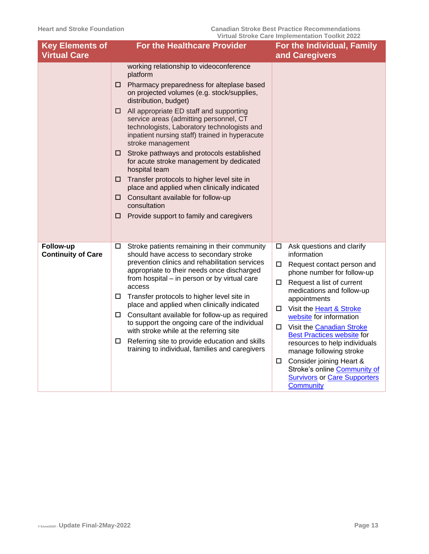| <b>Key Elements of</b><br><b>Virtual Care</b> | <b>For the Healthcare Provider</b>                                                                                                                                                                                                                                                                                                                                                                                                                                                                                                                                                                                                                                                                                              | For the Individual, Family<br>and Caregivers                                                                                                                                                                                                                                                                                                                                                                                                                                                                             |
|-----------------------------------------------|---------------------------------------------------------------------------------------------------------------------------------------------------------------------------------------------------------------------------------------------------------------------------------------------------------------------------------------------------------------------------------------------------------------------------------------------------------------------------------------------------------------------------------------------------------------------------------------------------------------------------------------------------------------------------------------------------------------------------------|--------------------------------------------------------------------------------------------------------------------------------------------------------------------------------------------------------------------------------------------------------------------------------------------------------------------------------------------------------------------------------------------------------------------------------------------------------------------------------------------------------------------------|
|                                               |                                                                                                                                                                                                                                                                                                                                                                                                                                                                                                                                                                                                                                                                                                                                 |                                                                                                                                                                                                                                                                                                                                                                                                                                                                                                                          |
|                                               | working relationship to videoconference<br>platform<br>Pharmacy preparedness for alteplase based<br>□.<br>on projected volumes (e.g. stock/supplies,<br>distribution, budget)<br>All appropriate ED staff and supporting<br>□<br>service areas (admitting personnel, CT<br>technologists, Laboratory technologists and<br>inpatient nursing staff) trained in hyperacute<br>stroke management<br>$\square$ Stroke pathways and protocols established<br>for acute stroke management by dedicated<br>hospital team<br>Transfer protocols to higher level site in<br>□<br>place and applied when clinically indicated<br>Consultant available for follow-up<br>□<br>consultation<br>Provide support to family and caregivers<br>□ |                                                                                                                                                                                                                                                                                                                                                                                                                                                                                                                          |
| Follow-up<br><b>Continuity of Care</b>        | Stroke patients remaining in their community<br>□<br>should have access to secondary stroke<br>prevention clinics and rehabilitation services<br>appropriate to their needs once discharged<br>from hospital – in person or by virtual care<br>access<br>Transfer protocols to higher level site in<br>place and applied when clinically indicated<br>$\Box$ Consultant available for follow-up as required<br>to support the ongoing care of the individual<br>with stroke while at the referring site<br>Referring site to provide education and skills<br>$\Box$<br>training to individual, families and caregivers                                                                                                          | Ask questions and clarify<br>□<br>information<br>0<br>Request contact person and<br>phone number for follow-up<br>Request a list of current<br>0<br>medications and follow-up<br>appointments<br>Visit the Heart & Stroke<br>□<br>website for information<br>Visit the Canadian Stroke<br>0<br><b>Best Practices website for</b><br>resources to help individuals<br>manage following stroke<br>Consider joining Heart &<br>0<br>Stroke's online Community of<br><b>Survivors or Care Supporters</b><br><b>Community</b> |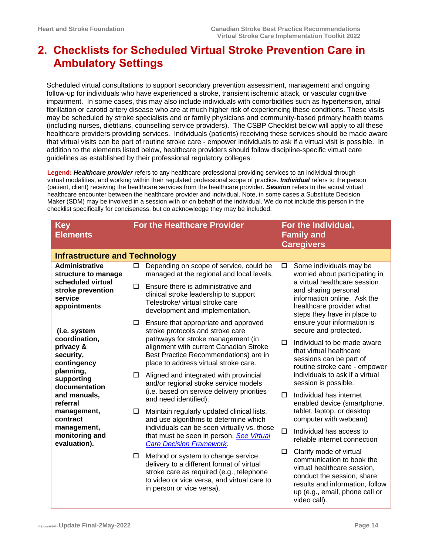# <span id="page-13-0"></span>**2. Checklists for Scheduled Virtual Stroke Prevention Care in Ambulatory Settings**

Scheduled virtual consultations to support secondary prevention assessment, management and ongoing follow-up for individuals who have experienced a stroke, transient ischemic attack, or vascular cognitive impairment. In some cases, this may also include individuals with comorbidities such as hypertension, atrial fibrillation or carotid artery disease who are at much higher risk of experiencing these conditions. These visits may be scheduled by stroke specialists and or family physicians and community-based primary health teams (including nurses, dietitians, counselling service providers). The CSBP Checklist below will apply to all these healthcare providers providing services. Individuals (patients) receiving these services should be made aware that virtual visits can be part of routine stroke care - empower individuals to ask if a virtual visit is possible. In addition to the elements listed below, healthcare providers should follow discipline-specific virtual care guidelines as established by their professional regulatory colleges.

**Legend:** *Healthcare provider* refers to any healthcare professional providing services to an individual through virtual modalities, and working within their regulated professional scope of practice. *Individual* refers to the person (patient, client) receiving the healthcare services from the healthcare provider. *Session* refers to the actual virtual healthcare encounter between the healthcare provider and individual. Note, in some cases a Substitute Decision Maker (SDM) may be involved in a session with or on behalf of the individual. We do not include this person in the checklist specifically for conciseness, but do acknowledge they may be included.

<span id="page-13-1"></span>

| <b>Key</b><br><b>Elements</b>                                     |   | <b>For the Healthcare Provider</b>                                                                                                                                                                      |        | For the Individual,<br><b>Family and</b><br><b>Caregivers</b>                                                                                                                                          |
|-------------------------------------------------------------------|---|---------------------------------------------------------------------------------------------------------------------------------------------------------------------------------------------------------|--------|--------------------------------------------------------------------------------------------------------------------------------------------------------------------------------------------------------|
| <b>Infrastructure and Technology</b>                              |   |                                                                                                                                                                                                         |        |                                                                                                                                                                                                        |
| <b>Administrative</b><br>structure to manage                      | □ | Depending on scope of service, could be<br>managed at the regional and local levels.                                                                                                                    | 0      | Some individuals may be<br>worried about participating in                                                                                                                                              |
| scheduled virtual<br>stroke prevention<br>service<br>appointments | □ | Ensure there is administrative and<br>clinical stroke leadership to support<br>Telestroke/ virtual stroke care<br>development and implementation.                                                       |        | a virtual healthcare session<br>and sharing personal<br>information online. Ask the<br>healthcare provider what<br>steps they have in place to                                                         |
| (i.e. system                                                      | □ | Ensure that appropriate and approved<br>stroke protocols and stroke care                                                                                                                                |        | ensure your information is<br>secure and protected.                                                                                                                                                    |
| coordination,<br>privacy &<br>security,<br>contingency            |   | pathways for stroke management (in<br>alignment with current Canadian Stroke<br>Best Practice Recommendations) are in<br>place to address virtual stroke care.                                          | □      | Individual to be made aware<br>that virtual healthcare<br>sessions can be part of<br>routine stroke care - empower                                                                                     |
| planning,<br>supporting<br>documentation                          | □ | Aligned and integrated with provincial<br>and/or regional stroke service models                                                                                                                         |        | individuals to ask if a virtual<br>session is possible.                                                                                                                                                |
| and manuals,<br>referral                                          |   | (i.e. based on service delivery priorities<br>and need identified).                                                                                                                                     | $\Box$ | Individual has internet<br>enabled device (smartphone,                                                                                                                                                 |
| management,<br>contract                                           | □ | Maintain regularly updated clinical lists,<br>and use algorithms to determine which                                                                                                                     |        | tablet, laptop, or desktop<br>computer with webcam)                                                                                                                                                    |
| management,<br>monitoring and<br>evaluation).                     |   | individuals can be seen virtually vs. those<br>that must be seen in person. See Virtual<br><b>Care Decision Framework.</b>                                                                              | □      | Individual has access to<br>reliable internet connection                                                                                                                                               |
|                                                                   | □ | Method or system to change service<br>delivery to a different format of virtual<br>stroke care as required (e.g., telephone<br>to video or vice versa, and virtual care to<br>in person or vice versa). | □      | Clarify mode of virtual<br>communication to book the<br>virtual healthcare session,<br>conduct the session, share<br>results and information, follow<br>up (e.g., email, phone call or<br>video call). |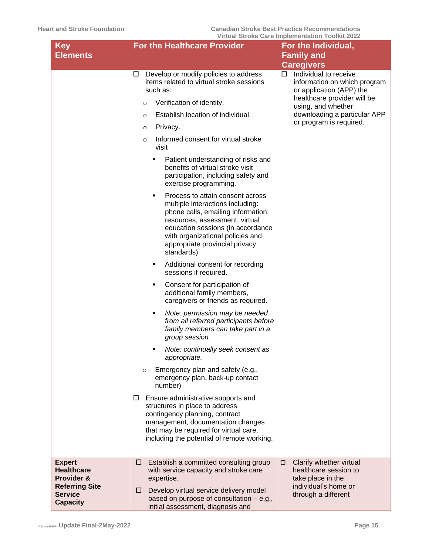| <b>Key</b>                                                                                                     | <b>For the Healthcare Provider</b>                                                                                                                                                                                                                                                                                                                                                                                                                                                                                                                                                                                                                                                                                                                                                                                                                                                                                                                                                                                                                                                                                                                                                                                                                                                                                                                                           | For the Individual,                                                                                                                                                                                                                              |
|----------------------------------------------------------------------------------------------------------------|------------------------------------------------------------------------------------------------------------------------------------------------------------------------------------------------------------------------------------------------------------------------------------------------------------------------------------------------------------------------------------------------------------------------------------------------------------------------------------------------------------------------------------------------------------------------------------------------------------------------------------------------------------------------------------------------------------------------------------------------------------------------------------------------------------------------------------------------------------------------------------------------------------------------------------------------------------------------------------------------------------------------------------------------------------------------------------------------------------------------------------------------------------------------------------------------------------------------------------------------------------------------------------------------------------------------------------------------------------------------------|--------------------------------------------------------------------------------------------------------------------------------------------------------------------------------------------------------------------------------------------------|
|                                                                                                                |                                                                                                                                                                                                                                                                                                                                                                                                                                                                                                                                                                                                                                                                                                                                                                                                                                                                                                                                                                                                                                                                                                                                                                                                                                                                                                                                                                              |                                                                                                                                                                                                                                                  |
| <b>Elements</b>                                                                                                | Develop or modify policies to address<br>□<br>items related to virtual stroke sessions<br>such as:<br>Verification of identity.<br>$\circ$<br>Establish location of individual.<br>$\circ$<br>Privacy.<br>$\circ$<br>Informed consent for virtual stroke<br>$\circ$<br>visit<br>Patient understanding of risks and<br>benefits of virtual stroke visit<br>participation, including safety and<br>exercise programming.<br>Process to attain consent across<br>multiple interactions including:<br>phone calls, emailing information,<br>resources, assessment, virtual<br>education sessions (in accordance<br>with organizational policies and<br>appropriate provincial privacy<br>standards).<br>Additional consent for recording<br>٠<br>sessions if required.<br>Consent for participation of<br>٠<br>additional family members,<br>caregivers or friends as required.<br>Note: permission may be needed<br>٠<br>from all referred participants before<br>family members can take part in a<br>group session.<br>Note: continually seek consent as<br>٠<br>appropriate.<br>Emergency plan and safety (e.g.,<br>$\circ$<br>emergency plan, back-up contact<br>number)<br>Ensure administrative supports and<br>$\Box$<br>structures in place to address<br>contingency planning, contract<br>management, documentation changes<br>that may be required for virtual care, | <b>Family and</b><br><b>Caregivers</b><br>Individual to receive<br>□<br>information on which program<br>or application (APP) the<br>healthcare provider will be<br>using, and whether<br>downloading a particular APP<br>or program is required. |
| <b>Expert</b><br><b>Healthcare</b><br>Provider &<br><b>Referring Site</b><br><b>Service</b><br><b>Capacity</b> | including the potential of remote working.<br>Establish a committed consulting group<br>□<br>with service capacity and stroke care<br>expertise.<br>Develop virtual service delivery model<br>□.<br>based on purpose of consultation - e.g.,<br>initial assessment, diagnosis and                                                                                                                                                                                                                                                                                                                                                                                                                                                                                                                                                                                                                                                                                                                                                                                                                                                                                                                                                                                                                                                                                            | Clarify whether virtual<br>□<br>healthcare session to<br>take place in the<br>individual's home or<br>through a different                                                                                                                        |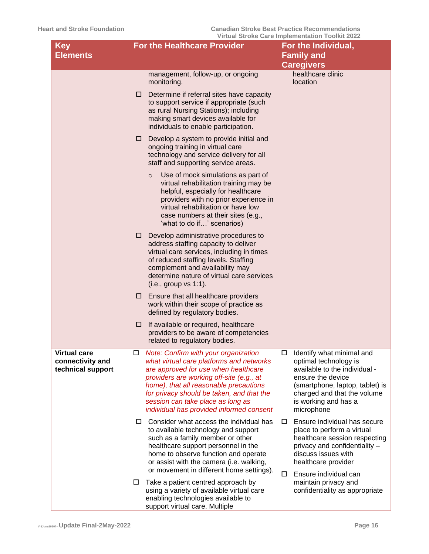| <b>Key</b>                                                   | <b>For the Healthcare Provider</b>                                                                                                                                                                                                                                                                                                                       | <u>VII tuai Oti UNG Odi 6 iliipigiligilidtii TUUINIt ZUZZ</u><br>For the Individual,                                                                                                                                  |
|--------------------------------------------------------------|----------------------------------------------------------------------------------------------------------------------------------------------------------------------------------------------------------------------------------------------------------------------------------------------------------------------------------------------------------|-----------------------------------------------------------------------------------------------------------------------------------------------------------------------------------------------------------------------|
| <b>Elements</b>                                              |                                                                                                                                                                                                                                                                                                                                                          | <b>Family and</b><br><b>Caregivers</b>                                                                                                                                                                                |
|                                                              | management, follow-up, or ongoing<br>monitoring.                                                                                                                                                                                                                                                                                                         | healthcare clinic<br>location                                                                                                                                                                                         |
|                                                              | Determine if referral sites have capacity<br>□<br>to support service if appropriate (such<br>as rural Nursing Stations); including<br>making smart devices available for<br>individuals to enable participation.                                                                                                                                         |                                                                                                                                                                                                                       |
|                                                              | Develop a system to provide initial and<br>$\Box$<br>ongoing training in virtual care<br>technology and service delivery for all<br>staff and supporting service areas.                                                                                                                                                                                  |                                                                                                                                                                                                                       |
|                                                              | Use of mock simulations as part of<br>$\circ$<br>virtual rehabilitation training may be<br>helpful, especially for healthcare<br>providers with no prior experience in<br>virtual rehabilitation or have low<br>case numbers at their sites (e.g.,<br>'what to do if' scenarios)                                                                         |                                                                                                                                                                                                                       |
|                                                              | Develop administrative procedures to<br>□.<br>address staffing capacity to deliver<br>virtual care services, including in times<br>of reduced staffing levels. Staffing<br>complement and availability may<br>determine nature of virtual care services<br>(i.e., group vs 1:1).                                                                         |                                                                                                                                                                                                                       |
|                                                              | $\Box$ Ensure that all healthcare providers<br>work within their scope of practice as<br>defined by regulatory bodies.                                                                                                                                                                                                                                   |                                                                                                                                                                                                                       |
|                                                              | If available or required, healthcare<br>□<br>providers to be aware of competencies<br>related to regulatory bodies.                                                                                                                                                                                                                                      |                                                                                                                                                                                                                       |
| <b>Virtual care</b><br>connectivity and<br>technical support | □<br><b>Note: Confirm with your organization</b><br>what virtual care platforms and networks<br>are approved for use when healthcare<br>providers are working off-site (e.g., at<br>home), that all reasonable precautions<br>for privacy should be taken, and that the<br>session can take place as long as<br>individual has provided informed consent | □<br>Identify what minimal and<br>optimal technology is<br>available to the individual -<br>ensure the device<br>(smartphone, laptop, tablet) is<br>charged and that the volume<br>is working and has a<br>microphone |
|                                                              | Consider what access the individual has<br>0<br>to available technology and support<br>such as a family member or other<br>healthcare support personnel in the<br>home to observe function and operate<br>or assist with the camera (i.e. walking,<br>or movement in different home settings).                                                           | Ensure individual has secure<br>0<br>place to perform a virtual<br>healthcare session respecting<br>privacy and confidentiality -<br>discuss issues with<br>healthcare provider                                       |
|                                                              | Take a patient centred approach by<br>□<br>using a variety of available virtual care<br>enabling technologies available to<br>support virtual care. Multiple                                                                                                                                                                                             | Ensure individual can<br>□<br>maintain privacy and<br>confidentiality as appropriate                                                                                                                                  |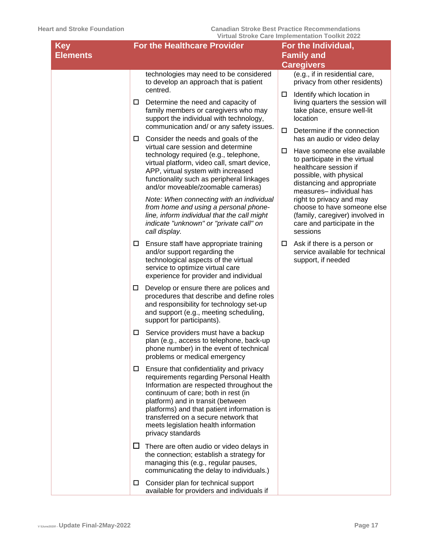| <b>Key</b>      | <b>For the Healthcare Provider</b>                                                                                                                                                                                                                                                                                                                                     | For the Individual,                                                                                                                                                            |
|-----------------|------------------------------------------------------------------------------------------------------------------------------------------------------------------------------------------------------------------------------------------------------------------------------------------------------------------------------------------------------------------------|--------------------------------------------------------------------------------------------------------------------------------------------------------------------------------|
| <b>Elements</b> |                                                                                                                                                                                                                                                                                                                                                                        | <b>Family and</b><br><b>Caregivers</b>                                                                                                                                         |
|                 | technologies may need to be considered<br>to develop an approach that is patient<br>centred.                                                                                                                                                                                                                                                                           | (e.g., if in residential care,<br>privacy from other residents)                                                                                                                |
|                 | Determine the need and capacity of<br>$\Box$<br>family members or caregivers who may<br>support the individual with technology,<br>communication and/ or any safety issues.                                                                                                                                                                                            | Identify which location in<br>□<br>living quarters the session will<br>take place, ensure well-lit<br>location                                                                 |
|                 | Consider the needs and goals of the<br>$\Box$                                                                                                                                                                                                                                                                                                                          | Determine if the connection<br>□<br>has an audio or video delay                                                                                                                |
|                 | virtual care session and determine<br>technology required (e.g., telephone,<br>virtual platform, video call, smart device,<br>APP, virtual system with increased<br>functionality such as peripheral linkages<br>and/or moveable/zoomable cameras)                                                                                                                     | Have someone else available<br>□<br>to participate in the virtual<br>healthcare session if<br>possible, with physical<br>distancing and appropriate<br>measures-individual has |
|                 | Note: When connecting with an individual<br>from home and using a personal phone-<br>line, inform individual that the call might<br>indicate "unknown" or "private call" on<br>call display.                                                                                                                                                                           | right to privacy and may<br>choose to have someone else<br>(family, caregiver) involved in<br>care and participate in the<br>sessions                                          |
|                 | Ensure staff have appropriate training<br>$\Box$<br>and/or support regarding the<br>technological aspects of the virtual<br>service to optimize virtual care<br>experience for provider and individual                                                                                                                                                                 | Ask if there is a person or<br>□<br>service available for technical<br>support, if needed                                                                                      |
|                 | Develop or ensure there are polices and<br>□<br>procedures that describe and define roles<br>and responsibility for technology set-up<br>and support (e.g., meeting scheduling,<br>support for participants).                                                                                                                                                          |                                                                                                                                                                                |
|                 | Service providers must have a backup<br>$\Box$<br>plan (e.g., access to telephone, back-up<br>phone number) in the event of technical<br>problems or medical emergency                                                                                                                                                                                                 |                                                                                                                                                                                |
|                 | Ensure that confidentiality and privacy<br>$\Box$<br>requirements regarding Personal Health<br>Information are respected throughout the<br>continuum of care; both in rest (in<br>platform) and in transit (between<br>platforms) and that patient information is<br>transferred on a secure network that<br>meets legislation health information<br>privacy standards |                                                                                                                                                                                |
|                 | $\Box$ There are often audio or video delays in<br>the connection; establish a strategy for<br>managing this (e.g., regular pauses,<br>communicating the delay to individuals.)                                                                                                                                                                                        |                                                                                                                                                                                |
|                 | Consider plan for technical support<br>$\Box$<br>available for providers and individuals if                                                                                                                                                                                                                                                                            |                                                                                                                                                                                |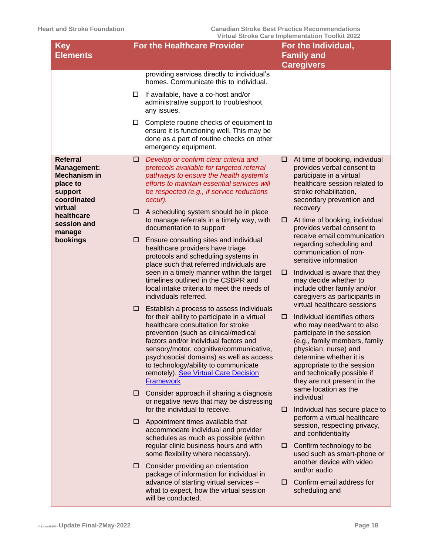| <b>Key</b><br><b>Elements</b>                                                                                 | <b>For the Healthcare Provider</b>                                                                                                                                                                                                                                                                                                                                                                                                                                                                                                                                                                                                                                                                                                                                                                          | For the Individual,<br><b>Family and</b><br><b>Caregivers</b>                                                                                                                                                                                                                                                                                                                                                                                                                                                                                                                                  |
|---------------------------------------------------------------------------------------------------------------|-------------------------------------------------------------------------------------------------------------------------------------------------------------------------------------------------------------------------------------------------------------------------------------------------------------------------------------------------------------------------------------------------------------------------------------------------------------------------------------------------------------------------------------------------------------------------------------------------------------------------------------------------------------------------------------------------------------------------------------------------------------------------------------------------------------|------------------------------------------------------------------------------------------------------------------------------------------------------------------------------------------------------------------------------------------------------------------------------------------------------------------------------------------------------------------------------------------------------------------------------------------------------------------------------------------------------------------------------------------------------------------------------------------------|
|                                                                                                               | providing services directly to individual's<br>homes. Communicate this to individual.                                                                                                                                                                                                                                                                                                                                                                                                                                                                                                                                                                                                                                                                                                                       |                                                                                                                                                                                                                                                                                                                                                                                                                                                                                                                                                                                                |
|                                                                                                               | If available, have a co-host and/or<br>□<br>administrative support to troubleshoot<br>any issues.                                                                                                                                                                                                                                                                                                                                                                                                                                                                                                                                                                                                                                                                                                           |                                                                                                                                                                                                                                                                                                                                                                                                                                                                                                                                                                                                |
|                                                                                                               | Complete routine checks of equipment to<br>□<br>ensure it is functioning well. This may be<br>done as a part of routine checks on other<br>emergency equipment.                                                                                                                                                                                                                                                                                                                                                                                                                                                                                                                                                                                                                                             |                                                                                                                                                                                                                                                                                                                                                                                                                                                                                                                                                                                                |
| <b>Referral</b><br><b>Management:</b><br><b>Mechanism in</b><br>place to<br>support<br>coordinated<br>virtual | Develop or confirm clear criteria and<br>□<br>protocols available for targeted referral<br>pathways to ensure the health system's<br>efforts to maintain essential services will<br>be respected (e.g., if service reductions<br>occur).<br>A scheduling system should be in place                                                                                                                                                                                                                                                                                                                                                                                                                                                                                                                          | $\Box$<br>At time of booking, individual<br>provides verbal consent to<br>participate in a virtual<br>healthcare session related to<br>stroke rehabilitation,<br>secondary prevention and<br>recovery                                                                                                                                                                                                                                                                                                                                                                                          |
| healthcare<br>session and<br>manage<br>bookings                                                               | ⊔<br>to manage referrals in a timely way, with<br>documentation to support<br>Ensure consulting sites and individual<br>□<br>healthcare providers have triage<br>protocols and scheduling systems in<br>place such that referred individuals are<br>seen in a timely manner within the target<br>timelines outlined in the CSBPR and<br>local intake criteria to meet the needs of<br>individuals referred.<br>Establish a process to assess individuals<br>□<br>for their ability to participate in a virtual<br>healthcare consultation for stroke<br>prevention (such as clinical/medical<br>factors and/or individual factors and<br>sensory/motor, cognitive/communicative,<br>psychosocial domains) as well as access<br>to technology/ability to communicate<br>remotely). See Virtual Care Decision | At time of booking, individual<br>□<br>provides verbal consent to<br>receive email communication<br>regarding scheduling and<br>communication of non-<br>sensitive information<br>Individual is aware that they<br>□<br>may decide whether to<br>include other family and/or<br>caregivers as participants in<br>virtual healthcare sessions<br>Individual identifies others<br>□<br>who may need/want to also<br>participate in the session<br>(e.g., family members, family<br>physician, nurse) and<br>determine whether it is<br>appropriate to the session<br>and technically possible if |
|                                                                                                               | <b>Framework</b><br>Consider approach if sharing a diagnosis<br>□<br>or negative news that may be distressing<br>for the individual to receive.                                                                                                                                                                                                                                                                                                                                                                                                                                                                                                                                                                                                                                                             | they are not present in the<br>same location as the<br>individual<br>Individual has secure place to<br>□                                                                                                                                                                                                                                                                                                                                                                                                                                                                                       |
|                                                                                                               | Appointment times available that<br>□<br>accommodate individual and provider<br>schedules as much as possible (within<br>regular clinic business hours and with                                                                                                                                                                                                                                                                                                                                                                                                                                                                                                                                                                                                                                             | perform a virtual healthcare<br>session, respecting privacy,<br>and confidentiality<br>Confirm technology to be<br>□                                                                                                                                                                                                                                                                                                                                                                                                                                                                           |
|                                                                                                               | some flexibility where necessary).<br>Consider providing an orientation<br>□<br>package of information for individual in<br>advance of starting virtual services -<br>what to expect, how the virtual session<br>will be conducted.                                                                                                                                                                                                                                                                                                                                                                                                                                                                                                                                                                         | used such as smart-phone or<br>another device with video<br>and/or audio<br>Confirm email address for<br>$\Box$<br>scheduling and                                                                                                                                                                                                                                                                                                                                                                                                                                                              |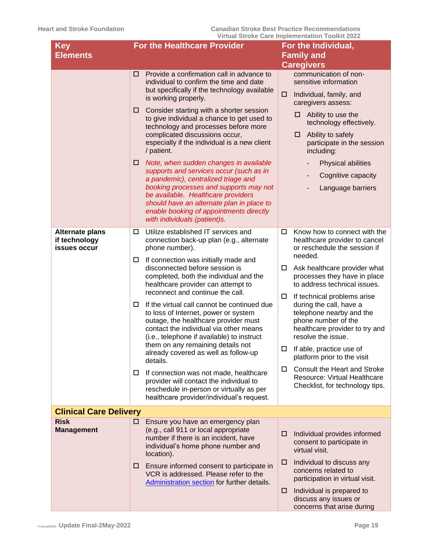| <b>Key</b>                                              | <b>For the Healthcare Provider</b>                                                                                                                                                                                                                                                                                                    | For the Individual,                                                                                                                                                                 |  |  |
|---------------------------------------------------------|---------------------------------------------------------------------------------------------------------------------------------------------------------------------------------------------------------------------------------------------------------------------------------------------------------------------------------------|-------------------------------------------------------------------------------------------------------------------------------------------------------------------------------------|--|--|
| <b>Elements</b>                                         |                                                                                                                                                                                                                                                                                                                                       | <b>Family and</b>                                                                                                                                                                   |  |  |
|                                                         |                                                                                                                                                                                                                                                                                                                                       | <b>Caregivers</b>                                                                                                                                                                   |  |  |
|                                                         | Provide a confirmation call in advance to<br>□<br>individual to confirm the time and date<br>but specifically if the technology available<br>is working properly.                                                                                                                                                                     | communication of non-<br>sensitive information<br>Individual, family, and<br>□<br>caregivers assess:                                                                                |  |  |
|                                                         | Consider starting with a shorter session<br>□<br>to give individual a chance to get used to<br>technology and processes before more<br>complicated discussions occur,<br>especially if the individual is a new client<br>/ patient.                                                                                                   | $\Box$ Ability to use the<br>technology effectively.<br>Ability to safely<br>□<br>participate in the session<br>including:                                                          |  |  |
|                                                         | Note, when sudden changes in available<br>□<br>supports and services occur (such as in<br>a pandemic), centralized triage and<br>booking processes and supports may not<br>be available. Healthcare providers<br>should have an alternate plan in place to<br>enable booking of appointments directly<br>with individuals (patient)s. | Physical abilities<br>Cognitive capacity<br>Language barriers                                                                                                                       |  |  |
| <b>Alternate plans</b><br>if technology<br>issues occur | Utilize established IT services and<br>□<br>connection back-up plan (e.g., alternate<br>phone number).                                                                                                                                                                                                                                | Know how to connect with the<br>0<br>healthcare provider to cancel<br>or reschedule the session if                                                                                  |  |  |
|                                                         | If connection was initially made and<br>□<br>disconnected before session is<br>completed, both the individual and the<br>healthcare provider can attempt to<br>reconnect and continue the call.                                                                                                                                       | needed.<br>Ask healthcare provider what<br>□<br>processes they have in place<br>to address technical issues.                                                                        |  |  |
|                                                         | If the virtual call cannot be continued due<br>□<br>to loss of Internet, power or system<br>outage, the healthcare provider must<br>contact the individual via other means<br>(i.e., telephone if available) to instruct                                                                                                              | If technical problems arise<br>$\Box$<br>during the call, have a<br>telephone nearby and the<br>phone number of the<br>healthcare provider to try and<br>resolve the issue.         |  |  |
|                                                         | them on any remaining details not<br>already covered as well as follow-up<br>details.                                                                                                                                                                                                                                                 | If able, practice use of<br>$\Box$<br>platform prior to the visit                                                                                                                   |  |  |
|                                                         | If connection was not made, healthcare<br>0<br>provider will contact the individual to<br>reschedule in-person or virtually as per<br>healthcare provider/individual's request.                                                                                                                                                       | Consult the Heart and Stroke<br>□<br><b>Resource: Virtual Healthcare</b><br>Checklist, for technology tips.                                                                         |  |  |
| <b>Clinical Care Delivery</b>                           |                                                                                                                                                                                                                                                                                                                                       |                                                                                                                                                                                     |  |  |
| <b>Risk</b><br><b>Management</b>                        | Ensure you have an emergency plan<br>0<br>(e.g., call 911 or local appropriate<br>number if there is an incident, have<br>individual's home phone number and<br>location).                                                                                                                                                            | Individual provides informed<br>□.<br>consent to participate in<br>virtual visit.                                                                                                   |  |  |
|                                                         | Ensure informed consent to participate in<br>Ц.<br>VCR is addressed. Please refer to the<br>Administration section for further details.                                                                                                                                                                                               | Individual to discuss any<br>□<br>concerns related to<br>participation in virtual visit.<br>$\Box$ Individual is prepared to<br>discuss any issues or<br>concerns that arise during |  |  |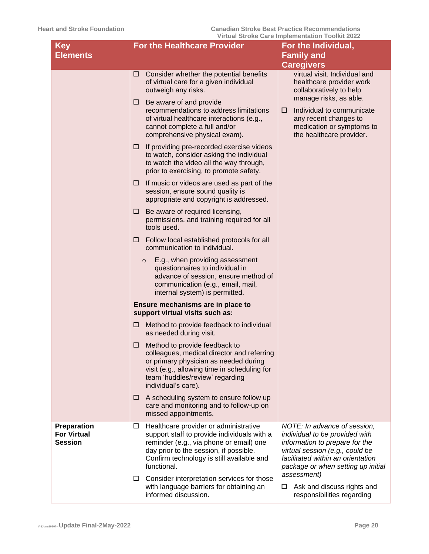| <b>Key</b><br><b>Elements</b>                              | <b>For the Healthcare Provider</b>                                                                                                                                                                                                              | For the Individual,<br><b>Family and</b>                                                                                                                                                                       |
|------------------------------------------------------------|-------------------------------------------------------------------------------------------------------------------------------------------------------------------------------------------------------------------------------------------------|----------------------------------------------------------------------------------------------------------------------------------------------------------------------------------------------------------------|
|                                                            |                                                                                                                                                                                                                                                 | <b>Caregivers</b>                                                                                                                                                                                              |
|                                                            | Consider whether the potential benefits<br>□<br>of virtual care for a given individual<br>outweigh any risks.                                                                                                                                   | virtual visit. Individual and<br>healthcare provider work<br>collaboratively to help                                                                                                                           |
|                                                            | Be aware of and provide<br>□<br>recommendations to address limitations<br>of virtual healthcare interactions (e.g.,<br>cannot complete a full and/or<br>comprehensive physical exam).                                                           | manage risks, as able.<br>Individual to communicate<br>□<br>any recent changes to<br>medication or symptoms to<br>the healthcare provider.                                                                     |
|                                                            | If providing pre-recorded exercise videos<br>□<br>to watch, consider asking the individual<br>to watch the video all the way through,<br>prior to exercising, to promote safety.                                                                |                                                                                                                                                                                                                |
|                                                            | If music or videos are used as part of the<br>⊔<br>session, ensure sound quality is<br>appropriate and copyright is addressed.                                                                                                                  |                                                                                                                                                                                                                |
|                                                            | Be aware of required licensing,<br>⊔<br>permissions, and training required for all<br>tools used.                                                                                                                                               |                                                                                                                                                                                                                |
|                                                            | Follow local established protocols for all<br>□<br>communication to individual.                                                                                                                                                                 |                                                                                                                                                                                                                |
|                                                            | E.g., when providing assessment<br>$\circ$<br>questionnaires to individual in<br>advance of session, ensure method of<br>communication (e.g., email, mail,<br>internal system) is permitted.                                                    |                                                                                                                                                                                                                |
|                                                            | Ensure mechanisms are in place to<br>support virtual visits such as:                                                                                                                                                                            |                                                                                                                                                                                                                |
|                                                            | Method to provide feedback to individual<br>⊔<br>as needed during visit.                                                                                                                                                                        |                                                                                                                                                                                                                |
|                                                            | Method to provide feedback to<br>□<br>colleagues, medical director and referring<br>or primary physician as needed during<br>visit (e.g., allowing time in scheduling for<br>team 'huddles/review' regarding<br>individual's care).             |                                                                                                                                                                                                                |
|                                                            | A scheduling system to ensure follow up<br>⊔<br>care and monitoring and to follow-up on<br>missed appointments.                                                                                                                                 |                                                                                                                                                                                                                |
| <b>Preparation</b><br><b>For Virtual</b><br><b>Session</b> | Healthcare provider or administrative<br>$\Box$<br>support staff to provide individuals with a<br>reminder (e.g., via phone or email) one<br>day prior to the session, if possible.<br>Confirm technology is still available and<br>functional. | NOTE: In advance of session,<br>individual to be provided with<br>information to prepare for the<br>virtual session (e.g., could be<br>facilitated within an orientation<br>package or when setting up initial |
|                                                            | Consider interpretation services for those<br>ш<br>with language barriers for obtaining an<br>informed discussion.                                                                                                                              | assessment)<br>Ask and discuss rights and<br>responsibilities regarding                                                                                                                                        |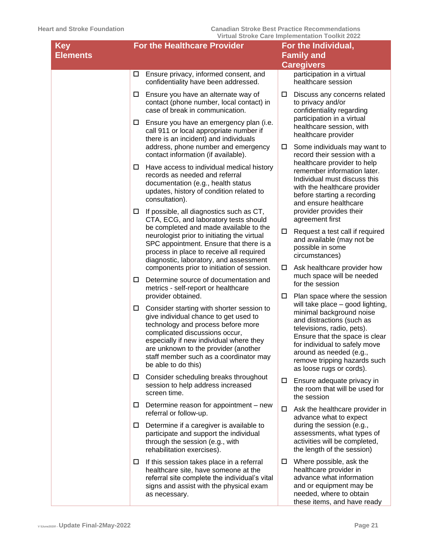| Key<br><b>Elements</b> | <b>For the Healthcare Provider</b>                                                                                                                                                                                                                                                                                    | For the Individual,<br><b>Family and</b>                                                                                                                                                                                                                                          |
|------------------------|-----------------------------------------------------------------------------------------------------------------------------------------------------------------------------------------------------------------------------------------------------------------------------------------------------------------------|-----------------------------------------------------------------------------------------------------------------------------------------------------------------------------------------------------------------------------------------------------------------------------------|
|                        |                                                                                                                                                                                                                                                                                                                       | <b>Caregivers</b>                                                                                                                                                                                                                                                                 |
|                        | Ensure privacy, informed consent, and<br>$\Box$<br>confidentiality have been addressed.                                                                                                                                                                                                                               | participation in a virtual<br>healthcare session                                                                                                                                                                                                                                  |
|                        | Ensure you have an alternate way of<br>$\Box$<br>contact (phone number, local contact) in<br>case of break in communication.                                                                                                                                                                                          | Discuss any concerns related<br>ш<br>to privacy and/or<br>confidentiality regarding                                                                                                                                                                                               |
|                        | $\Box$ Ensure you have an emergency plan (i.e.<br>call 911 or local appropriate number if<br>there is an incident) and individuals                                                                                                                                                                                    | participation in a virtual<br>healthcare session, with<br>healthcare provider                                                                                                                                                                                                     |
|                        | address, phone number and emergency<br>contact information (if available).                                                                                                                                                                                                                                            | Some individuals may want to<br>$\Box$<br>record their session with a<br>healthcare provider to help                                                                                                                                                                              |
|                        | $\Box$ Have access to individual medical history<br>records as needed and referral<br>documentation (e.g., health status<br>updates, history of condition related to<br>consultation).                                                                                                                                | remember information later.<br>Individual must discuss this<br>with the healthcare provider<br>before starting a recording<br>and ensure healthcare                                                                                                                               |
|                        | If possible, all diagnostics such as CT,<br>$\Box$<br>CTA, ECG, and laboratory tests should                                                                                                                                                                                                                           | provider provides their<br>agreement first                                                                                                                                                                                                                                        |
|                        | be completed and made available to the<br>neurologist prior to initiating the virtual<br>SPC appointment. Ensure that there is a<br>process in place to receive all required<br>diagnostic, laboratory, and assessment                                                                                                | Request a test call if required<br>and available (may not be<br>possible in some<br>circumstances)                                                                                                                                                                                |
|                        | components prior to initiation of session.<br>Determine source of documentation and<br>□                                                                                                                                                                                                                              | Ask healthcare provider how<br>$\Box$<br>much space will be needed                                                                                                                                                                                                                |
|                        | metrics - self-report or healthcare<br>provider obtained.                                                                                                                                                                                                                                                             | for the session<br>Plan space where the session<br>□                                                                                                                                                                                                                              |
|                        | $\Box$ Consider starting with shorter session to<br>give individual chance to get used to<br>technology and process before more<br>complicated discussions occur,<br>especially if new individual where they<br>are unknown to the provider (another<br>staff member such as a coordinator may<br>be able to do this) | will take place - good lighting,<br>minimal background noise<br>and distractions (such as<br>televisions, radio, pets).<br>Ensure that the space is clear<br>for individual to safely move<br>around as needed (e.g.,<br>remove tripping hazards such<br>as loose rugs or cords). |
|                        | Consider scheduling breaks throughout<br>$\Box$<br>session to help address increased<br>screen time.                                                                                                                                                                                                                  | Ensure adequate privacy in<br>0<br>the room that will be used for<br>the session                                                                                                                                                                                                  |
|                        | Determine reason for appointment - new<br>$\Box$<br>referral or follow-up.                                                                                                                                                                                                                                            | Ask the healthcare provider in<br>0<br>advance what to expect                                                                                                                                                                                                                     |
|                        | Determine if a caregiver is available to<br>$\Box$<br>participate and support the individual<br>through the session (e.g., with<br>rehabilitation exercises).                                                                                                                                                         | during the session (e.g.,<br>assessments, what types of<br>activities will be completed,<br>the length of the session)                                                                                                                                                            |
|                        | If this session takes place in a referral<br>$\Box$<br>healthcare site, have someone at the<br>referral site complete the individual's vital<br>signs and assist with the physical exam<br>as necessary.                                                                                                              | Where possible, ask the<br>$\Box$<br>healthcare provider in<br>advance what information<br>and or equipment may be<br>needed, where to obtain<br>these items, and have ready                                                                                                      |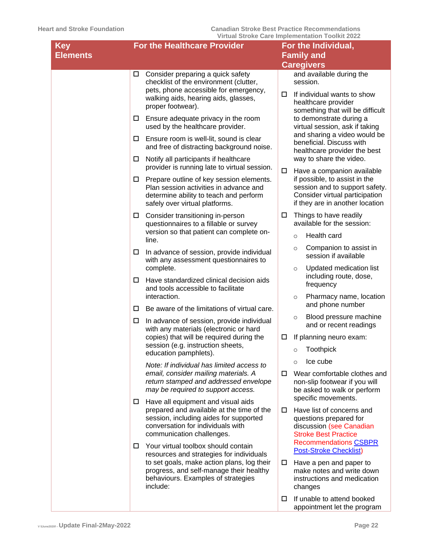| <b>Key</b>      |        | <b>For the Healthcare Provider</b>                                                                                                                                                          |        | For the Individual,                                                                                                                  |
|-----------------|--------|---------------------------------------------------------------------------------------------------------------------------------------------------------------------------------------------|--------|--------------------------------------------------------------------------------------------------------------------------------------|
| <b>Elements</b> |        |                                                                                                                                                                                             |        | <b>Family and</b><br><b>Caregivers</b>                                                                                               |
|                 | $\Box$ | Consider preparing a quick safety<br>checklist of the environment (clutter,                                                                                                                 |        | and available during the<br>session.                                                                                                 |
|                 |        | pets, phone accessible for emergency,<br>walking aids, hearing aids, glasses,<br>proper footwear).                                                                                          | □      | If individual wants to show<br>healthcare provider<br>something that will be difficult                                               |
|                 |        | $\Box$ Ensure adequate privacy in the room<br>used by the healthcare provider.                                                                                                              |        | to demonstrate during a<br>virtual session, ask if taking<br>and sharing a video would be                                            |
|                 | Ш.     | Ensure room is well-lit, sound is clear<br>and free of distracting background noise.                                                                                                        |        | beneficial. Discuss with<br>healthcare provider the best                                                                             |
|                 | ш.     | Notify all participants if healthcare<br>provider is running late to virtual session.                                                                                                       | 0      | way to share the video.<br>Have a companion available                                                                                |
|                 | Ш.     | Prepare outline of key session elements.<br>Plan session activities in advance and<br>determine ability to teach and perform<br>safely over virtual platforms.                              |        | if possible, to assist in the<br>session and to support safety.<br>Consider virtual participation<br>if they are in another location |
|                 |        | $\square$ Consider transitioning in-person<br>questionnaires to a fillable or survey                                                                                                        | □      | Things to have readily<br>available for the session:                                                                                 |
|                 |        | version so that patient can complete on-<br>line.                                                                                                                                           |        | Health card<br>$\circ$                                                                                                               |
|                 | $\Box$ | In advance of session, provide individual<br>with any assessment questionnaires to                                                                                                          |        | Companion to assist in<br>$\circ$<br>session if available                                                                            |
|                 | □      | complete.<br>Have standardized clinical decision aids<br>and tools accessible to facilitate                                                                                                 |        | Updated medication list<br>$\circ$<br>including route, dose,<br>frequency                                                            |
|                 |        | interaction.                                                                                                                                                                                |        | Pharmacy name, location<br>$\circ$                                                                                                   |
|                 | □      | Be aware of the limitations of virtual care.                                                                                                                                                |        | and phone number<br>Blood pressure machine                                                                                           |
|                 | $\Box$ | In advance of session, provide individual<br>with any materials (electronic or hard                                                                                                         |        | $\circ$<br>and or recent readings                                                                                                    |
|                 |        | copies) that will be required during the<br>session (e.g. instruction sheets,                                                                                                               | $\Box$ | If planning neuro exam:                                                                                                              |
|                 |        | education pamphlets).                                                                                                                                                                       |        | <b>Toothpick</b><br>$\circ$<br>Ice cube                                                                                              |
|                 |        | Note: If individual has limited access to<br>email, consider mailing materials. A                                                                                                           | □      | $\Omega$<br>Wear comfortable clothes and                                                                                             |
|                 |        | return stamped and addressed envelope<br>may be required to support access.                                                                                                                 |        | non-slip footwear if you will<br>be asked to walk or perform<br>specific movements.                                                  |
|                 | ш      | Have all equipment and visual aids<br>prepared and available at the time of the<br>session, including aides for supported<br>conversation for individuals with<br>communication challenges. | □      | Have list of concerns and<br>questions prepared for<br>discussion (see Canadian<br><b>Stroke Best Practice</b>                       |
|                 | □      | Your virtual toolbox should contain<br>resources and strategies for individuals                                                                                                             |        | <b>Recommendations CSBPR</b><br><b>Post-Stroke Checklist)</b>                                                                        |
|                 |        | to set goals, make action plans, log their<br>progress, and self-manage their healthy<br>behaviours. Examples of strategies<br>include:                                                     | 0      | Have a pen and paper to<br>make notes and write down<br>instructions and medication<br>changes                                       |
|                 |        |                                                                                                                                                                                             | □      | If unable to attend booked<br>appointment let the program                                                                            |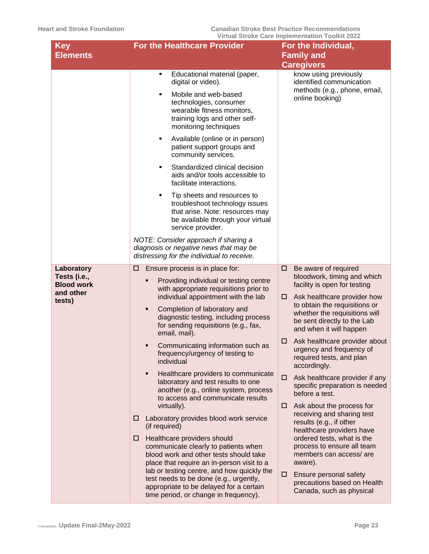| <b>Key</b><br><b>Elements</b>                                          | <b>For the Healthcare Provider</b>                                                                                                                                                                                                                                                                                                                                                                                                                                                                                                                                                                                                                                                                                                                                                                                                                                                                                                                                                                    | THE COLONG OUTLING THE CHANGE OF THE COLONIAL COLO<br>For the Individual,<br><b>Family and</b>                                                                                                                                                                                                                                                                                                                                                                                                                                                                                                                                                                                                                                                                                        |
|------------------------------------------------------------------------|-------------------------------------------------------------------------------------------------------------------------------------------------------------------------------------------------------------------------------------------------------------------------------------------------------------------------------------------------------------------------------------------------------------------------------------------------------------------------------------------------------------------------------------------------------------------------------------------------------------------------------------------------------------------------------------------------------------------------------------------------------------------------------------------------------------------------------------------------------------------------------------------------------------------------------------------------------------------------------------------------------|---------------------------------------------------------------------------------------------------------------------------------------------------------------------------------------------------------------------------------------------------------------------------------------------------------------------------------------------------------------------------------------------------------------------------------------------------------------------------------------------------------------------------------------------------------------------------------------------------------------------------------------------------------------------------------------------------------------------------------------------------------------------------------------|
|                                                                        |                                                                                                                                                                                                                                                                                                                                                                                                                                                                                                                                                                                                                                                                                                                                                                                                                                                                                                                                                                                                       | <b>Caregivers</b>                                                                                                                                                                                                                                                                                                                                                                                                                                                                                                                                                                                                                                                                                                                                                                     |
|                                                                        | Educational material (paper,<br>٠<br>digital or video).<br>Mobile and web-based<br>Ξ<br>technologies, consumer<br>wearable fitness monitors,<br>training logs and other self-<br>monitoring techniques<br>Available (online or in person)<br>п<br>patient support groups and<br>community services.<br>Standardized clinical decision<br>$\blacksquare$<br>aids and/or tools accessible to<br>facilitate interactions.<br>Tip sheets and resources to<br>п<br>troubleshoot technology issues<br>that arise. Note: resources may<br>be available through your virtual<br>service provider.                                                                                                                                                                                                                                                                                                                                                                                                             | know using previously<br>identified communication<br>methods (e.g., phone, email,<br>online booking)                                                                                                                                                                                                                                                                                                                                                                                                                                                                                                                                                                                                                                                                                  |
|                                                                        | NOTE: Consider approach if sharing a<br>diagnosis or negative news that may be<br>distressing for the individual to receive.                                                                                                                                                                                                                                                                                                                                                                                                                                                                                                                                                                                                                                                                                                                                                                                                                                                                          |                                                                                                                                                                                                                                                                                                                                                                                                                                                                                                                                                                                                                                                                                                                                                                                       |
| Laboratory<br>Tests (i.e.,<br><b>Blood work</b><br>and other<br>tests) | Ensure process is in place for:<br>⊔<br>Providing individual or testing centre<br>Ξ<br>with appropriate requisitions prior to<br>individual appointment with the lab<br>Completion of laboratory and<br>٠<br>diagnostic testing, including process<br>for sending requisitions (e.g., fax,<br>email, mail).<br>Communicating information such as<br>п<br>frequency/urgency of testing to<br>individual<br>Healthcare providers to communicate<br>٠<br>laboratory and test results to one<br>another (e.g., online system, process<br>to access and communicate results<br>virtually).<br>Laboratory provides blood work service<br>□<br>(if required)<br>Healthcare providers should<br>□<br>communicate clearly to patients when<br>blood work and other tests should take<br>place that require an in-person visit to a<br>lab or testing centre, and how quickly the<br>test needs to be done (e.g., urgently,<br>appropriate to be delayed for a certain<br>time period, or change in frequency). | □<br>Be aware of required<br>bloodwork, timing and which<br>facility is open for testing<br>Ask healthcare provider how<br>□<br>to obtain the requisitions or<br>whether the requisitions will<br>be sent directly to the Lab<br>and when it will happen<br>Ask healthcare provider about<br>□<br>urgency and frequency of<br>required tests, and plan<br>accordingly.<br>Ask healthcare provider if any<br>□<br>specific preparation is needed<br>before a test.<br>Ask about the process for<br>□<br>receiving and sharing test<br>results (e.g., if other<br>healthcare providers have<br>ordered tests, what is the<br>process to ensure all team<br>members can access/ are<br>aware).<br>Ensure personal safety<br>□<br>precautions based on Health<br>Canada, such as physical |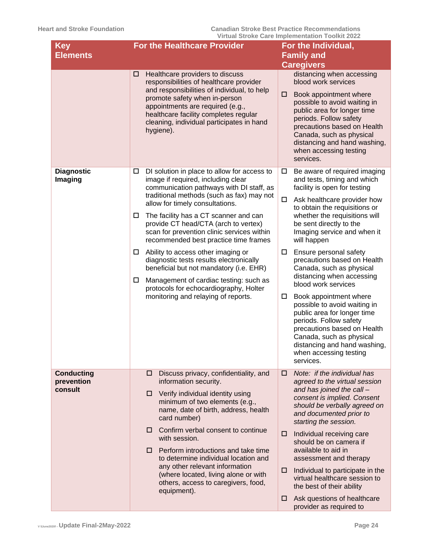| <b>Key</b><br><b>Elements</b>              | <b>For the Healthcare Provider</b>                                                                                                                                                                                                                                                                                                                                                                                                                                                                                                                                                                                                                                                   | For the Individual,<br><b>Family and</b>                                                                                                                                                                                                                                                                                                                                                                                                                                                                                                                                                                                                                                                          |
|--------------------------------------------|--------------------------------------------------------------------------------------------------------------------------------------------------------------------------------------------------------------------------------------------------------------------------------------------------------------------------------------------------------------------------------------------------------------------------------------------------------------------------------------------------------------------------------------------------------------------------------------------------------------------------------------------------------------------------------------|---------------------------------------------------------------------------------------------------------------------------------------------------------------------------------------------------------------------------------------------------------------------------------------------------------------------------------------------------------------------------------------------------------------------------------------------------------------------------------------------------------------------------------------------------------------------------------------------------------------------------------------------------------------------------------------------------|
|                                            | Healthcare providers to discuss<br>□<br>responsibilities of healthcare provider<br>and responsibilities of individual, to help<br>promote safety when in-person<br>appointments are required (e.g.,<br>healthcare facility completes regular<br>cleaning, individual participates in hand<br>hygiene).                                                                                                                                                                                                                                                                                                                                                                               | <b>Caregivers</b><br>distancing when accessing<br>blood work services<br>Book appointment where<br>□<br>possible to avoid waiting in<br>public area for longer time<br>periods. Follow safety<br>precautions based on Health<br>Canada, such as physical<br>distancing and hand washing,<br>when accessing testing<br>services.                                                                                                                                                                                                                                                                                                                                                                   |
| <b>Diagnostic</b><br>Imaging               | DI solution in place to allow for access to<br>$\Box$<br>image if required, including clear<br>communication pathways with DI staff, as<br>traditional methods (such as fax) may not<br>allow for timely consultations.<br>The facility has a CT scanner and can<br>$\Box$<br>provide CT head/CTA (arch to vertex)<br>scan for prevention clinic services within<br>recommended best practice time frames<br>Ability to access other imaging or<br>$\Box$<br>diagnostic tests results electronically<br>beneficial but not mandatory (i.e. EHR)<br>Management of cardiac testing: such as<br>$\Box$<br>protocols for echocardiography, Holter<br>monitoring and relaying of reports. | Be aware of required imaging<br>□<br>and tests, timing and which<br>facility is open for testing<br>$\Box$<br>Ask healthcare provider how<br>to obtain the requisitions or<br>whether the requisitions will<br>be sent directly to the<br>Imaging service and when it<br>will happen<br>Ensure personal safety<br>□<br>precautions based on Health<br>Canada, such as physical<br>distancing when accessing<br>blood work services<br>Book appointment where<br>$\Box$<br>possible to avoid waiting in<br>public area for longer time<br>periods. Follow safety<br>precautions based on Health<br>Canada, such as physical<br>distancing and hand washing,<br>when accessing testing<br>services. |
| <b>Conducting</b><br>prevention<br>consult | Discuss privacy, confidentiality, and<br>□<br>information security.<br>Verify individual identity using<br>□<br>minimum of two elements (e.g.,<br>name, date of birth, address, health<br>card number)<br>Confirm verbal consent to continue<br>□<br>with session.<br>Perform introductions and take time<br>□<br>to determine individual location and<br>any other relevant information<br>(where located, living alone or with<br>others, access to caregivers, food,<br>equipment).                                                                                                                                                                                               | Note: if the individual has<br>□<br>agreed to the virtual session<br>and has joined the call -<br>consent is implied. Consent<br>should be verbally agreed on<br>and documented prior to<br>starting the session.<br>Individual receiving care<br>□<br>should be on camera if<br>available to aid in<br>assessment and therapy<br>Individual to participate in the<br>□<br>virtual healthcare session to<br>the best of their ability<br>Ask questions of healthcare<br>□<br>provider as required to                                                                                                                                                                                              |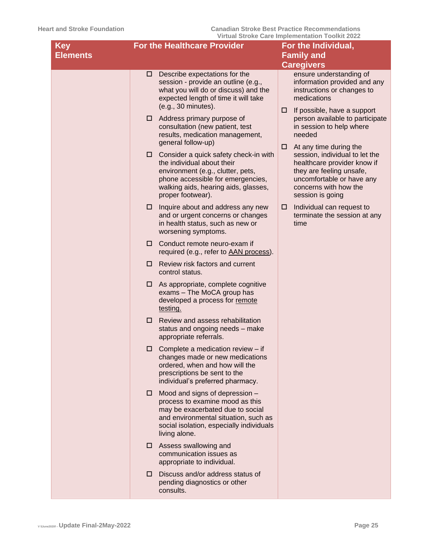| <b>Key</b>      | <b>For the Healthcare Provider</b>                                                                                                                                                                              | For the Individual,                                                                                                                                                                                |
|-----------------|-----------------------------------------------------------------------------------------------------------------------------------------------------------------------------------------------------------------|----------------------------------------------------------------------------------------------------------------------------------------------------------------------------------------------------|
| <b>Elements</b> |                                                                                                                                                                                                                 | <b>Family and</b>                                                                                                                                                                                  |
|                 |                                                                                                                                                                                                                 | <b>Caregivers</b>                                                                                                                                                                                  |
|                 | Describe expectations for the<br>□<br>session - provide an outline (e.g.,<br>what you will do or discuss) and the<br>expected length of time it will take<br>(e.g., 30 minutes).                                | ensure understanding of<br>information provided and any<br>instructions or changes to<br>medications                                                                                               |
|                 | Address primary purpose of<br>□<br>consultation (new patient, test<br>results, medication management,<br>general follow-up)                                                                                     | If possible, have a support<br>□<br>person available to participate<br>in session to help where<br>needed                                                                                          |
|                 | Consider a quick safety check-in with<br>□<br>the individual about their<br>environment (e.g., clutter, pets,<br>phone accessible for emergencies,<br>walking aids, hearing aids, glasses,<br>proper footwear). | At any time during the<br>□<br>session, individual to let the<br>healthcare provider know if<br>they are feeling unsafe,<br>uncomfortable or have any<br>concerns with how the<br>session is going |
|                 | Inquire about and address any new<br>□<br>and or urgent concerns or changes<br>in health status, such as new or<br>worsening symptoms.                                                                          | Individual can request to<br>□<br>terminate the session at any<br>time                                                                                                                             |
|                 | Conduct remote neuro-exam if<br>□<br>required (e.g., refer to AAN process).                                                                                                                                     |                                                                                                                                                                                                    |
|                 | Review risk factors and current<br>□<br>control status.                                                                                                                                                         |                                                                                                                                                                                                    |
|                 | As appropriate, complete cognitive<br>□<br>exams - The MoCA group has<br>developed a process for remote<br>testing.                                                                                             |                                                                                                                                                                                                    |
|                 | □<br>Review and assess rehabilitation<br>status and ongoing needs - make<br>appropriate referrals.                                                                                                              |                                                                                                                                                                                                    |
|                 | Complete a medication review - if<br>□<br>changes made or new medications<br>ordered, when and how will the<br>prescriptions be sent to the<br>individual's preferred pharmacy.                                 |                                                                                                                                                                                                    |
|                 | Mood and signs of depression -<br>□<br>process to examine mood as this<br>may be exacerbated due to social<br>and environmental situation, such as<br>social isolation, especially individuals<br>living alone. |                                                                                                                                                                                                    |
|                 | Assess swallowing and<br>□<br>communication issues as<br>appropriate to individual.                                                                                                                             |                                                                                                                                                                                                    |
|                 | Discuss and/or address status of<br>□<br>pending diagnostics or other<br>consults.                                                                                                                              |                                                                                                                                                                                                    |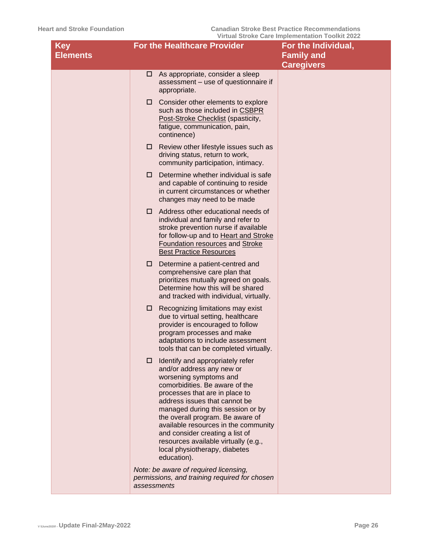| <b>Key</b><br><b>Elements</b> | <b>For the Healthcare Provider</b>                                                                                                                                                                                                                                                                                                                                                                                                            | For the Individual,<br><b>Family and</b><br><b>Caregivers</b> |
|-------------------------------|-----------------------------------------------------------------------------------------------------------------------------------------------------------------------------------------------------------------------------------------------------------------------------------------------------------------------------------------------------------------------------------------------------------------------------------------------|---------------------------------------------------------------|
|                               | $\Box$ As appropriate, consider a sleep<br>assessment - use of questionnaire if<br>appropriate.                                                                                                                                                                                                                                                                                                                                               |                                                               |
|                               | Consider other elements to explore<br>□<br>such as those included in CSBPR<br>Post-Stroke Checklist (spasticity,<br>fatigue, communication, pain,<br>continence)                                                                                                                                                                                                                                                                              |                                                               |
|                               | Review other lifestyle issues such as<br>□<br>driving status, return to work,<br>community participation, intimacy.                                                                                                                                                                                                                                                                                                                           |                                                               |
|                               | Determine whether individual is safe<br>□<br>and capable of continuing to reside<br>in current circumstances or whether<br>changes may need to be made                                                                                                                                                                                                                                                                                        |                                                               |
|                               | Address other educational needs of<br>□<br>individual and family and refer to<br>stroke prevention nurse if available<br>for follow-up and to Heart and Stroke<br>Foundation resources and Stroke<br><b>Best Practice Resources</b>                                                                                                                                                                                                           |                                                               |
|                               | Determine a patient-centred and<br>□<br>comprehensive care plan that<br>prioritizes mutually agreed on goals.<br>Determine how this will be shared<br>and tracked with individual, virtually.                                                                                                                                                                                                                                                 |                                                               |
|                               | Recognizing limitations may exist<br>□<br>due to virtual setting, healthcare<br>provider is encouraged to follow<br>program processes and make<br>adaptations to include assessment<br>tools that can be completed virtually.                                                                                                                                                                                                                 |                                                               |
|                               | Identify and appropriately refer<br>□<br>and/or address any new or<br>worsening symptoms and<br>comorbidities. Be aware of the<br>processes that are in place to<br>address issues that cannot be<br>managed during this session or by<br>the overall program. Be aware of<br>available resources in the community<br>and consider creating a list of<br>resources available virtually (e.g.,<br>local physiotherapy, diabetes<br>education). |                                                               |
|                               | Note: be aware of required licensing,<br>permissions, and training required for chosen<br>assessments                                                                                                                                                                                                                                                                                                                                         |                                                               |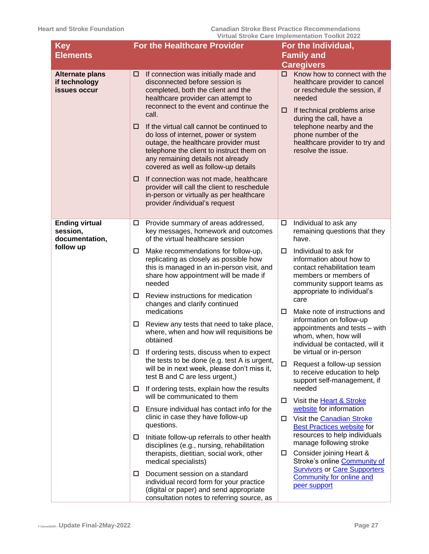| <b>Key</b>                                              | <u>VII tuai Oti UNG Odi 6 iliipigiligilidtii TUUINIt ZUZZ</u><br><b>For the Healthcare Provider</b>                                                                                                                                                                                                                                                                                                                                                                                                                                                                                                                                                 | For the Individual,                                                                                                                                                                                                                                                                       |  |  |
|---------------------------------------------------------|-----------------------------------------------------------------------------------------------------------------------------------------------------------------------------------------------------------------------------------------------------------------------------------------------------------------------------------------------------------------------------------------------------------------------------------------------------------------------------------------------------------------------------------------------------------------------------------------------------------------------------------------------------|-------------------------------------------------------------------------------------------------------------------------------------------------------------------------------------------------------------------------------------------------------------------------------------------|--|--|
| <b>Elements</b>                                         |                                                                                                                                                                                                                                                                                                                                                                                                                                                                                                                                                                                                                                                     | <b>Family and</b>                                                                                                                                                                                                                                                                         |  |  |
|                                                         |                                                                                                                                                                                                                                                                                                                                                                                                                                                                                                                                                                                                                                                     | <b>Caregivers</b>                                                                                                                                                                                                                                                                         |  |  |
| <b>Alternate plans</b><br>if technology<br>issues occur | If connection was initially made and<br>□<br>disconnected before session is<br>completed, both the client and the<br>healthcare provider can attempt to<br>reconnect to the event and continue the<br>call.<br>If the virtual call cannot be continued to<br>□<br>do loss of internet, power or system<br>outage, the healthcare provider must<br>telephone the client to instruct them on<br>any remaining details not already<br>covered as well as follow-up details<br>If connection was not made, healthcare<br>□<br>provider will call the client to reschedule<br>in-person or virtually as per healthcare<br>provider /individual's request | $\Box$ Know how to connect with the<br>healthcare provider to cancel<br>or reschedule the session, if<br>needed<br>If technical problems arise<br>□<br>during the call, have a<br>telephone nearby and the<br>phone number of the<br>healthcare provider to try and<br>resolve the issue. |  |  |
| <b>Ending virtual</b><br>session,<br>documentation,     | Provide summary of areas addressed,<br>$\Box$<br>key messages, homework and outcomes<br>of the virtual healthcare session                                                                                                                                                                                                                                                                                                                                                                                                                                                                                                                           | Individual to ask any<br>□<br>remaining questions that they<br>have.                                                                                                                                                                                                                      |  |  |
| follow up                                               | Make recommendations for follow-up,<br>□<br>replicating as closely as possible how<br>this is managed in an in-person visit, and<br>share how appointment will be made if<br>needed                                                                                                                                                                                                                                                                                                                                                                                                                                                                 | Individual to ask for<br>□<br>information about how to<br>contact rehabilitation team<br>members or members of<br>community support teams as                                                                                                                                              |  |  |
|                                                         | Review instructions for medication<br>□<br>changes and clarify continued<br>medications                                                                                                                                                                                                                                                                                                                                                                                                                                                                                                                                                             | appropriate to individual's<br>care<br>Make note of instructions and<br>□                                                                                                                                                                                                                 |  |  |
|                                                         | Review any tests that need to take place,<br>П.<br>where, when and how will requisitions be<br>obtained                                                                                                                                                                                                                                                                                                                                                                                                                                                                                                                                             | information on follow-up<br>appointments and tests - with<br>whom, when, how will<br>individual be contacted, will it                                                                                                                                                                     |  |  |
|                                                         | $\Box$ If ordering tests, discuss when to expect<br>the tests to be done (e.g. test A is urgent,<br>will be in next week, please don't miss it,<br>test B and C are less urgent,)                                                                                                                                                                                                                                                                                                                                                                                                                                                                   | be virtual or in-person<br>Request a follow-up session<br>□<br>to receive education to help<br>support self-management, if                                                                                                                                                                |  |  |
|                                                         | If ordering tests, explain how the results<br>0<br>will be communicated to them                                                                                                                                                                                                                                                                                                                                                                                                                                                                                                                                                                     | needed<br>Visit the Heart & Stroke<br>□                                                                                                                                                                                                                                                   |  |  |
|                                                         | Ensure individual has contact info for the<br>□<br>clinic in case they have follow-up<br>questions.                                                                                                                                                                                                                                                                                                                                                                                                                                                                                                                                                 | website for information<br>Visit the Canadian Stroke<br>□<br><b>Best Practices website for</b>                                                                                                                                                                                            |  |  |
|                                                         | Initiate follow-up referrals to other health<br>0<br>disciplines (e.g., nursing, rehabilitation<br>therapists, dietitian, social work, other                                                                                                                                                                                                                                                                                                                                                                                                                                                                                                        | resources to help individuals<br>manage following stroke<br>Consider joining Heart &                                                                                                                                                                                                      |  |  |
|                                                         | medical specialists)<br>Document session on a standard<br>0                                                                                                                                                                                                                                                                                                                                                                                                                                                                                                                                                                                         | Stroke's online Community of<br><b>Survivors or Care Supporters</b>                                                                                                                                                                                                                       |  |  |
|                                                         | individual record form for your practice<br>(digital or paper) and send appropriate<br>consultation notes to referring source, as                                                                                                                                                                                                                                                                                                                                                                                                                                                                                                                   | <b>Community for online and</b><br>peer support                                                                                                                                                                                                                                           |  |  |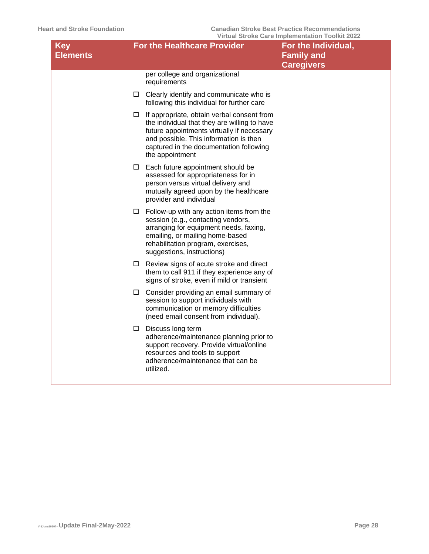| <b>Key</b><br><b>Elements</b> | <b>For the Healthcare Provider</b>                                                                                                                                                                                                                    | For the Individual,<br><b>Family and</b><br><b>Caregivers</b> |
|-------------------------------|-------------------------------------------------------------------------------------------------------------------------------------------------------------------------------------------------------------------------------------------------------|---------------------------------------------------------------|
|                               | per college and organizational<br>requirements                                                                                                                                                                                                        |                                                               |
|                               | $\Box$ Clearly identify and communicate who is<br>following this individual for further care                                                                                                                                                          |                                                               |
|                               | If appropriate, obtain verbal consent from<br>□<br>the individual that they are willing to have<br>future appointments virtually if necessary<br>and possible. This information is then<br>captured in the documentation following<br>the appointment |                                                               |
|                               | $\Box$ Each future appointment should be<br>assessed for appropriateness for in<br>person versus virtual delivery and<br>mutually agreed upon by the healthcare<br>provider and individual                                                            |                                                               |
|                               | $\Box$ Follow-up with any action items from the<br>session (e.g., contacting vendors,<br>arranging for equipment needs, faxing,<br>emailing, or mailing home-based<br>rehabilitation program, exercises,<br>suggestions, instructions)                |                                                               |
|                               | $\Box$ Review signs of acute stroke and direct<br>them to call 911 if they experience any of<br>signs of stroke, even if mild or transient                                                                                                            |                                                               |
|                               | $\Box$ Consider providing an email summary of<br>session to support individuals with<br>communication or memory difficulties<br>(need email consent from individual).                                                                                 |                                                               |
|                               | $\square$ Discuss long term<br>adherence/maintenance planning prior to<br>support recovery. Provide virtual/online<br>resources and tools to support<br>adherence/maintenance that can be<br>utilized.                                                |                                                               |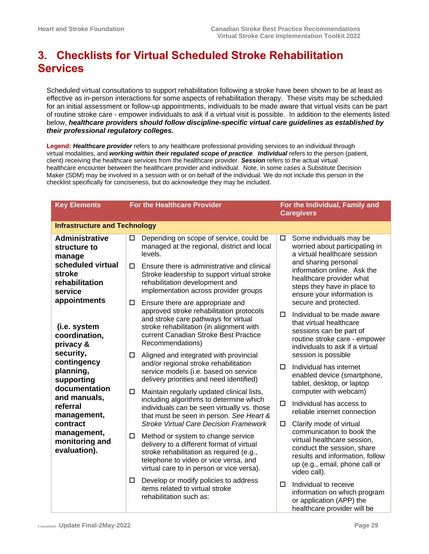# <span id="page-28-0"></span>**3. Checklists for Virtual Scheduled Stroke Rehabilitation Services**

Scheduled virtual consultations to support rehabilitation following a stroke have been shown to be at least as effective as in-person interactions for some aspects of rehabilitation therapy. These visits may be scheduled for an initial assessment or follow-up appointments, individuals to be made aware that virtual visits can be part of routine stroke care - empower individuals to ask if a virtual visit is possible. In addition to the elements listed below, *healthcare providers should follow discipline-specific virtual care guidelines as established by their professional regulatory colleges.*

**Legend:** *Healthcare provider* refers to any healthcare professional providing services to an individual through virtual modalities, and *working within their regulated scope of practice*. *Individual* refers to the person (patient, client) receiving the healthcare services from the healthcare provider. *Session* refers to the actual virtual healthcare encounter between the healthcare provider and individual. Note, in some cases a Substitute Decision Maker (SDM) may be involved in a session with or on behalf of the individual. We do not include this person in the checklist specifically for conciseness, but do acknowledge they may be included.

| <b>Key Elements</b>                                                  | <b>For the Healthcare Provider</b>                                                                                                                                                                                            |                                                                                                                                                                                                                                                                    |                                                                                                                                                                                | For the Individual, Family and<br><b>Caregivers</b>                                                                                                                                                    |  |
|----------------------------------------------------------------------|-------------------------------------------------------------------------------------------------------------------------------------------------------------------------------------------------------------------------------|--------------------------------------------------------------------------------------------------------------------------------------------------------------------------------------------------------------------------------------------------------------------|--------------------------------------------------------------------------------------------------------------------------------------------------------------------------------|--------------------------------------------------------------------------------------------------------------------------------------------------------------------------------------------------------|--|
| <b>Infrastructure and Technology</b>                                 |                                                                                                                                                                                                                               |                                                                                                                                                                                                                                                                    |                                                                                                                                                                                |                                                                                                                                                                                                        |  |
| <b>Administrative</b><br>structure to<br>manage                      | $\Box$                                                                                                                                                                                                                        | Depending on scope of service, could be<br>managed at the regional, district and local<br>levels.                                                                                                                                                                  | $\Box$                                                                                                                                                                         | Some individuals may be<br>worried about participating in<br>a virtual healthcare session                                                                                                              |  |
| scheduled virtual<br>stroke<br>rehabilitation<br>service             | □                                                                                                                                                                                                                             | Ensure there is administrative and clinical<br>Stroke leadership to support virtual stroke<br>rehabilitation development and<br>implementation across provider groups                                                                                              |                                                                                                                                                                                | and sharing personal<br>information online. Ask the<br>healthcare provider what<br>steps they have in place to<br>ensure your information is                                                           |  |
| appointments<br>$\Box$<br>(i.e. system<br>coordination,<br>privacy & | Ensure there are appropriate and<br>approved stroke rehabilitation protocols<br>and stroke care pathways for virtual<br>stroke rehabilitation (in alignment with<br>current Canadian Stroke Best Practice<br>Recommendations) | □                                                                                                                                                                                                                                                                  | secure and protected.<br>Individual to be made aware<br>that virtual healthcare<br>sessions can be part of<br>routine stroke care - empower<br>individuals to ask if a virtual |                                                                                                                                                                                                        |  |
| security,<br>contingency<br>planning,<br>supporting<br>documentation | □<br>□                                                                                                                                                                                                                        | Aligned and integrated with provincial<br>and/or regional stroke rehabilitation<br>service models (i.e. based on service<br>delivery priorities and need identified)<br>Maintain regularly updated clinical lists,                                                 | 0                                                                                                                                                                              | session is possible<br>Individual has internet<br>enabled device (smartphone,<br>tablet, desktop, or laptop<br>computer with webcam)                                                                   |  |
| and manuals,<br>referral<br>management,                              |                                                                                                                                                                                                                               | including algorithms to determine which<br>individuals can be seen virtually vs. those<br>that must be seen in person. See Heart &                                                                                                                                 | □                                                                                                                                                                              | Individual has access to<br>reliable internet connection                                                                                                                                               |  |
| contract<br>management,<br>monitoring and<br>evaluation).            | □                                                                                                                                                                                                                             | <b>Stroke Virtual Care Decision Framework</b><br>Method or system to change service<br>delivery to a different format of virtual<br>stroke rehabilitation as required (e.g.,<br>telephone to video or vice versa, and<br>virtual care to in person or vice versa). | $\Box$                                                                                                                                                                         | Clarify mode of virtual<br>communication to book the<br>virtual healthcare session,<br>conduct the session, share<br>results and information, follow<br>up (e.g., email, phone call or<br>video call). |  |
|                                                                      | □                                                                                                                                                                                                                             | Develop or modify policies to address<br>items related to virtual stroke<br>rehabilitation such as:                                                                                                                                                                | $\Box$                                                                                                                                                                         | Individual to receive<br>information on which program<br>or application (APP) the<br>healthcare provider will be                                                                                       |  |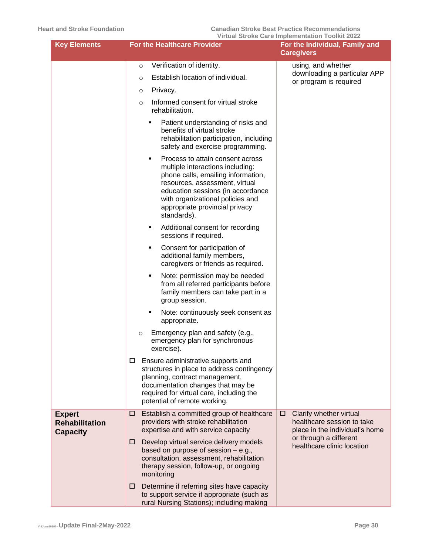| <b>Key Elements</b>                                       | <b>For the Healthcare Provider</b>                                                                                                                                                                                                                                          | <u>Virtual Stroke Care implementation Toolkit 2022</u><br>For the Individual, Family and     |
|-----------------------------------------------------------|-----------------------------------------------------------------------------------------------------------------------------------------------------------------------------------------------------------------------------------------------------------------------------|----------------------------------------------------------------------------------------------|
|                                                           |                                                                                                                                                                                                                                                                             | <b>Caregivers</b>                                                                            |
|                                                           | Verification of identity.<br>$\circ$<br>Establish location of individual.<br>$\circ$<br>Privacy.<br>O                                                                                                                                                                       | using, and whether<br>downloading a particular APP<br>or program is required                 |
|                                                           | Informed consent for virtual stroke<br>$\circ$<br>rehabilitation.                                                                                                                                                                                                           |                                                                                              |
|                                                           | Patient understanding of risks and<br>٠<br>benefits of virtual stroke<br>rehabilitation participation, including<br>safety and exercise programming.                                                                                                                        |                                                                                              |
|                                                           | Process to attain consent across<br>٠<br>multiple interactions including:<br>phone calls, emailing information,<br>resources, assessment, virtual<br>education sessions (in accordance<br>with organizational policies and<br>appropriate provincial privacy<br>standards). |                                                                                              |
|                                                           | Additional consent for recording<br>٠<br>sessions if required.                                                                                                                                                                                                              |                                                                                              |
|                                                           | Consent for participation of<br>٠<br>additional family members,<br>caregivers or friends as required.                                                                                                                                                                       |                                                                                              |
|                                                           | Note: permission may be needed<br>٠<br>from all referred participants before<br>family members can take part in a<br>group session.                                                                                                                                         |                                                                                              |
|                                                           | Note: continuously seek consent as<br>٠<br>appropriate.                                                                                                                                                                                                                     |                                                                                              |
|                                                           | Emergency plan and safety (e.g.,<br>$\circ$<br>emergency plan for synchronous<br>exercise).                                                                                                                                                                                 |                                                                                              |
|                                                           | □<br>Ensure administrative supports and<br>structures in place to address contingency<br>planning, contract management,<br>documentation changes that may be<br>required for virtual care, including the<br>potential of remote working.                                    |                                                                                              |
| <b>Expert</b><br><b>Rehabilitation</b><br><b>Capacity</b> | Establish a committed group of healthcare<br>□<br>providers with stroke rehabilitation<br>expertise and with service capacity                                                                                                                                               | Clarify whether virtual<br>□<br>healthcare session to take<br>place in the individual's home |
|                                                           | Develop virtual service delivery models<br>□<br>based on purpose of session - e.g.,<br>consultation, assessment, rehabilitation<br>therapy session, follow-up, or ongoing<br>monitoring                                                                                     | or through a different<br>healthcare clinic location                                         |
|                                                           | Determine if referring sites have capacity<br>□<br>to support service if appropriate (such as<br>rural Nursing Stations); including making                                                                                                                                  |                                                                                              |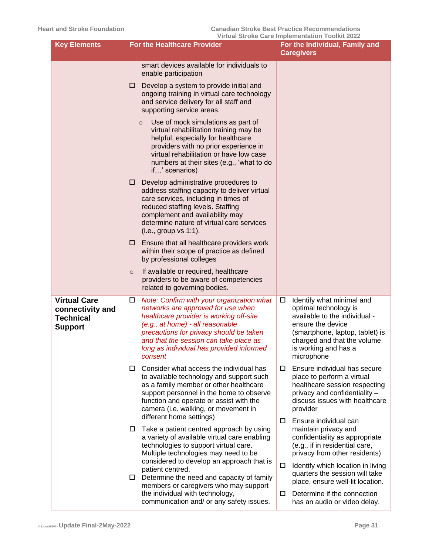| <b>Key Elements</b>                                                           | <b>For the Healthcare Provider</b>                                                                                                                                                                                                                                                                              | <u>VII tudi Oti UKE Gare inipiementation Toolkit Zuzz</u><br>For the Individual, Family and<br><b>Caregivers</b>                                                                                                      |  |
|-------------------------------------------------------------------------------|-----------------------------------------------------------------------------------------------------------------------------------------------------------------------------------------------------------------------------------------------------------------------------------------------------------------|-----------------------------------------------------------------------------------------------------------------------------------------------------------------------------------------------------------------------|--|
|                                                                               | smart devices available for individuals to<br>enable participation                                                                                                                                                                                                                                              |                                                                                                                                                                                                                       |  |
|                                                                               | Develop a system to provide initial and<br>□<br>ongoing training in virtual care technology<br>and service delivery for all staff and<br>supporting service areas.                                                                                                                                              |                                                                                                                                                                                                                       |  |
|                                                                               | Use of mock simulations as part of<br>$\circ$<br>virtual rehabilitation training may be<br>helpful, especially for healthcare<br>providers with no prior experience in<br>virtual rehabilitation or have low case<br>numbers at their sites (e.g., 'what to do<br>if' scenarios)                                |                                                                                                                                                                                                                       |  |
|                                                                               | Develop administrative procedures to<br>□<br>address staffing capacity to deliver virtual<br>care services, including in times of<br>reduced staffing levels. Staffing<br>complement and availability may<br>determine nature of virtual care services<br>(i.e., group vs 1:1).                                 |                                                                                                                                                                                                                       |  |
|                                                                               | Ensure that all healthcare providers work<br>□<br>within their scope of practice as defined<br>by professional colleges                                                                                                                                                                                         |                                                                                                                                                                                                                       |  |
|                                                                               | If available or required, healthcare<br>$\circ$<br>providers to be aware of competencies<br>related to governing bodies.                                                                                                                                                                                        |                                                                                                                                                                                                                       |  |
| <b>Virtual Care</b><br>connectivity and<br><b>Technical</b><br><b>Support</b> | Note: Confirm with your organization what<br>□<br>networks are approved for use when<br>healthcare provider is working off-site<br>(e.g., at home) - all reasonable<br>precautions for privacy should be taken<br>and that the session can take place as<br>long as individual has provided informed<br>consent | Identify what minimal and<br>□<br>optimal technology is<br>available to the individual -<br>ensure the device<br>(smartphone, laptop, tablet) is<br>charged and that the volume<br>is working and has a<br>microphone |  |
|                                                                               | Consider what access the individual has<br>□<br>to available technology and support such<br>as a family member or other healthcare<br>support personnel in the home to observe<br>function and operate or assist with the<br>camera (i.e. walking, or movement in<br>different home settings)                   | Ensure individual has secure<br>□<br>place to perform a virtual<br>healthcare session respecting<br>privacy and confidentiality -<br>discuss issues with healthcare<br>provider                                       |  |
|                                                                               | Take a patient centred approach by using<br>ш<br>a variety of available virtual care enabling<br>technologies to support virtual care.<br>Multiple technologies may need to be                                                                                                                                  | Ensure individual can<br>□<br>maintain privacy and<br>confidentiality as appropriate<br>(e.g., if in residential care,<br>privacy from other residents)                                                               |  |
|                                                                               | considered to develop an approach that is<br>patient centred.<br>Determine the need and capacity of family<br>ш<br>members or caregivers who may support                                                                                                                                                        | Identify which location in living<br>0<br>quarters the session will take<br>place, ensure well-lit location.                                                                                                          |  |
|                                                                               | the individual with technology,<br>communication and/ or any safety issues.                                                                                                                                                                                                                                     | Determine if the connection<br>□<br>has an audio or video delay.                                                                                                                                                      |  |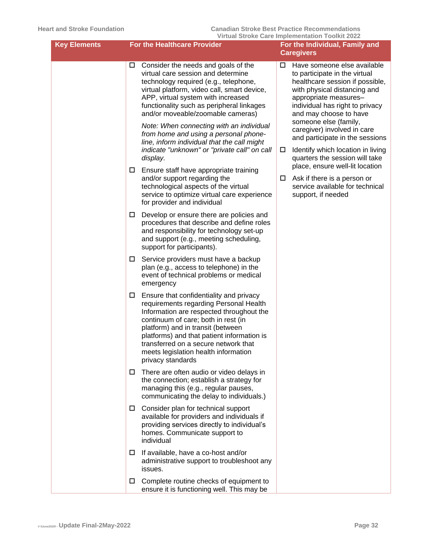| <b>Key Elements</b> | For the Healthcare Provider                                                                                                                                                                                                                                                                                                                                                                                                                                                                    | THE COLOR ON THE COLOR CONTRACTOR COMMITTEE<br>For the Individual, Family and<br><b>Caregivers</b>                                                                                                                                                                                                                                                                                                |  |  |
|---------------------|------------------------------------------------------------------------------------------------------------------------------------------------------------------------------------------------------------------------------------------------------------------------------------------------------------------------------------------------------------------------------------------------------------------------------------------------------------------------------------------------|---------------------------------------------------------------------------------------------------------------------------------------------------------------------------------------------------------------------------------------------------------------------------------------------------------------------------------------------------------------------------------------------------|--|--|
|                     | Consider the needs and goals of the<br>□<br>virtual care session and determine<br>technology required (e.g., telephone,<br>virtual platform, video call, smart device,<br>APP, virtual system with increased<br>functionality such as peripheral linkages<br>and/or moveable/zoomable cameras)<br>Note: When connecting with an individual<br>from home and using a personal phone-<br>line, inform individual that the call might<br>indicate "unknown" or "private call" on call<br>display. | Have someone else available<br>□<br>to participate in the virtual<br>healthcare session if possible,<br>with physical distancing and<br>appropriate measures-<br>individual has right to privacy<br>and may choose to have<br>someone else (family,<br>caregiver) involved in care<br>and participate in the sessions<br>Identify which location in living<br>□<br>quarters the session will take |  |  |
|                     | Ensure staff have appropriate training<br>□<br>and/or support regarding the<br>technological aspects of the virtual<br>service to optimize virtual care experience<br>for provider and individual                                                                                                                                                                                                                                                                                              | place, ensure well-lit location<br>Ask if there is a person or<br>ш<br>service available for technical<br>support, if needed                                                                                                                                                                                                                                                                      |  |  |
|                     | Develop or ensure there are policies and<br>□<br>procedures that describe and define roles<br>and responsibility for technology set-up<br>and support (e.g., meeting scheduling,<br>support for participants).                                                                                                                                                                                                                                                                                 |                                                                                                                                                                                                                                                                                                                                                                                                   |  |  |
|                     | Service providers must have a backup<br>□<br>plan (e.g., access to telephone) in the<br>event of technical problems or medical<br>emergency                                                                                                                                                                                                                                                                                                                                                    |                                                                                                                                                                                                                                                                                                                                                                                                   |  |  |
|                     | Ensure that confidentiality and privacy<br>□<br>requirements regarding Personal Health<br>Information are respected throughout the<br>continuum of care; both in rest (in<br>platform) and in transit (between<br>platforms) and that patient information is<br>transferred on a secure network that<br>meets legislation health information<br>privacy standards                                                                                                                              |                                                                                                                                                                                                                                                                                                                                                                                                   |  |  |
|                     | There are often audio or video delays in<br>the connection; establish a strategy for<br>managing this (e.g., regular pauses,<br>communicating the delay to individuals.)                                                                                                                                                                                                                                                                                                                       |                                                                                                                                                                                                                                                                                                                                                                                                   |  |  |
|                     | Consider plan for technical support<br>□<br>available for providers and individuals if<br>providing services directly to individual's<br>homes. Communicate support to<br>individual                                                                                                                                                                                                                                                                                                           |                                                                                                                                                                                                                                                                                                                                                                                                   |  |  |
|                     | If available, have a co-host and/or<br>□<br>administrative support to troubleshoot any<br>issues.                                                                                                                                                                                                                                                                                                                                                                                              |                                                                                                                                                                                                                                                                                                                                                                                                   |  |  |
|                     | Complete routine checks of equipment to<br>ensure it is functioning well. This may be                                                                                                                                                                                                                                                                                                                                                                                                          |                                                                                                                                                                                                                                                                                                                                                                                                   |  |  |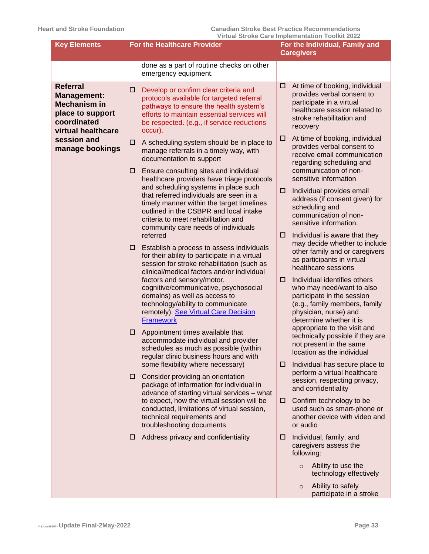| <b>Key Elements</b>                                                                                                   | <b>For the Healthcare Provider</b>                                                                                                                                                                                                                                                                                                                                                                                                                                                                                                                                                                                                                                                                                                                                                                                                                                                                                                                                                                                                                                                                                                                                                                                                                                                                                                                                              | For the Individual, Family and<br><b>Caregivers</b>                                                                                                                                                                                                                                                                                                                                                                                                                                                                                                                                                                                                                                                                                                                                                                                                                                                                                                                                                                                     |
|-----------------------------------------------------------------------------------------------------------------------|---------------------------------------------------------------------------------------------------------------------------------------------------------------------------------------------------------------------------------------------------------------------------------------------------------------------------------------------------------------------------------------------------------------------------------------------------------------------------------------------------------------------------------------------------------------------------------------------------------------------------------------------------------------------------------------------------------------------------------------------------------------------------------------------------------------------------------------------------------------------------------------------------------------------------------------------------------------------------------------------------------------------------------------------------------------------------------------------------------------------------------------------------------------------------------------------------------------------------------------------------------------------------------------------------------------------------------------------------------------------------------|-----------------------------------------------------------------------------------------------------------------------------------------------------------------------------------------------------------------------------------------------------------------------------------------------------------------------------------------------------------------------------------------------------------------------------------------------------------------------------------------------------------------------------------------------------------------------------------------------------------------------------------------------------------------------------------------------------------------------------------------------------------------------------------------------------------------------------------------------------------------------------------------------------------------------------------------------------------------------------------------------------------------------------------------|
|                                                                                                                       | done as a part of routine checks on other<br>emergency equipment.                                                                                                                                                                                                                                                                                                                                                                                                                                                                                                                                                                                                                                                                                                                                                                                                                                                                                                                                                                                                                                                                                                                                                                                                                                                                                                               |                                                                                                                                                                                                                                                                                                                                                                                                                                                                                                                                                                                                                                                                                                                                                                                                                                                                                                                                                                                                                                         |
| <b>Referral</b><br><b>Management:</b><br><b>Mechanism in</b><br>place to support<br>coordinated<br>virtual healthcare | Develop or confirm clear criteria and<br>□<br>protocols available for targeted referral<br>pathways to ensure the health system's<br>efforts to maintain essential services will<br>be respected. (e.g., if service reductions                                                                                                                                                                                                                                                                                                                                                                                                                                                                                                                                                                                                                                                                                                                                                                                                                                                                                                                                                                                                                                                                                                                                                  | At time of booking, individual<br>□<br>provides verbal consent to<br>participate in a virtual<br>healthcare session related to<br>stroke rehabilitation and<br>recovery                                                                                                                                                                                                                                                                                                                                                                                                                                                                                                                                                                                                                                                                                                                                                                                                                                                                 |
| session and<br>manage bookings                                                                                        | occur).<br>A scheduling system should be in place to<br>□<br>manage referrals in a timely way, with<br>documentation to support<br>Ensure consulting sites and individual<br>□<br>healthcare providers have triage protocols<br>and scheduling systems in place such<br>that referred individuals are seen in a<br>timely manner within the target timelines<br>outlined in the CSBPR and local intake<br>criteria to meet rehabilitation and<br>community care needs of individuals<br>referred<br>Establish a process to assess individuals<br>□<br>for their ability to participate in a virtual<br>session for stroke rehabilitation (such as<br>clinical/medical factors and/or individual<br>factors and sensory/motor,<br>cognitive/communicative, psychosocial<br>domains) as well as access to<br>technology/ability to communicate<br>remotely). See Virtual Care Decision<br><b>Framework</b><br>Appointment times available that<br>□<br>accommodate individual and provider<br>schedules as much as possible (within<br>regular clinic business hours and with<br>some flexibility where necessary)<br>Consider providing an orientation<br>□<br>package of information for individual in<br>advance of starting virtual services - what<br>to expect, how the virtual session will be<br>conducted, limitations of virtual session,<br>technical requirements and | At time of booking, individual<br>□<br>provides verbal consent to<br>receive email communication<br>regarding scheduling and<br>communication of non-<br>sensitive information<br>Individual provides email<br>□<br>address (if consent given) for<br>scheduling and<br>communication of non-<br>sensitive information.<br>Individual is aware that they<br>□<br>may decide whether to include<br>other family and or caregivers<br>as participants in virtual<br>healthcare sessions<br>Individual identifies others<br>□<br>who may need/want to also<br>participate in the session<br>(e.g., family members, family<br>physician, nurse) and<br>determine whether it is<br>appropriate to the visit and<br>technically possible if they are<br>not present in the same<br>location as the individual<br>Individual has secure place to<br>□.<br>perform a virtual healthcare<br>session, respecting privacy,<br>and confidentiality<br>Confirm technology to be<br>□<br>used such as smart-phone or<br>another device with video and |
|                                                                                                                       | troubleshooting documents<br>Address privacy and confidentiality<br>□                                                                                                                                                                                                                                                                                                                                                                                                                                                                                                                                                                                                                                                                                                                                                                                                                                                                                                                                                                                                                                                                                                                                                                                                                                                                                                           | or audio<br>Individual, family, and<br>□<br>caregivers assess the<br>following:<br>Ability to use the<br>$\circ$<br>technology effectively<br>Ability to safely<br>$\circ$<br>participate in a stroke                                                                                                                                                                                                                                                                                                                                                                                                                                                                                                                                                                                                                                                                                                                                                                                                                                   |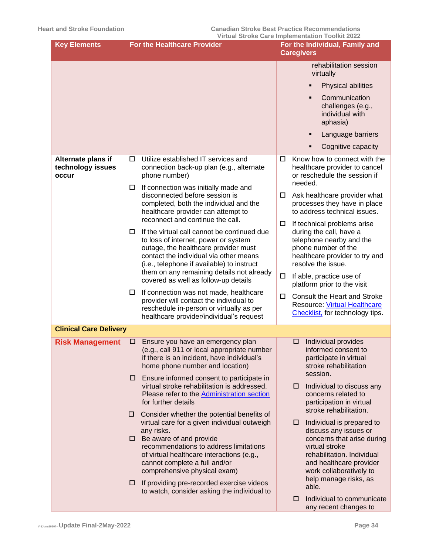| rehabilitation session<br>virtually<br><b>Physical abilities</b><br>٠<br>Communication<br>$\blacksquare$<br>challenges (e.g.,<br>individual with<br>aphasia)<br>Language barriers<br>٠<br>Cognitive capacity<br>Utilize established IT services and<br>Know how to connect with the<br>Alternate plans if<br>□<br>□<br>technology issues<br>connection back-up plan (e.g., alternate<br>healthcare provider to cancel<br>phone number)<br>or reschedule the session if<br>occur<br>needed.<br>If connection was initially made and<br>□<br>disconnected before session is<br>Ask healthcare provider what<br>processes they have in place<br>completed, both the individual and the<br>to address technical issues.<br>healthcare provider can attempt to<br>reconnect and continue the call.<br>If technical problems arise<br>If the virtual call cannot be continued due<br>during the call, have a<br>□<br>to loss of internet, power or system<br>telephone nearby and the<br>outage, the healthcare provider must<br>phone number of the<br>contact the individual via other means<br>healthcare provider to try and<br>resolve the issue.<br>(i.e., telephone if available) to instruct<br>them on any remaining details not already<br>□<br>If able, practice use of<br>covered as well as follow-up details<br>platform prior to the visit<br>If connection was not made, healthcare<br>□<br><b>Consult the Heart and Stroke</b><br>0<br>provider will contact the individual to<br><b>Resource: Virtual Healthcare</b><br>reschedule in-person or virtually as per<br>Checklist, for technology tips.<br>healthcare provider/individual's request<br><b>Clinical Care Delivery</b><br>Individual provides<br>Ensure you have an emergency plan<br><b>Risk Management</b><br>□<br>□<br>(e.g., call 911 or local appropriate number<br>informed consent to<br>if there is an incident, have individual's<br>participate in virtual<br>home phone number and location)<br>stroke rehabilitation<br>session.<br>Ensure informed consent to participate in<br>□<br>virtual stroke rehabilitation is addressed.<br>Individual to discuss any<br>⊔<br>Please refer to the Administration section<br>concerns related to<br>for further details<br>participation in virtual<br>stroke rehabilitation.<br>Consider whether the potential benefits of<br>□<br>virtual care for a given individual outweigh<br>Individual is prepared to<br>□<br>any risks.<br>discuss any issues or<br>Be aware of and provide<br>concerns that arise during<br>□<br>recommendations to address limitations<br>virtual stroke<br>of virtual healthcare interactions (e.g.,<br>rehabilitation. Individual<br>and healthcare provider<br>cannot complete a full and/or<br>comprehensive physical exam)<br>work collaboratively to<br>help manage risks, as<br>If providing pre-recorded exercise videos<br>□<br>able.<br>to watch, consider asking the individual to | <b>Key Elements</b> | <b>For the Healthcare Provider</b> | <u>THE CHAING ONE HIDIGING INCLES TOOMS AND THE T</u><br>For the Individual, Family and<br><b>Caregivers</b> |
|----------------------------------------------------------------------------------------------------------------------------------------------------------------------------------------------------------------------------------------------------------------------------------------------------------------------------------------------------------------------------------------------------------------------------------------------------------------------------------------------------------------------------------------------------------------------------------------------------------------------------------------------------------------------------------------------------------------------------------------------------------------------------------------------------------------------------------------------------------------------------------------------------------------------------------------------------------------------------------------------------------------------------------------------------------------------------------------------------------------------------------------------------------------------------------------------------------------------------------------------------------------------------------------------------------------------------------------------------------------------------------------------------------------------------------------------------------------------------------------------------------------------------------------------------------------------------------------------------------------------------------------------------------------------------------------------------------------------------------------------------------------------------------------------------------------------------------------------------------------------------------------------------------------------------------------------------------------------------------------------------------------------------------------------------------------------------------------------------------------------------------------------------------------------------------------------------------------------------------------------------------------------------------------------------------------------------------------------------------------------------------------------------------------------------------------------------------------------------------------------------------------------------------------------------------------------------------------------------------------------------------------------------------------------------------------------------------------------------------------------------------------------------------------------------------------------------------------------------------------------------------------------------------------------------------------------------|---------------------|------------------------------------|--------------------------------------------------------------------------------------------------------------|
|                                                                                                                                                                                                                                                                                                                                                                                                                                                                                                                                                                                                                                                                                                                                                                                                                                                                                                                                                                                                                                                                                                                                                                                                                                                                                                                                                                                                                                                                                                                                                                                                                                                                                                                                                                                                                                                                                                                                                                                                                                                                                                                                                                                                                                                                                                                                                                                                                                                                                                                                                                                                                                                                                                                                                                                                                                                                                                                                                    |                     |                                    |                                                                                                              |
|                                                                                                                                                                                                                                                                                                                                                                                                                                                                                                                                                                                                                                                                                                                                                                                                                                                                                                                                                                                                                                                                                                                                                                                                                                                                                                                                                                                                                                                                                                                                                                                                                                                                                                                                                                                                                                                                                                                                                                                                                                                                                                                                                                                                                                                                                                                                                                                                                                                                                                                                                                                                                                                                                                                                                                                                                                                                                                                                                    |                     |                                    |                                                                                                              |
|                                                                                                                                                                                                                                                                                                                                                                                                                                                                                                                                                                                                                                                                                                                                                                                                                                                                                                                                                                                                                                                                                                                                                                                                                                                                                                                                                                                                                                                                                                                                                                                                                                                                                                                                                                                                                                                                                                                                                                                                                                                                                                                                                                                                                                                                                                                                                                                                                                                                                                                                                                                                                                                                                                                                                                                                                                                                                                                                                    |                     |                                    |                                                                                                              |
|                                                                                                                                                                                                                                                                                                                                                                                                                                                                                                                                                                                                                                                                                                                                                                                                                                                                                                                                                                                                                                                                                                                                                                                                                                                                                                                                                                                                                                                                                                                                                                                                                                                                                                                                                                                                                                                                                                                                                                                                                                                                                                                                                                                                                                                                                                                                                                                                                                                                                                                                                                                                                                                                                                                                                                                                                                                                                                                                                    |                     |                                    |                                                                                                              |
|                                                                                                                                                                                                                                                                                                                                                                                                                                                                                                                                                                                                                                                                                                                                                                                                                                                                                                                                                                                                                                                                                                                                                                                                                                                                                                                                                                                                                                                                                                                                                                                                                                                                                                                                                                                                                                                                                                                                                                                                                                                                                                                                                                                                                                                                                                                                                                                                                                                                                                                                                                                                                                                                                                                                                                                                                                                                                                                                                    |                     |                                    |                                                                                                              |
|                                                                                                                                                                                                                                                                                                                                                                                                                                                                                                                                                                                                                                                                                                                                                                                                                                                                                                                                                                                                                                                                                                                                                                                                                                                                                                                                                                                                                                                                                                                                                                                                                                                                                                                                                                                                                                                                                                                                                                                                                                                                                                                                                                                                                                                                                                                                                                                                                                                                                                                                                                                                                                                                                                                                                                                                                                                                                                                                                    |                     |                                    |                                                                                                              |
|                                                                                                                                                                                                                                                                                                                                                                                                                                                                                                                                                                                                                                                                                                                                                                                                                                                                                                                                                                                                                                                                                                                                                                                                                                                                                                                                                                                                                                                                                                                                                                                                                                                                                                                                                                                                                                                                                                                                                                                                                                                                                                                                                                                                                                                                                                                                                                                                                                                                                                                                                                                                                                                                                                                                                                                                                                                                                                                                                    |                     |                                    |                                                                                                              |
|                                                                                                                                                                                                                                                                                                                                                                                                                                                                                                                                                                                                                                                                                                                                                                                                                                                                                                                                                                                                                                                                                                                                                                                                                                                                                                                                                                                                                                                                                                                                                                                                                                                                                                                                                                                                                                                                                                                                                                                                                                                                                                                                                                                                                                                                                                                                                                                                                                                                                                                                                                                                                                                                                                                                                                                                                                                                                                                                                    |                     |                                    |                                                                                                              |
|                                                                                                                                                                                                                                                                                                                                                                                                                                                                                                                                                                                                                                                                                                                                                                                                                                                                                                                                                                                                                                                                                                                                                                                                                                                                                                                                                                                                                                                                                                                                                                                                                                                                                                                                                                                                                                                                                                                                                                                                                                                                                                                                                                                                                                                                                                                                                                                                                                                                                                                                                                                                                                                                                                                                                                                                                                                                                                                                                    |                     |                                    |                                                                                                              |
|                                                                                                                                                                                                                                                                                                                                                                                                                                                                                                                                                                                                                                                                                                                                                                                                                                                                                                                                                                                                                                                                                                                                                                                                                                                                                                                                                                                                                                                                                                                                                                                                                                                                                                                                                                                                                                                                                                                                                                                                                                                                                                                                                                                                                                                                                                                                                                                                                                                                                                                                                                                                                                                                                                                                                                                                                                                                                                                                                    |                     |                                    | Individual to communicate<br>□                                                                               |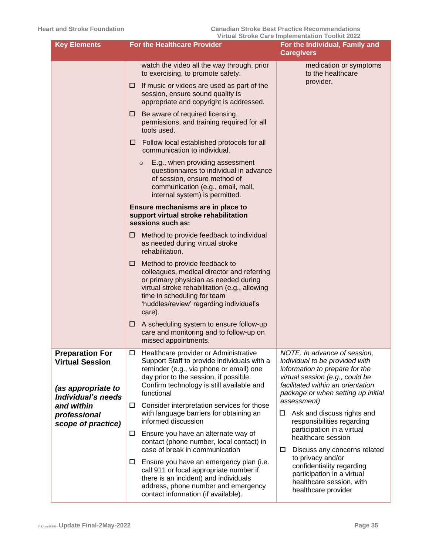| <b>Key Elements</b>                                                                          | <u>Virtual Stroke Care Implementation Toolkit 2022</u><br><b>For the Healthcare Provider</b><br>For the Individual, Family and                                                                                                                                 |                                                                                                                                                                                                                |  |  |
|----------------------------------------------------------------------------------------------|----------------------------------------------------------------------------------------------------------------------------------------------------------------------------------------------------------------------------------------------------------------|----------------------------------------------------------------------------------------------------------------------------------------------------------------------------------------------------------------|--|--|
|                                                                                              |                                                                                                                                                                                                                                                                | <b>Caregivers</b>                                                                                                                                                                                              |  |  |
|                                                                                              | watch the video all the way through, prior<br>to exercising, to promote safety.                                                                                                                                                                                | medication or symptoms<br>to the healthcare                                                                                                                                                                    |  |  |
|                                                                                              | If music or videos are used as part of the<br>□<br>session, ensure sound quality is<br>appropriate and copyright is addressed.                                                                                                                                 | provider.                                                                                                                                                                                                      |  |  |
|                                                                                              | Be aware of required licensing,<br>□<br>permissions, and training required for all<br>tools used.                                                                                                                                                              |                                                                                                                                                                                                                |  |  |
|                                                                                              | Follow local established protocols for all<br>□<br>communication to individual.                                                                                                                                                                                |                                                                                                                                                                                                                |  |  |
|                                                                                              | E.g., when providing assessment<br>$\circ$<br>questionnaires to individual in advance<br>of session, ensure method of<br>communication (e.g., email, mail,<br>internal system) is permitted.                                                                   |                                                                                                                                                                                                                |  |  |
|                                                                                              | Ensure mechanisms are in place to<br>support virtual stroke rehabilitation<br>sessions such as:                                                                                                                                                                |                                                                                                                                                                                                                |  |  |
|                                                                                              | Method to provide feedback to individual<br>⊔<br>as needed during virtual stroke<br>rehabilitation.                                                                                                                                                            |                                                                                                                                                                                                                |  |  |
|                                                                                              | Method to provide feedback to<br>□<br>colleagues, medical director and referring<br>or primary physician as needed during<br>virtual stroke rehabilitation (e.g., allowing<br>time in scheduling for team<br>'huddles/review' regarding individual's<br>care). |                                                                                                                                                                                                                |  |  |
|                                                                                              | A scheduling system to ensure follow-up<br>□<br>care and monitoring and to follow-up on<br>missed appointments.                                                                                                                                                |                                                                                                                                                                                                                |  |  |
| <b>Preparation For</b><br><b>Virtual Session</b><br>(as appropriate to<br>Individual's needs | Healthcare provider or Administrative<br>□<br>Support Staff to provide individuals with a<br>reminder (e.g., via phone or email) one<br>day prior to the session, if possible.<br>Confirm technology is still available and<br>functional                      | NOTE: In advance of session,<br>individual to be provided with<br>information to prepare for the<br>virtual session (e.g., could be<br>facilitated within an orientation<br>package or when setting up initial |  |  |
| and within<br>professional<br>scope of practice)                                             | Consider interpretation services for those<br>□<br>with language barriers for obtaining an<br>informed discussion                                                                                                                                              | assessment)<br>Ask and discuss rights and<br>□<br>responsibilities regarding                                                                                                                                   |  |  |
|                                                                                              | Ensure you have an alternate way of<br>□<br>contact (phone number, local contact) in<br>case of break in communication<br>□                                                                                                                                    | participation in a virtual<br>healthcare session<br>Discuss any concerns related                                                                                                                               |  |  |
|                                                                                              | Ensure you have an emergency plan (i.e.<br>$\Box$<br>call 911 or local appropriate number if<br>there is an incident) and individuals<br>address, phone number and emergency<br>contact information (if available).                                            | to privacy and/or<br>confidentiality regarding<br>participation in a virtual<br>healthcare session, with<br>healthcare provider                                                                                |  |  |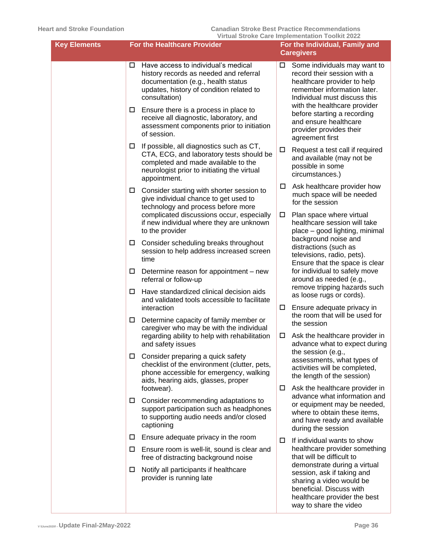| <b>Key Elements</b> | <b>For the Healthcare Provider</b>                                                                                                                                                         | <u>VII tudi oli oke Gare implementation Toolkit zuzz</u><br>For the Individual, Family and<br><b>Caregivers</b>                                                                     |  |  |
|---------------------|--------------------------------------------------------------------------------------------------------------------------------------------------------------------------------------------|-------------------------------------------------------------------------------------------------------------------------------------------------------------------------------------|--|--|
| □                   | Have access to individual's medical<br>history records as needed and referral<br>documentation (e.g., health status<br>updates, history of condition related to<br>consultation)           | □<br>Some individuals may want to<br>record their session with a<br>healthcare provider to help<br>remember information later.<br>Individual must discuss this                      |  |  |
| $\Box$              | Ensure there is a process in place to<br>receive all diagnostic, laboratory, and<br>assessment components prior to initiation<br>of session.                                               | with the healthcare provider<br>before starting a recording<br>and ensure healthcare<br>provider provides their<br>agreement first                                                  |  |  |
| □                   | If possible, all diagnostics such as CT,<br>CTA, ECG, and laboratory tests should be<br>completed and made available to the<br>neurologist prior to initiating the virtual<br>appointment. | Request a test call if required<br>and available (may not be<br>possible in some<br>circumstances.)                                                                                 |  |  |
| $\Box$              | Consider starting with shorter session to<br>give individual chance to get used to<br>technology and process before more                                                                   | Ask healthcare provider how<br>much space will be needed<br>for the session                                                                                                         |  |  |
|                     | complicated discussions occur, especially<br>if new individual where they are unknown<br>to the provider                                                                                   | Plan space where virtual<br>healthcare session will take<br>place - good lighting, minimal                                                                                          |  |  |
| $\Box$              | Consider scheduling breaks throughout<br>session to help address increased screen<br>time                                                                                                  | background noise and<br>distractions (such as<br>televisions, radio, pets).<br>Ensure that the space is clear                                                                       |  |  |
| ш                   | Determine reason for appointment - new<br>referral or follow-up                                                                                                                            | for individual to safely move<br>around as needed (e.g.,                                                                                                                            |  |  |
| □                   | Have standardized clinical decision aids<br>and validated tools accessible to facilitate<br>interaction                                                                                    | remove tripping hazards such<br>as loose rugs or cords).<br>Ensure adequate privacy in                                                                                              |  |  |
| □                   | Determine capacity of family member or<br>caregiver who may be with the individual                                                                                                         | the room that will be used for<br>the session                                                                                                                                       |  |  |
|                     | regarding ability to help with rehabilitation<br>and safety issues                                                                                                                         | Ask the healthcare provider in<br>□<br>advance what to expect during<br>the session (e.g.,                                                                                          |  |  |
| □                   | Consider preparing a quick safety<br>checklist of the environment (clutter, pets,<br>phone accessible for emergency, walking<br>aids, hearing aids, glasses, proper                        | assessments, what types of<br>activities will be completed,<br>the length of the session)<br>$\Box$                                                                                 |  |  |
| $\Box$              | footwear).<br>Consider recommending adaptations to<br>support participation such as headphones<br>to supporting audio needs and/or closed<br>captioning                                    | Ask the healthcare provider in<br>advance what information and<br>or equipment may be needed,<br>where to obtain these items,<br>and have ready and available<br>during the session |  |  |
| $\Box$              | Ensure adequate privacy in the room                                                                                                                                                        | If individual wants to show                                                                                                                                                         |  |  |
| □                   | Ensure room is well-lit, sound is clear and<br>free of distracting background noise                                                                                                        | healthcare provider something<br>that will be difficult to                                                                                                                          |  |  |
| ш                   | Notify all participants if healthcare<br>provider is running late                                                                                                                          | demonstrate during a virtual<br>session, ask if taking and<br>sharing a video would be<br>beneficial. Discuss with<br>healthcare provider the best<br>way to share the video        |  |  |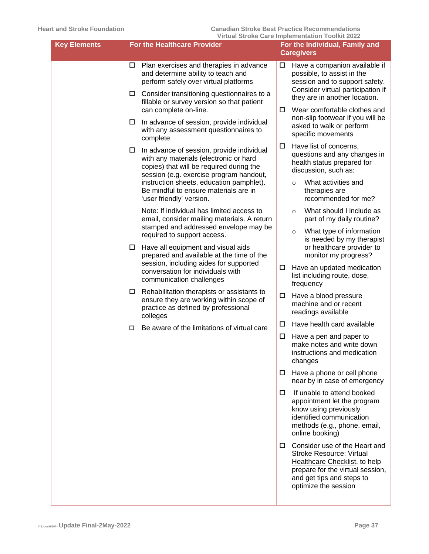| <b>Key Elements</b> | For the Healthcare Provider                                                                                                                                                          | THE COLONG OUTLING COMMISSION TOOM LADE<br>For the Individual, Family and<br><b>Caregivers</b>                                                                                                    |
|---------------------|--------------------------------------------------------------------------------------------------------------------------------------------------------------------------------------|---------------------------------------------------------------------------------------------------------------------------------------------------------------------------------------------------|
|                     | Plan exercises and therapies in advance<br>and determine ability to teach and<br>perform safely over virtual platforms<br>Consider transitioning questionnaires to a<br>$\Box$       | Have a companion available if<br>□<br>possible, to assist in the<br>session and to support safety.<br>Consider virtual participation if<br>they are in another location.                          |
|                     | fillable or survey version so that patient<br>can complete on-line.                                                                                                                  | Wear comfortable clothes and<br>□<br>non-slip footwear if you will be                                                                                                                             |
|                     | In advance of session, provide individual<br>$\Box$<br>with any assessment questionnaires to<br>complete                                                                             | asked to walk or perform<br>specific movements                                                                                                                                                    |
|                     | In advance of session, provide individual<br>$\Box$<br>with any materials (electronic or hard<br>copies) that will be required during the<br>session (e.g. exercise program handout, | Have list of concerns,<br>questions and any changes in<br>health status prepared for<br>discussion, such as:                                                                                      |
|                     | instruction sheets, education pamphlet).<br>Be mindful to ensure materials are in<br>'user friendly' version.                                                                        | What activities and<br>$\circ$<br>therapies are<br>recommended for me?                                                                                                                            |
|                     | Note: If individual has limited access to<br>email, consider mailing materials. A return                                                                                             | What should I include as<br>$\circ$<br>part of my daily routine?                                                                                                                                  |
|                     | stamped and addressed envelope may be<br>required to support access.<br>Have all equipment and visual aids<br>$\Box$                                                                 | What type of information<br>$\circ$<br>is needed by my therapist<br>or healthcare provider to                                                                                                     |
|                     | prepared and available at the time of the<br>session, including aides for supported<br>conversation for individuals with<br>communication challenges                                 | monitor my progress?<br>$\Box$<br>Have an updated medication<br>list including route, dose,<br>frequency                                                                                          |
|                     | Rehabilitation therapists or assistants to<br>$\Box$<br>ensure they are working within scope of<br>practice as defined by professional<br>colleges                                   | Have a blood pressure<br>machine and or recent<br>readings available                                                                                                                              |
|                     | Be aware of the limitations of virtual care<br>□                                                                                                                                     | Have health card available<br>□                                                                                                                                                                   |
|                     |                                                                                                                                                                                      | Have a pen and paper to<br>□<br>make notes and write down<br>instructions and medication<br>changes                                                                                               |
|                     |                                                                                                                                                                                      | $\Box$ Have a phone or cell phone<br>near by in case of emergency                                                                                                                                 |
|                     |                                                                                                                                                                                      | If unable to attend booked<br>П.<br>appointment let the program<br>know using previously<br>identified communication<br>methods (e.g., phone, email,<br>online booking)                           |
|                     |                                                                                                                                                                                      | $\Box$ Consider use of the Heart and<br>Stroke Resource: Virtual<br><b>Healthcare Checklist, to help</b><br>prepare for the virtual session,<br>and get tips and steps to<br>optimize the session |
|                     |                                                                                                                                                                                      |                                                                                                                                                                                                   |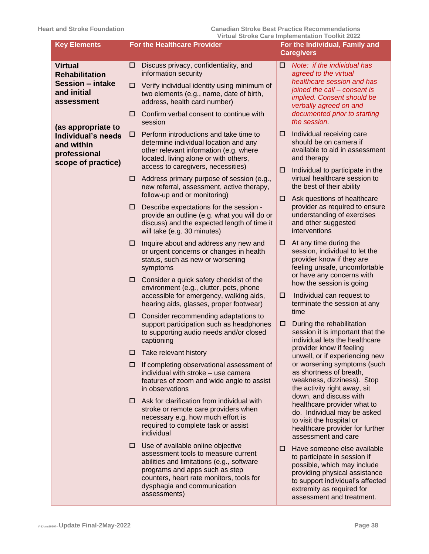| <b>Key Elements</b>                                                                          | <b>For the Healthcare Provider</b>                                                                                                                                                                                                                      | Virtual Stroke Care implementation Toolkit 2022<br>For the Individual, Family and<br><b>Caregivers</b>                                                                                                                         |  |  |
|----------------------------------------------------------------------------------------------|---------------------------------------------------------------------------------------------------------------------------------------------------------------------------------------------------------------------------------------------------------|--------------------------------------------------------------------------------------------------------------------------------------------------------------------------------------------------------------------------------|--|--|
| <b>Virtual</b><br><b>Rehabilitation</b>                                                      | Discuss privacy, confidentiality, and<br>□<br>information security                                                                                                                                                                                      | Note: if the individual has<br>□<br>agreed to the virtual                                                                                                                                                                      |  |  |
| <b>Session - intake</b><br>and initial<br>assessment                                         | Verify individual identity using minimum of<br>□<br>two elements (e.g., name, date of birth,<br>address, health card number)                                                                                                                            | healthcare session and has<br>joined the call - consent is<br>implied. Consent should be<br>verbally agreed on and                                                                                                             |  |  |
|                                                                                              | Confirm verbal consent to continue with<br>□<br>session                                                                                                                                                                                                 | documented prior to starting<br>the session.                                                                                                                                                                                   |  |  |
| (as appropriate to<br>Individual's needs<br>and within<br>professional<br>scope of practice) | Perform introductions and take time to<br>□<br>determine individual location and any<br>other relevant information (e.g. where<br>located, living alone or with others,<br>access to caregivers, necessities)                                           | Individual receiving care<br>□<br>should be on camera if<br>available to aid in assessment<br>and therapy                                                                                                                      |  |  |
|                                                                                              | Address primary purpose of session (e.g.,<br>□<br>new referral, assessment, active therapy,<br>follow-up and or monitoring)                                                                                                                             | Individual to participate in the<br>□<br>virtual healthcare session to<br>the best of their ability                                                                                                                            |  |  |
|                                                                                              | Describe expectations for the session -<br>□<br>provide an outline (e.g. what you will do or<br>discuss) and the expected length of time it<br>will take (e.g. 30 minutes)                                                                              | Ask questions of healthcare<br>□<br>provider as required to ensure<br>understanding of exercises<br>and other suggested<br>interventions                                                                                       |  |  |
|                                                                                              | Inquire about and address any new and<br>□<br>or urgent concerns or changes in health<br>status, such as new or worsening<br>symptoms                                                                                                                   | At any time during the<br>□<br>session, individual to let the<br>provider know if they are<br>feeling unsafe, uncomfortable<br>or have any concerns with                                                                       |  |  |
|                                                                                              | Consider a quick safety checklist of the<br>□<br>environment (e.g., clutter, pets, phone<br>accessible for emergency, walking aids,<br>hearing aids, glasses, proper footwear)                                                                          | how the session is going<br>□<br>Individual can request to<br>terminate the session at any                                                                                                                                     |  |  |
|                                                                                              | Consider recommending adaptations to<br>□<br>support participation such as headphones<br>to supporting audio needs and/or closed<br>captioning                                                                                                          | time<br>During the rehabilitation<br>□<br>session it is important that the<br>individual lets the healthcare                                                                                                                   |  |  |
|                                                                                              | Take relevant history<br>□                                                                                                                                                                                                                              | provider know if feeling<br>unwell, or if experiencing new                                                                                                                                                                     |  |  |
|                                                                                              | If completing observational assessment of<br>□<br>individual with stroke - use camera<br>features of zoom and wide angle to assist<br>in observations                                                                                                   | or worsening symptoms (such<br>as shortness of breath,<br>weakness, dizziness). Stop<br>the activity right away, sit                                                                                                           |  |  |
|                                                                                              | Ask for clarification from individual with<br>0<br>stroke or remote care providers when<br>necessary e.g. how much effort is<br>required to complete task or assist<br>individual                                                                       | down, and discuss with<br>healthcare provider what to<br>do. Individual may be asked<br>to visit the hospital or<br>healthcare provider for further<br>assessment and care                                                     |  |  |
|                                                                                              | Use of available online objective<br>□<br>assessment tools to measure current<br>abilities and limitations (e.g., software<br>programs and apps such as step<br>counters, heart rate monitors, tools for<br>dysphagia and communication<br>assessments) | Have someone else available<br>□<br>to participate in session if<br>possible, which may include<br>providing physical assistance<br>to support individual's affected<br>extremity as required for<br>assessment and treatment. |  |  |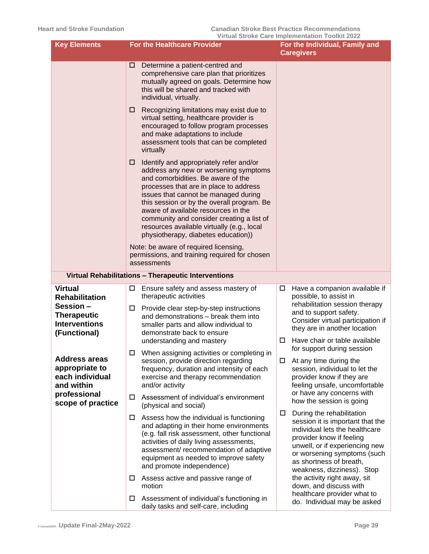| <b>Key Elements</b>                                                                               | <b>For the Healthcare Provider</b>                                                                                                                                                                                                                                                                                                                                                                                                   | VII tudi Oti UKE Gare implementation TOOIKIt ZUZZ<br>For the Individual, Family and<br><b>Caregivers</b>                                                                                                                                                        |
|---------------------------------------------------------------------------------------------------|--------------------------------------------------------------------------------------------------------------------------------------------------------------------------------------------------------------------------------------------------------------------------------------------------------------------------------------------------------------------------------------------------------------------------------------|-----------------------------------------------------------------------------------------------------------------------------------------------------------------------------------------------------------------------------------------------------------------|
|                                                                                                   | Determine a patient-centred and<br>□<br>comprehensive care plan that prioritizes<br>mutually agreed on goals. Determine how<br>this will be shared and tracked with<br>individual, virtually.                                                                                                                                                                                                                                        |                                                                                                                                                                                                                                                                 |
|                                                                                                   | Recognizing limitations may exist due to<br>□<br>virtual setting, healthcare provider is<br>encouraged to follow program processes<br>and make adaptations to include<br>assessment tools that can be completed<br>virtually                                                                                                                                                                                                         |                                                                                                                                                                                                                                                                 |
|                                                                                                   | Identify and appropriately refer and/or<br>⊔<br>address any new or worsening symptoms<br>and comorbidities. Be aware of the<br>processes that are in place to address<br>issues that cannot be managed during<br>this session or by the overall program. Be<br>aware of available resources in the<br>community and consider creating a list of<br>resources available virtually (e.g., local<br>physiotherapy, diabetes education)) |                                                                                                                                                                                                                                                                 |
|                                                                                                   | Note: be aware of required licensing,<br>permissions, and training required for chosen<br>assessments                                                                                                                                                                                                                                                                                                                                |                                                                                                                                                                                                                                                                 |
|                                                                                                   | Virtual Rehabilitations - Therapeutic Interventions                                                                                                                                                                                                                                                                                                                                                                                  |                                                                                                                                                                                                                                                                 |
| <b>Virtual</b><br><b>Rehabilitation</b><br>Session-<br><b>Therapeutic</b><br><b>Interventions</b> | Ensure safety and assess mastery of<br>□<br>therapeutic activities<br>Provide clear step-by-step instructions<br>□<br>and demonstrations - break them into<br>smaller parts and allow individual to                                                                                                                                                                                                                                  | Have a companion available if<br>□<br>possible, to assist in<br>rehabilitation session therapy<br>and to support safety.<br>Consider virtual participation if                                                                                                   |
| (Functional)                                                                                      | demonstrate back to ensure<br>understanding and mastery                                                                                                                                                                                                                                                                                                                                                                              | they are in another location<br>Have chair or table available<br>□<br>for support during session                                                                                                                                                                |
| <b>Address areas</b><br>appropriate to<br>each individual<br>and within                           | □<br>When assigning activities or completing in<br>session, provide direction regarding<br>frequency, duration and intensity of each<br>exercise and therapy recommendation<br>and/or activity                                                                                                                                                                                                                                       | At any time during the<br>□<br>session, individual to let the<br>provider know if they are<br>feeling unsafe, uncomfortable<br>or have any concerns with                                                                                                        |
| professional<br>scope of practice                                                                 | Assessment of individual's environment<br>□<br>(physical and social)                                                                                                                                                                                                                                                                                                                                                                 | how the session is going                                                                                                                                                                                                                                        |
|                                                                                                   | Assess how the individual is functioning<br>$\Box$<br>and adapting in their home environments<br>(e.g. fall risk assessment, other functional<br>activities of daily living assessments,<br>assessment/ recommendation of adaptive<br>equipment as needed to improve safety<br>and promote independence)                                                                                                                             | During the rehabilitation<br>$\Box$<br>session it is important that the<br>individual lets the healthcare<br>provider know if feeling<br>unwell, or if experiencing new<br>or worsening symptoms (such<br>as shortness of breath,<br>weakness, dizziness). Stop |
|                                                                                                   | Assess active and passive range of<br>ш<br>motion                                                                                                                                                                                                                                                                                                                                                                                    | the activity right away, sit<br>down, and discuss with<br>healthcare provider what to                                                                                                                                                                           |
|                                                                                                   | Assessment of individual's functioning in<br>$\Box$<br>daily tasks and self-care, including                                                                                                                                                                                                                                                                                                                                          | do. Individual may be asked                                                                                                                                                                                                                                     |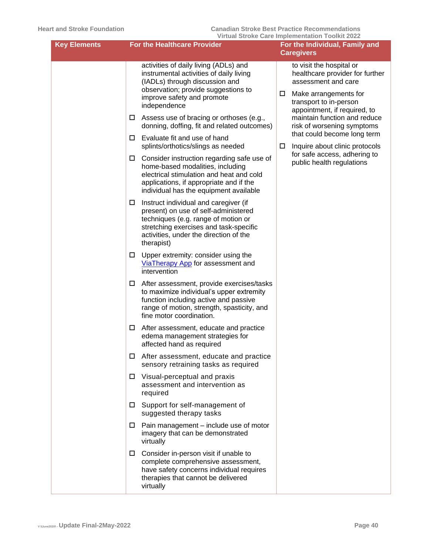| <b>Key Elements</b> | <b>For the Healthcare Provider</b>                                                                                                                                                                                          | <u>VII tudi Oti UKE Gare impiementation TOOIKIt ZUZZ</u><br>For the Individual, Family and<br><b>Caregivers</b>                            |  |  |
|---------------------|-----------------------------------------------------------------------------------------------------------------------------------------------------------------------------------------------------------------------------|--------------------------------------------------------------------------------------------------------------------------------------------|--|--|
|                     | activities of daily living (ADLs) and<br>instrumental activities of daily living<br>(IADLs) through discussion and<br>observation; provide suggestions to<br>improve safety and promote<br>independence                     | to visit the hospital or<br>healthcare provider for further<br>assessment and care<br>□<br>Make arrangements for<br>transport to in-person |  |  |
|                     | Assess use of bracing or orthoses (e.g.,<br>$\Box$<br>donning, doffing, fit and related outcomes)                                                                                                                           | appointment, if required, to<br>maintain function and reduce<br>risk of worsening symptoms                                                 |  |  |
|                     | Evaluate fit and use of hand<br>□<br>splints/orthotics/slings as needed                                                                                                                                                     | that could become long term<br>Inquire about clinic protocols<br>□                                                                         |  |  |
|                     | Consider instruction regarding safe use of<br>□.<br>home-based modalities, including<br>electrical stimulation and heat and cold<br>applications, if appropriate and if the<br>individual has the equipment available       | for safe access, adhering to<br>public health regulations                                                                                  |  |  |
|                     | Instruct individual and caregiver (if<br>□<br>present) on use of self-administered<br>techniques (e.g. range of motion or<br>stretching exercises and task-specific<br>activities, under the direction of the<br>therapist) |                                                                                                                                            |  |  |
|                     | Upper extremity: consider using the<br>$\Box$<br>ViaTherapy App for assessment and<br>intervention                                                                                                                          |                                                                                                                                            |  |  |
|                     | After assessment, provide exercises/tasks<br>□<br>to maximize individual's upper extremity<br>function including active and passive<br>range of motion, strength, spasticity, and<br>fine motor coordination.               |                                                                                                                                            |  |  |
|                     | After assessment, educate and practice<br>□<br>edema management strategies for<br>affected hand as required                                                                                                                 |                                                                                                                                            |  |  |
|                     | After assessment, educate and practice<br>□<br>sensory retraining tasks as required                                                                                                                                         |                                                                                                                                            |  |  |
|                     | Visual-perceptual and praxis<br>□.<br>assessment and intervention as<br>required                                                                                                                                            |                                                                                                                                            |  |  |
|                     | Support for self-management of<br>suggested therapy tasks                                                                                                                                                                   |                                                                                                                                            |  |  |
|                     | Pain management – include use of motor<br>ш<br>imagery that can be demonstrated<br>virtually                                                                                                                                |                                                                                                                                            |  |  |
|                     | Consider in-person visit if unable to<br>□<br>complete comprehensive assessment,<br>have safety concerns individual requires<br>therapies that cannot be delivered<br>virtually                                             |                                                                                                                                            |  |  |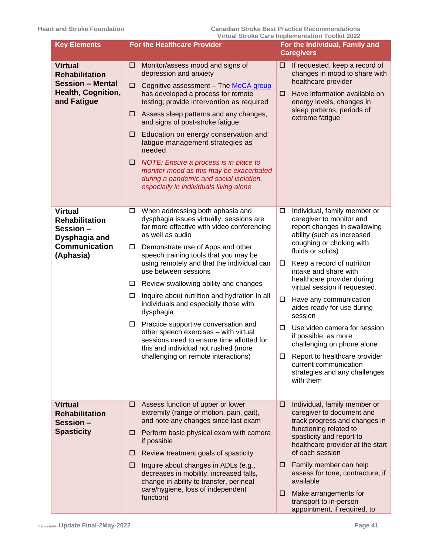| <b>Key Elements</b>                                                                                        | <b>For the Healthcare Provider</b>                                                                                                                                                                                                                                                                                                                                                                                                                                                                                                                                                                                                                                                      | <u>Virtual Stroke Care implementation Toolkit 2022</u><br>For the Individual, Family and<br><b>Caregivers</b>                                                                                                                                                                                                                                                                                                                                                                                                                                                                           |  |  |
|------------------------------------------------------------------------------------------------------------|-----------------------------------------------------------------------------------------------------------------------------------------------------------------------------------------------------------------------------------------------------------------------------------------------------------------------------------------------------------------------------------------------------------------------------------------------------------------------------------------------------------------------------------------------------------------------------------------------------------------------------------------------------------------------------------------|-----------------------------------------------------------------------------------------------------------------------------------------------------------------------------------------------------------------------------------------------------------------------------------------------------------------------------------------------------------------------------------------------------------------------------------------------------------------------------------------------------------------------------------------------------------------------------------------|--|--|
| <b>Virtual</b><br><b>Rehabilitation</b><br><b>Session - Mental</b><br>Health, Cognition,<br>and Fatigue    | Monitor/assess mood and signs of<br>□<br>depression and anxiety<br>□<br>Cognitive assessment - The MoCA group<br>has developed a process for remote<br>testing; provide intervention as required<br>Assess sleep patterns and any changes,<br>□<br>and signs of post-stroke fatigue<br>Education on energy conservation and<br>□<br>fatigue management strategies as<br>needed<br>NOTE: Ensure a process is in place to<br>□<br>monitor mood as this may be exacerbated<br>during a pandemic and social isolation,<br>especially in individuals living alone                                                                                                                            | If requested, keep a record of<br>⊔<br>changes in mood to share with<br>healthcare provider<br>Have information available on<br>□<br>energy levels, changes in<br>sleep patterns, periods of<br>extreme fatigue                                                                                                                                                                                                                                                                                                                                                                         |  |  |
| <b>Virtual</b><br><b>Rehabilitation</b><br>Session -<br>Dysphagia and<br><b>Communication</b><br>(Aphasia) | When addressing both aphasia and<br>□<br>dysphagia issues virtually, sessions are<br>far more effective with video conferencing<br>as well as audio<br>Demonstrate use of Apps and other<br>□<br>speech training tools that you may be<br>using remotely and that the individual can<br>use between sessions<br>Review swallowing ability and changes<br>□<br>Inquire about nutrition and hydration in all<br>ш<br>individuals and especially those with<br>dysphagia<br>Practice supportive conversation and<br>□<br>other speech exercises - with virtual<br>sessions need to ensure time allotted for<br>this and individual not rushed (more<br>challenging on remote interactions) | Individual, family member or<br>□<br>caregiver to monitor and<br>report changes in swallowing<br>ability (such as increased<br>coughing or choking with<br>fluids or solids)<br>Keep a record of nutrition<br>□<br>intake and share with<br>healthcare provider during<br>virtual session if requested.<br>□<br>Have any communication<br>aides ready for use during<br>session<br>Use video camera for session<br>□<br>if possible, as more<br>challenging on phone alone<br>Report to healthcare provider<br>□<br>current communication<br>strategies and any challenges<br>with them |  |  |
| <b>Virtual</b><br><b>Rehabilitation</b><br>Session -<br><b>Spasticity</b>                                  | Assess function of upper or lower<br>□<br>extremity (range of motion, pain, gait),<br>and note any changes since last exam<br>Perform basic physical exam with camera<br>□<br>if possible<br>Review treatment goals of spasticity<br>□<br>Inquire about changes in ADLs (e.g.,<br>□<br>decreases in mobility, increased falls,<br>change in ability to transfer, perineal<br>care/hygiene, loss of independent<br>function)                                                                                                                                                                                                                                                             | Individual, family member or<br>□<br>caregiver to document and<br>track progress and changes in<br>functioning related to<br>spasticity and report to<br>healthcare provider at the start<br>of each session<br>Family member can help<br>□<br>assess for tone, contracture, if<br>available<br>Make arrangements for<br>□<br>transport to in-person<br>appointment, if required, to                                                                                                                                                                                                    |  |  |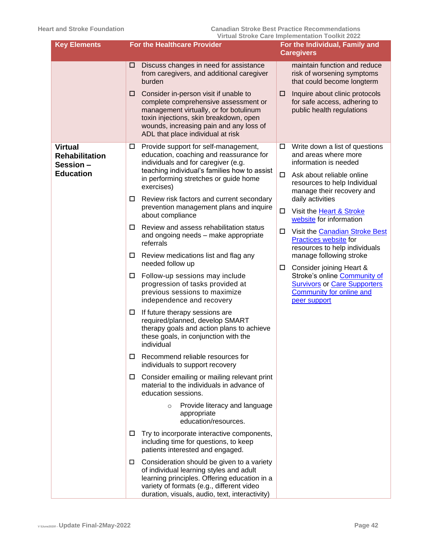| <b>Key Elements</b>                                                     |                                                                    | <b>For the Healthcare Provider</b>                                                                                                                                                                                                                                                                                                                                                                                                                                                                                                                                                                                                                                                                                                                                                                                                                                                                                                                                                                                                                                                                                                                                                                                                                                                                                                                                                                                                                                | <u>VII tudi oli oke Gare implementation Toolkit zuzz</u><br>For the Individual, Family and<br><b>Caregivers</b> |                                                                                                                                                                                                                                                                                                                                                                                                                                                                                                                                   |  |
|-------------------------------------------------------------------------|--------------------------------------------------------------------|-------------------------------------------------------------------------------------------------------------------------------------------------------------------------------------------------------------------------------------------------------------------------------------------------------------------------------------------------------------------------------------------------------------------------------------------------------------------------------------------------------------------------------------------------------------------------------------------------------------------------------------------------------------------------------------------------------------------------------------------------------------------------------------------------------------------------------------------------------------------------------------------------------------------------------------------------------------------------------------------------------------------------------------------------------------------------------------------------------------------------------------------------------------------------------------------------------------------------------------------------------------------------------------------------------------------------------------------------------------------------------------------------------------------------------------------------------------------|-----------------------------------------------------------------------------------------------------------------|-----------------------------------------------------------------------------------------------------------------------------------------------------------------------------------------------------------------------------------------------------------------------------------------------------------------------------------------------------------------------------------------------------------------------------------------------------------------------------------------------------------------------------------|--|
|                                                                         | □<br>□                                                             | Discuss changes in need for assistance<br>from caregivers, and additional caregiver<br>burden<br>Consider in-person visit if unable to<br>complete comprehensive assessment or<br>management virtually, or for botulinum<br>toxin injections, skin breakdown, open<br>wounds, increasing pain and any loss of<br>ADL that place individual at risk                                                                                                                                                                                                                                                                                                                                                                                                                                                                                                                                                                                                                                                                                                                                                                                                                                                                                                                                                                                                                                                                                                                | □                                                                                                               | maintain function and reduce<br>risk of worsening symptoms<br>that could become longterm<br>Inquire about clinic protocols<br>for safe access, adhering to<br>public health regulations                                                                                                                                                                                                                                                                                                                                           |  |
| <b>Virtual</b><br><b>Rehabilitation</b><br>Session-<br><b>Education</b> | $\Box$<br>$\Box$<br>□<br>□<br>□<br>$\Box$<br>□<br>□<br>□<br>$\Box$ | Provide support for self-management,<br>education, coaching and reassurance for<br>individuals and for caregiver (e.g.<br>teaching individual's families how to assist<br>in performing stretches or guide home<br>exercises)<br>Review risk factors and current secondary<br>prevention management plans and inquire<br>about compliance<br>Review and assess rehabilitation status<br>and ongoing needs - make appropriate<br>referrals<br>Review medications list and flag any<br>needed follow up<br>Follow-up sessions may include<br>progression of tasks provided at<br>previous sessions to maximize<br>independence and recovery<br>If future therapy sessions are<br>required/planned, develop SMART<br>therapy goals and action plans to achieve<br>these goals, in conjunction with the<br>individual<br>Recommend reliable resources for<br>individuals to support recovery<br>Consider emailing or mailing relevant print<br>material to the individuals in advance of<br>education sessions.<br>Provide literacy and language<br>$\circ$<br>appropriate<br>education/resources.<br>Try to incorporate interactive components,<br>including time for questions, to keep<br>patients interested and engaged.<br>Consideration should be given to a variety<br>of individual learning styles and adult<br>learning principles. Offering education in a<br>variety of formats (e.g., different video<br>duration, visuals, audio, text, interactivity) | ш<br>$\Box$<br>□<br>□                                                                                           | Write down a list of questions<br>and areas where more<br>information is needed<br>Ask about reliable online<br>resources to help Individual<br>manage their recovery and<br>daily activities<br>Visit the Heart & Stroke<br>website for information<br>Visit the Canadian Stroke Best<br><b>Practices website for</b><br>resources to help individuals<br>manage following stroke<br>Consider joining Heart &<br>Stroke's online Community of<br><b>Survivors or Care Supporters</b><br>Community for online and<br>peer support |  |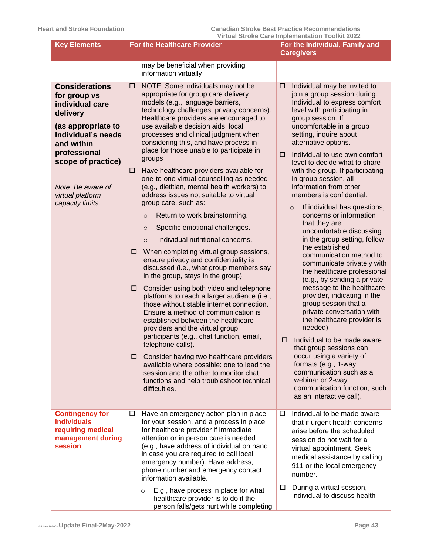| <b>Key Elements</b>                                                                                                                                                                                                               | <b>For the Healthcare Provider</b>                                                                                                                                                                                                                                                                                                                                                                                                                                                                                                                                                                                                                                                                                                                                                                                                                                                                                                                                                                                                                                                                                                                                                                                                                                                                                                                                                                                                                     | For the Individual, Family and<br><b>Caregivers</b>                                                                                                                                                                                                                                                                                                                                                                                                                                                                                                                                                                                                                                                                                                                                                                                                                                                                                                                                                                                                                                                                 |
|-----------------------------------------------------------------------------------------------------------------------------------------------------------------------------------------------------------------------------------|--------------------------------------------------------------------------------------------------------------------------------------------------------------------------------------------------------------------------------------------------------------------------------------------------------------------------------------------------------------------------------------------------------------------------------------------------------------------------------------------------------------------------------------------------------------------------------------------------------------------------------------------------------------------------------------------------------------------------------------------------------------------------------------------------------------------------------------------------------------------------------------------------------------------------------------------------------------------------------------------------------------------------------------------------------------------------------------------------------------------------------------------------------------------------------------------------------------------------------------------------------------------------------------------------------------------------------------------------------------------------------------------------------------------------------------------------------|---------------------------------------------------------------------------------------------------------------------------------------------------------------------------------------------------------------------------------------------------------------------------------------------------------------------------------------------------------------------------------------------------------------------------------------------------------------------------------------------------------------------------------------------------------------------------------------------------------------------------------------------------------------------------------------------------------------------------------------------------------------------------------------------------------------------------------------------------------------------------------------------------------------------------------------------------------------------------------------------------------------------------------------------------------------------------------------------------------------------|
|                                                                                                                                                                                                                                   | may be beneficial when providing<br>information virtually                                                                                                                                                                                                                                                                                                                                                                                                                                                                                                                                                                                                                                                                                                                                                                                                                                                                                                                                                                                                                                                                                                                                                                                                                                                                                                                                                                                              |                                                                                                                                                                                                                                                                                                                                                                                                                                                                                                                                                                                                                                                                                                                                                                                                                                                                                                                                                                                                                                                                                                                     |
| <b>Considerations</b><br>for group vs<br>individual care<br>delivery<br>(as appropriate to<br>Individual's needs<br>and within<br>professional<br>scope of practice)<br>Note: Be aware of<br>virtual platform<br>capacity limits. | NOTE: Some individuals may not be<br>□<br>appropriate for group care delivery<br>models (e.g., language barriers,<br>technology challenges, privacy concerns).<br>Healthcare providers are encouraged to<br>use available decision aids, local<br>processes and clinical judgment when<br>considering this, and have process in<br>place for those unable to participate in<br>groups<br>Have healthcare providers available for<br>□<br>one-to-one virtual counselling as needed<br>(e.g., dietitian, mental health workers) to<br>address issues not suitable to virtual<br>group care, such as:<br>Return to work brainstorming.<br>$\circ$<br>Specific emotional challenges.<br>$\circ$<br>Individual nutritional concerns.<br>$\circ$<br>When completing virtual group sessions,<br>□<br>ensure privacy and confidentiality is<br>discussed (i.e., what group members say<br>in the group, stays in the group)<br>Consider using both video and telephone<br>□<br>platforms to reach a larger audience (i.e.,<br>those without stable internet connection.<br>Ensure a method of communication is<br>established between the healthcare<br>providers and the virtual group<br>participants (e.g., chat function, email,<br>telephone calls).<br>Consider having two healthcare providers<br>□<br>available where possible: one to lead the<br>session and the other to monitor chat<br>functions and help troubleshoot technical<br>difficulties. | Individual may be invited to<br>□<br>join a group session during.<br>Individual to express comfort<br>level with participating in<br>group session. If<br>uncomfortable in a group<br>setting, inquire about<br>alternative options.<br>Individual to use own comfort<br>□<br>level to decide what to share<br>with the group. If participating<br>in group session, all<br>information from other<br>members is confidential.<br>If individual has questions,<br>$\circ$<br>concerns or information<br>that they are<br>uncomfortable discussing<br>in the group setting, follow<br>the established<br>communication method to<br>communicate privately with<br>the healthcare professional<br>(e.g., by sending a private<br>message to the healthcare<br>provider, indicating in the<br>group session that a<br>private conversation with<br>the healthcare provider is<br>needed)<br>Individual to be made aware<br>□<br>that group sessions can<br>occur using a variety of<br>formats (e.g., 1-way<br>communication such as a<br>webinar or 2-way<br>communication function, such<br>as an interactive call). |
| <b>Contingency for</b><br><b>individuals</b><br>requiring medical<br>management during<br>session                                                                                                                                 | Have an emergency action plan in place<br>□<br>for your session, and a process in place<br>for healthcare provider if immediate<br>attention or in person care is needed<br>(e.g., have address of individual on hand<br>in case you are required to call local<br>emergency number). Have address,<br>phone number and emergency contact                                                                                                                                                                                                                                                                                                                                                                                                                                                                                                                                                                                                                                                                                                                                                                                                                                                                                                                                                                                                                                                                                                              | Individual to be made aware<br>□<br>that if urgent health concerns<br>arise before the scheduled<br>session do not wait for a<br>virtual appointment. Seek<br>medical assistance by calling<br>911 or the local emergency                                                                                                                                                                                                                                                                                                                                                                                                                                                                                                                                                                                                                                                                                                                                                                                                                                                                                           |
|                                                                                                                                                                                                                                   | information available.<br>E.g., have process in place for what<br>$\circ$<br>healthcare provider is to do if the<br>person falls/gets hurt while completing                                                                                                                                                                                                                                                                                                                                                                                                                                                                                                                                                                                                                                                                                                                                                                                                                                                                                                                                                                                                                                                                                                                                                                                                                                                                                            | number.<br>During a virtual session,<br>$\Box$<br>individual to discuss health                                                                                                                                                                                                                                                                                                                                                                                                                                                                                                                                                                                                                                                                                                                                                                                                                                                                                                                                                                                                                                      |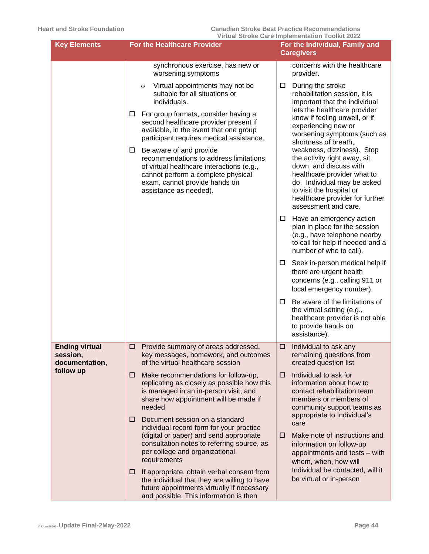| <b>Key Elements</b>                                              | <b>For the Healthcare Provider</b>                                                                                                                                                                                                                                            | For the Individual, Family and<br><b>Caregivers</b>                                                                                                                                                                                                               |
|------------------------------------------------------------------|-------------------------------------------------------------------------------------------------------------------------------------------------------------------------------------------------------------------------------------------------------------------------------|-------------------------------------------------------------------------------------------------------------------------------------------------------------------------------------------------------------------------------------------------------------------|
|                                                                  | synchronous exercise, has new or<br>worsening symptoms                                                                                                                                                                                                                        | concerns with the healthcare<br>provider.                                                                                                                                                                                                                         |
|                                                                  | Virtual appointments may not be<br>$\circ$<br>suitable for all situations or<br>individuals.<br>For group formats, consider having a<br>$\Box$<br>second healthcare provider present if<br>available, in the event that one group<br>participant requires medical assistance. | During the stroke<br>□<br>rehabilitation session, it is<br>important that the individual<br>lets the healthcare provider<br>know if feeling unwell, or if<br>experiencing new or<br>worsening symptoms (such as                                                   |
|                                                                  | Be aware of and provide<br>□<br>recommendations to address limitations<br>of virtual healthcare interactions (e.g.,<br>cannot perform a complete physical<br>exam, cannot provide hands on<br>assistance as needed).                                                          | shortness of breath,<br>weakness, dizziness). Stop<br>the activity right away, sit<br>down, and discuss with<br>healthcare provider what to<br>do. Individual may be asked<br>to visit the hospital or<br>healthcare provider for further<br>assessment and care. |
|                                                                  |                                                                                                                                                                                                                                                                               | $\Box$ Have an emergency action<br>plan in place for the session<br>(e.g., have telephone nearby<br>to call for help if needed and a<br>number of who to call).                                                                                                   |
|                                                                  |                                                                                                                                                                                                                                                                               | Seek in-person medical help if<br>$\Box$<br>there are urgent health<br>concerns (e.g., calling 911 or<br>local emergency number).                                                                                                                                 |
|                                                                  |                                                                                                                                                                                                                                                                               | Be aware of the limitations of<br>$\Box$<br>the virtual setting (e.g.,<br>healthcare provider is not able<br>to provide hands on<br>assistance).                                                                                                                  |
| <b>Ending virtual</b><br>session,<br>documentation,<br>follow up | Provide summary of areas addressed,<br>□<br>key messages, homework, and outcomes<br>of the virtual healthcare session                                                                                                                                                         | Individual to ask any<br>□<br>remaining questions from<br>created question list                                                                                                                                                                                   |
|                                                                  | Make recommendations for follow-up,<br>□<br>replicating as closely as possible how this<br>is managed in an in-person visit, and<br>share how appointment will be made if<br>needed                                                                                           | Individual to ask for<br>□<br>information about how to<br>contact rehabilitation team<br>members or members of<br>community support teams as                                                                                                                      |
|                                                                  | Document session on a standard<br>□<br>individual record form for your practice<br>(digital or paper) and send appropriate<br>consultation notes to referring source, as<br>per college and organizational<br>requirements                                                    | appropriate to Individual's<br>care<br>Make note of instructions and<br>0<br>information on follow-up<br>appointments and tests - with<br>whom, when, how will                                                                                                    |
|                                                                  | If appropriate, obtain verbal consent from<br>□<br>the individual that they are willing to have<br>future appointments virtually if necessary<br>and possible. This information is then                                                                                       | Individual be contacted, will it<br>be virtual or in-person                                                                                                                                                                                                       |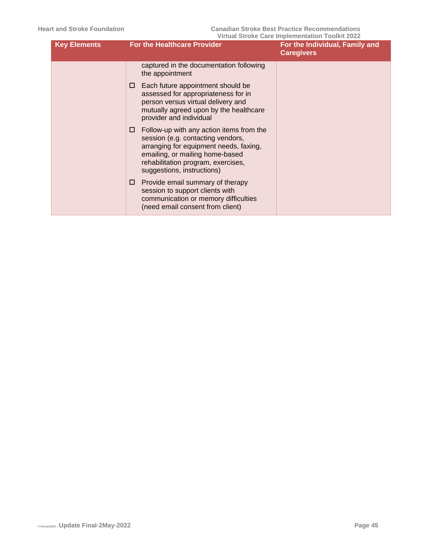| <b>Key Elements</b> | <b>For the Healthcare Provider</b>                                                                                                                                                                                                   | For the Individual, Family and<br><b>Caregivers</b> |
|---------------------|--------------------------------------------------------------------------------------------------------------------------------------------------------------------------------------------------------------------------------------|-----------------------------------------------------|
|                     | captured in the documentation following<br>the appointment                                                                                                                                                                           |                                                     |
|                     | Each future appointment should be<br>□.<br>assessed for appropriateness for in<br>person versus virtual delivery and<br>mutually agreed upon by the healthcare<br>provider and individual                                            |                                                     |
|                     | Follow-up with any action items from the<br>□.<br>session (e.g. contacting vendors,<br>arranging for equipment needs, faxing,<br>emailing, or mailing home-based<br>rehabilitation program, exercises,<br>suggestions, instructions) |                                                     |
|                     | Provide email summary of therapy<br>□.<br>session to support clients with<br>communication or memory difficulties<br>(need email consent from client)                                                                                |                                                     |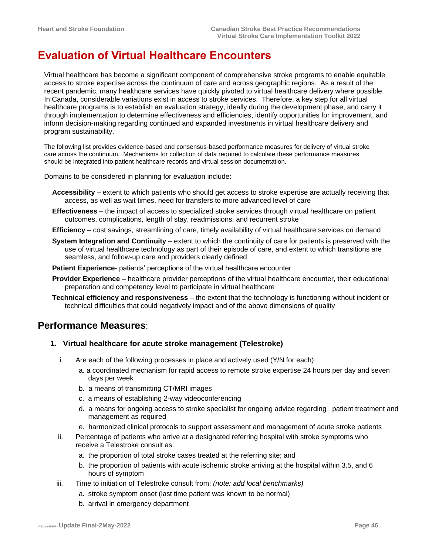## <span id="page-45-0"></span>**Evaluation of Virtual Healthcare Encounters**

Virtual healthcare has become a significant component of comprehensive stroke programs to enable equitable access to stroke expertise across the continuum of care and across geographic regions. As a result of the recent pandemic, many healthcare services have quickly pivoted to virtual healthcare delivery where possible. In Canada, considerable variations exist in access to stroke services. Therefore, a key step for all virtual healthcare programs is to establish an evaluation strategy, ideally during the development phase, and carry it through implementation to determine effectiveness and efficiencies, identify opportunities for improvement, and inform decision-making regarding continued and expanded investments in virtual healthcare delivery and program sustainability.

The following list provides evidence-based and consensus-based performance measures for delivery of virtual stroke care across the continuum. Mechanisms for collection of data required to calculate these performance measures should be integrated into patient healthcare records and virtual session documentation.

Domains to be considered in planning for evaluation include:

- **Accessibility** extent to which patients who should get access to stroke expertise are actually receiving that access, as well as wait times, need for transfers to more advanced level of care
- **Effectiveness** the impact of access to specialized stroke services through virtual healthcare on patient outcomes, complications, length of stay, readmissions, and recurrent stroke
- **Efficiency** cost savings, streamlining of care, timely availability of virtual healthcare services on demand
- **System Integration and Continuity** extent to which the continuity of care for patients is preserved with the use of virtual healthcare technology as part of their episode of care, and extent to which transitions are seamless, and follow-up care and providers clearly defined
- **Patient Experience** patients' perceptions of the virtual healthcare encounter
- **Provider Experience** healthcare provider perceptions of the virtual healthcare encounter, their educational preparation and competency level to participate in virtual healthcare
- **Technical efficiency and responsiveness** the extent that the technology is functioning without incident or technical difficulties that could negatively impact and of the above dimensions of quality

### <span id="page-45-1"></span>**Performance Measures**:

#### <span id="page-45-2"></span>**1. Virtual healthcare for acute stroke management (Telestroke)**

- i. Are each of the following processes in place and actively used (Y/N for each):
	- a. a coordinated mechanism for rapid access to remote stroke expertise 24 hours per day and seven days per week
	- b. a means of transmitting CT/MRI images
	- c. a means of establishing 2-way videoconferencing
	- d. a means for ongoing access to stroke specialist for ongoing advice regarding patient treatment and management as required
	- e. harmonized clinical protocols to support assessment and management of acute stroke patients
- ii. Percentage of patients who arrive at a designated referring hospital with stroke symptoms who receive a Telestroke consult as:
	- a. the proportion of total stroke cases treated at the referring site; and
	- b. the proportion of patients with acute ischemic stroke arriving at the hospital within 3.5, and 6 hours of symptom
- iii. Time to initiation of Telestroke consult from: *(note: add local benchmarks)*
	- a. stroke symptom onset (last time patient was known to be normal)
	- b. arrival in emergency department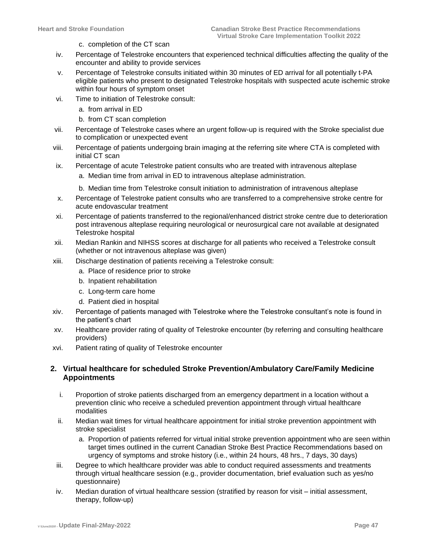- c. completion of the CT scan
- iv. Percentage of Telestroke encounters that experienced technical difficulties affecting the quality of the encounter and ability to provide services
- v. Percentage of Telestroke consults initiated within 30 minutes of ED arrival for all potentially t-PA eligible patients who present to designated Telestroke hospitals with suspected acute ischemic stroke within four hours of symptom onset
- vi. Time to initiation of Telestroke consult:
	- a. from arrival in ED
	- b. from CT scan completion
- vii. Percentage of Telestroke cases where an urgent follow-up is required with the Stroke specialist due to complication or unexpected event
- viii. Percentage of patients undergoing brain imaging at the referring site where CTA is completed with initial CT scan
- ix. Percentage of acute Telestroke patient consults who are treated with intravenous alteplase
	- a. Median time from arrival in ED to intravenous alteplase administration.
	- b. Median time from Telestroke consult initiation to administration of intravenous alteplase
- x. Percentage of Telestroke patient consults who are transferred to a comprehensive stroke centre for acute endovascular treatment
- xi. Percentage of patients transferred to the regional/enhanced district stroke centre due to deterioration post intravenous alteplase requiring neurological or neurosurgical care not available at designated Telestroke hospital
- xii. Median Rankin and NIHSS scores at discharge for all patients who received a Telestroke consult (whether or not intravenous alteplase was given)
- xiii. Discharge destination of patients receiving a Telestroke consult:
	- a. Place of residence prior to stroke
	- b. Inpatient rehabilitation
	- c. Long-term care home
	- d. Patient died in hospital
- xiv. Percentage of patients managed with Telestroke where the Telestroke consultant's note is found in the patient's chart
- xv. Healthcare provider rating of quality of Telestroke encounter (by referring and consulting healthcare providers)
- xvi. Patient rating of quality of Telestroke encounter

#### **2. Virtual healthcare for scheduled Stroke Prevention/Ambulatory Care/Family Medicine Appointments**

- i. Proportion of stroke patients discharged from an emergency department in a location without a prevention clinic who receive a scheduled prevention appointment through virtual healthcare modalities
- ii. Median wait times for virtual healthcare appointment for initial stroke prevention appointment with stroke specialist
	- a. Proportion of patients referred for virtual initial stroke prevention appointment who are seen within target times outlined in the current Canadian Stroke Best Practice Recommendations based on urgency of symptoms and stroke history (i.e., within 24 hours, 48 hrs., 7 days, 30 days)
- iii. Degree to which healthcare provider was able to conduct required assessments and treatments through virtual healthcare session (e.g., provider documentation, brief evaluation such as yes/no questionnaire)
- iv. Median duration of virtual healthcare session (stratified by reason for visit initial assessment, therapy, follow-up)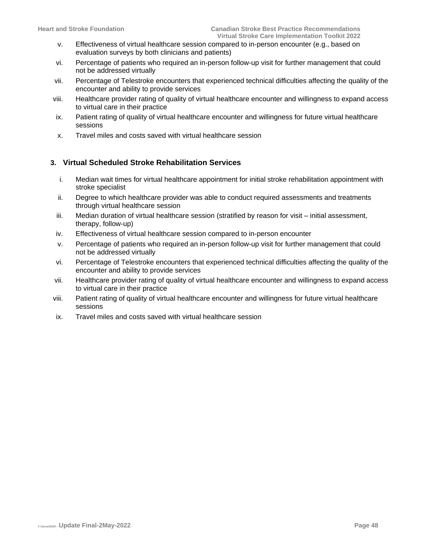- v. Effectiveness of virtual healthcare session compared to in-person encounter (e.g., based on evaluation surveys by both clinicians and patients)
- vi. Percentage of patients who required an in-person follow-up visit for further management that could not be addressed virtually
- vii. Percentage of Telestroke encounters that experienced technical difficulties affecting the quality of the encounter and ability to provide services
- viii. Healthcare provider rating of quality of virtual healthcare encounter and willingness to expand access to virtual care in their practice
- ix. Patient rating of quality of virtual healthcare encounter and willingness for future virtual healthcare sessions
- x. Travel miles and costs saved with virtual healthcare session

#### **3. Virtual Scheduled Stroke Rehabilitation Services**

- i. Median wait times for virtual healthcare appointment for initial stroke rehabilitation appointment with stroke specialist
- ii. Degree to which healthcare provider was able to conduct required assessments and treatments through virtual healthcare session
- iii. Median duration of virtual healthcare session (stratified by reason for visit initial assessment, therapy, follow-up)
- iv. Effectiveness of virtual healthcare session compared to in-person encounter
- v. Percentage of patients who required an in-person follow-up visit for further management that could not be addressed virtually
- vi. Percentage of Telestroke encounters that experienced technical difficulties affecting the quality of the encounter and ability to provide services
- vii. Healthcare provider rating of quality of virtual healthcare encounter and willingness to expand access to virtual care in their practice
- viii. Patient rating of quality of virtual healthcare encounter and willingness for future virtual healthcare sessions
- ix. Travel miles and costs saved with virtual healthcare session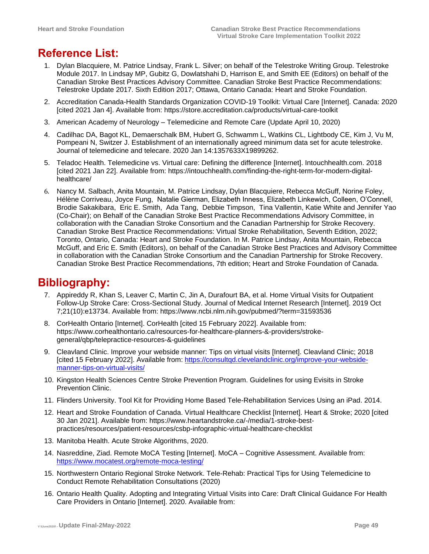# <span id="page-48-0"></span>**Reference List:**

- 1. Dylan Blacquiere, M. Patrice Lindsay, Frank L. Silver; on behalf of the Telestroke Writing Group. Telestroke Module 2017. In Lindsay MP, Gubitz G, Dowlatshahi D, Harrison E, and Smith EE (Editors) on behalf of the Canadian Stroke Best Practices Advisory Committee. Canadian Stroke Best Practice Recommendations: Telestroke Update 2017. Sixth Edition 2017; Ottawa, Ontario Canada: Heart and Stroke Foundation.
- 2. Accreditation Canada-Health Standards Organization COVID-19 Toolkit: Virtual Care [Internet]. Canada: 2020 [cited 2021 Jan 4]. Available from:<https://store.accreditation.ca/products/virtual-care-toolkit>
- 3. American Academy of Neurology [Telemedicine and Remote Care](https://www.aan.com/tools-and-resources/practicing-neurologists-administrators/telemedicine-and-remote-care/) (Update April 10, 2020)
- 4. Cadilhac DA, Bagot KL, Demaerschalk BM, Hubert G, Schwamm L, Watkins CL, Lightbody CE, Kim J, Vu M, Pompeani N, Switzer J. Establishment of an internationally agreed minimum data set for acute telestroke. Journal of telemedicine and telecare. 2020 Jan 14:1357633X19899262.
- 5. Teladoc Health. Telemedicine vs. Virtual care: Defining the difference [Internet]. Intouchhealth.com. 2018 [cited 2021 Jan 22]. Available from: [https://intouchhealth.com/finding-the-right-term-for-modern-digital](https://intouchhealth.com/finding-the-right-term-for-modern-digital-healthcare/)[healthcare/](https://intouchhealth.com/finding-the-right-term-for-modern-digital-healthcare/)
- 6. Nancy M. Salbach, Anita Mountain, M. Patrice Lindsay, Dylan Blacquiere, Rebecca McGuff, Norine Foley, Hélène Corriveau, Joyce Fung, Natalie Gierman, Elizabeth Inness, Elizabeth Linkewich, Colleen, O'Connell, Brodie Sakakibara, Eric E. Smith, Ada Tang, Debbie Timpson, Tina Vallentin, Katie White and Jennifer Yao (Co-Chair); on Behalf of the Canadian Stroke Best Practice Recommendations Advisory Committee, in collaboration with the Canadian Stroke Consortium and the Canadian Partnership for Stroke Recovery. Canadian Stroke Best Practice Recommendations: Virtual Stroke Rehabilitation, Seventh Edition, 2022; Toronto, Ontario, Canada: Heart and Stroke Foundation. In M. Patrice Lindsay, Anita Mountain, Rebecca McGuff, and Eric E. Smith (Editors), on behalf of the Canadian Stroke Best Practices and Advisory Committee in collaboration with the Canadian Stroke Consortium and the Canadian Partnership for Stroke Recovery. Canadian Stroke Best Practice Recommendations, 7th edition; Heart and Stroke Foundation of Canada.

## <span id="page-48-1"></span>**Bibliography:**

- 7. Appireddy R, Khan S, Leaver C, Martin C, Jin A, Durafourt BA, et al. Home Virtual Visits for Outpatient Follow-Up Stroke Care: Cross-Sectional Study. Journal of Medical Internet Research [Internet]. 2019 Oct 7;21(10):e13734. Available from: https://www.ncbi.nlm.nih.gov/pubmed/?term=31593536
- 8. CorHealth Ontario [Internet]. CorHealth [cited 15 February 2022]. Available from: https://www.corhealthontario.ca/resources-for-healthcare-planners-&-providers/strokegeneral/qbp/telepractice-resources-&-guidelines
- 9. Cleavland Clinic. Improve your webside manner: Tips on virtual visits [Internet]. Cleavland Clinic; 2018 [cited 15 February 2022]. Available from: [https://consultqd.clevelandclinic.org/improve-your-webside](https://consultqd.clevelandclinic.org/improve-your-webside-manner-tips-on-virtual-visits/)[manner-tips-on-virtual-visits/](https://consultqd.clevelandclinic.org/improve-your-webside-manner-tips-on-virtual-visits/)
- 10. Kingston Health Sciences Centre Stroke Prevention Program. Guidelines for using Evisits in Stroke Prevention Clinic.
- 11. Flinders University. Tool Kit for Providing Home Based Tele-Rehabilitation Services Using an iPad. 2014.
- 12. Heart and Stroke Foundation of Canada. Virtual Healthcare Checklist [Internet]. Heart & Stroke; 2020 [cited 30 Jan 2021]. Available from: [https://www.heartandstroke.ca/-/media/1-stroke-best](https://www.heartandstroke.ca/-/media/1-stroke-best-practices/resources/patient-resources/csbp-infographic-virtual-healthcare-checklist)[practices/resources/patient-resources/csbp-infographic-virtual-healthcare-checklist](https://www.heartandstroke.ca/-/media/1-stroke-best-practices/resources/patient-resources/csbp-infographic-virtual-healthcare-checklist)
- 13. Manitoba Health. Acute Stroke Algorithms, 2020.
- 14. Nasreddine, Ziad. Remote MoCA Testing [Internet]. MoCA Cognitive Assessment. Available from: <https://www.mocatest.org/remote-moca-testing/>
- 15. Northwestern Ontario Regional Stroke Network. Tele-Rehab: Practical Tips for Using Telemedicine to Conduct Remote Rehabilitation Consultations (2020)
- 16. Ontario Health Quality. Adopting and Integrating Virtual Visits into Care: Draft Clinical Guidance For Health Care Providers in Ontario [Internet]. 2020. Available from: